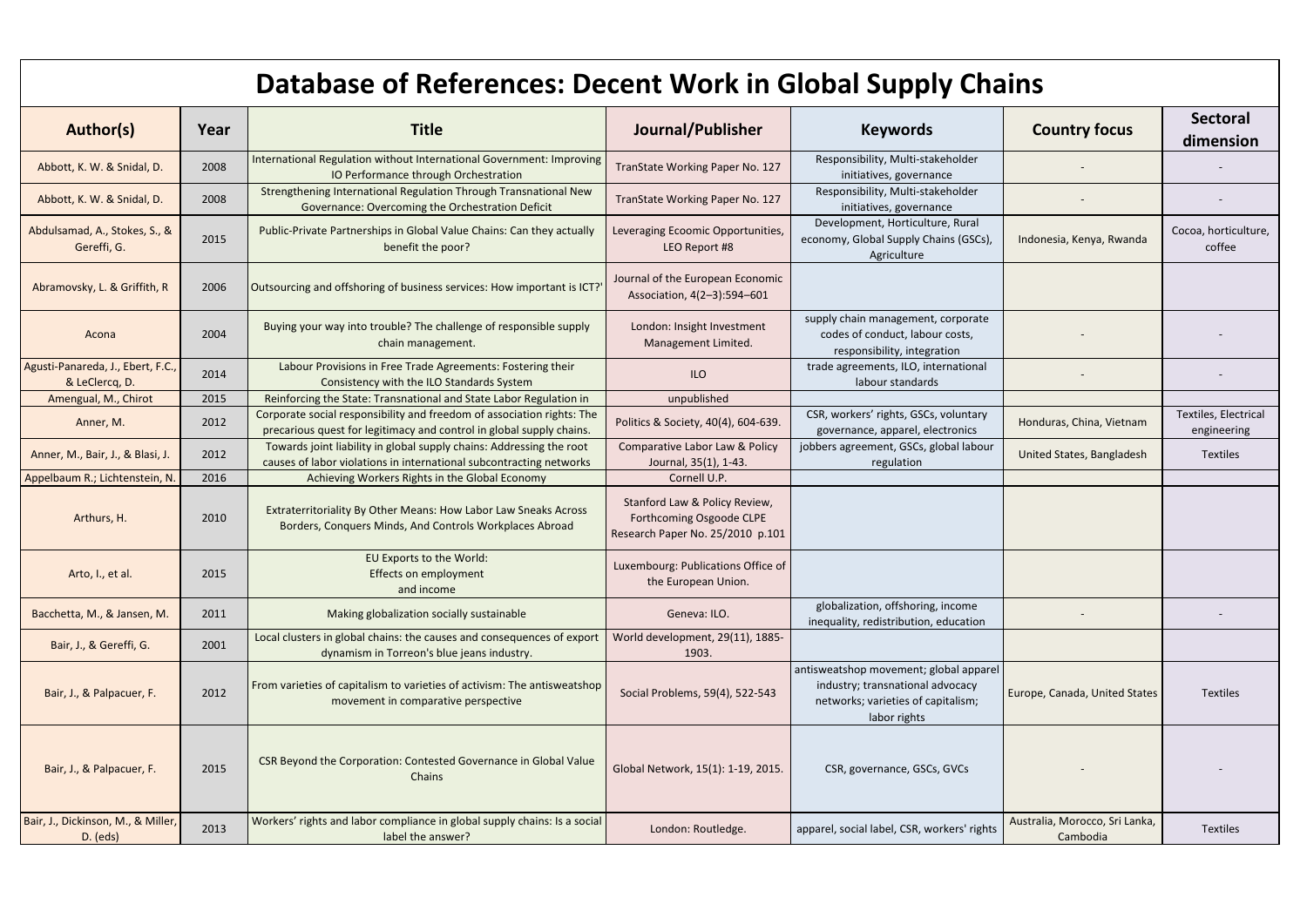| Author(s)                                           | Year | <b>Title</b>                                                                                                                                   | Journal/Publisher                                                                             | <b>Keywords</b>                                                                                                                  | <b>Country focus</b>                       | <b>Sectoral</b><br>dimension        |
|-----------------------------------------------------|------|------------------------------------------------------------------------------------------------------------------------------------------------|-----------------------------------------------------------------------------------------------|----------------------------------------------------------------------------------------------------------------------------------|--------------------------------------------|-------------------------------------|
| Abbott, K. W. & Snidal, D.                          | 2008 | International Regulation without International Government: Improving<br>IO Performance through Orchestration                                   | TranState Working Paper No. 127                                                               | Responsibility, Multi-stakeholder<br>initiatives, governance                                                                     |                                            |                                     |
| Abbott, K. W. & Snidal, D.                          | 2008 | Strengthening International Regulation Through Transnational New<br>Governance: Overcoming the Orchestration Deficit                           | TranState Working Paper No. 127                                                               | Responsibility, Multi-stakeholder<br>initiatives, governance                                                                     |                                            |                                     |
| Abdulsamad, A., Stokes, S., &<br>Gereffi, G.        | 2015 | Public-Private Partnerships in Global Value Chains: Can they actually<br>benefit the poor?                                                     | Leveraging Ecoomic Opportunities,<br>LEO Report #8                                            | Development, Horticulture, Rural<br>economy, Global Supply Chains (GSCs),<br>Agriculture                                         | Indonesia, Kenya, Rwanda                   | Cocoa, horticulture,<br>coffee      |
| Abramovsky, L. & Griffith, R                        | 2006 | Outsourcing and offshoring of business services: How important is ICT?                                                                         | Journal of the European Economic<br>Association, 4(2-3):594-601                               |                                                                                                                                  |                                            |                                     |
| Acona                                               | 2004 | Buying your way into trouble? The challenge of responsible supply<br>chain management.                                                         | London: Insight Investment<br>Management Limited.                                             | supply chain management, corporate<br>codes of conduct, labour costs,<br>responsibility, integration                             |                                            |                                     |
| Agusti-Panareda, J., Ebert, F.C.,<br>& LeClercq, D. | 2014 | Labour Provisions in Free Trade Agreements: Fostering their<br>Consistency with the ILO Standards System                                       | ILO                                                                                           | trade agreements, ILO, international<br>labour standards                                                                         |                                            |                                     |
| Amengual, M., Chirot                                | 2015 | Reinforcing the State: Transnational and State Labor Regulation in                                                                             | unpublished                                                                                   |                                                                                                                                  |                                            |                                     |
| Anner, M.                                           | 2012 | Corporate social responsibility and freedom of association rights: The<br>precarious quest for legitimacy and control in global supply chains. | Politics & Society, 40(4), 604-639.                                                           | CSR, workers' rights, GSCs, voluntary<br>governance, apparel, electronics                                                        | Honduras, China, Vietnam                   | Textiles, Electrical<br>engineering |
| Anner, M., Bair, J., & Blasi, J.                    | 2012 | Towards joint liability in global supply chains: Addressing the root<br>causes of labor violations in international subcontracting networks    | Comparative Labor Law & Policy<br>Journal, 35(1), 1-43.                                       | jobbers agreement, GSCs, global labour<br>regulation                                                                             | United States, Bangladesh                  | <b>Textiles</b>                     |
| Appelbaum R.; Lichtenstein, N.                      | 2016 | Achieving Workers Rights in the Global Economy                                                                                                 | Cornell U.P.                                                                                  |                                                                                                                                  |                                            |                                     |
| Arthurs, H.                                         | 2010 | Extraterritoriality By Other Means: How Labor Law Sneaks Across<br>Borders, Conquers Minds, And Controls Workplaces Abroad                     | Stanford Law & Policy Review,<br>Forthcoming Osgoode CLPE<br>Research Paper No. 25/2010 p.101 |                                                                                                                                  |                                            |                                     |
| Arto, I., et al.                                    | 2015 | EU Exports to the World:<br><b>Effects on employment</b><br>and income                                                                         | Luxembourg: Publications Office of<br>the European Union.                                     |                                                                                                                                  |                                            |                                     |
| Bacchetta, M., & Jansen, M.                         | 2011 | Making globalization socially sustainable                                                                                                      | Geneva: ILO.                                                                                  | globalization, offshoring, income<br>inequality, redistribution, education                                                       |                                            |                                     |
| Bair, J., & Gereffi, G.                             | 2001 | Local clusters in global chains: the causes and consequences of export<br>dynamism in Torreon's blue jeans industry.                           | World development, 29(11), 1885-<br>1903.                                                     |                                                                                                                                  |                                            |                                     |
| Bair, J., & Palpacuer, F.                           | 2012 | From varieties of capitalism to varieties of activism: The antisweatshop<br>movement in comparative perspective                                | Social Problems, 59(4), 522-543                                                               | antisweatshop movement; global apparel<br>industry; transnational advocacy<br>networks; varieties of capitalism;<br>labor rights | Europe, Canada, United States              | <b>Textiles</b>                     |
| Bair, J., & Palpacuer, F.                           | 2015 | CSR Beyond the Corporation: Contested Governance in Global Value<br>Chains                                                                     | Global Network, 15(1): 1-19, 2015.                                                            | CSR, governance, GSCs, GVCs                                                                                                      |                                            |                                     |
| Bair, J., Dickinson, M., & Miller,<br>$D.$ (eds)    | 2013 | Workers' rights and labor compliance in global supply chains: Is a social<br>label the answer?                                                 | London: Routledge.                                                                            | apparel, social label, CSR, workers' rights                                                                                      | Australia, Morocco, Sri Lanka,<br>Cambodia | <b>Textiles</b>                     |

| <b>Database of References: Decent Work in Global Supply Chains</b> |  |
|--------------------------------------------------------------------|--|
|--------------------------------------------------------------------|--|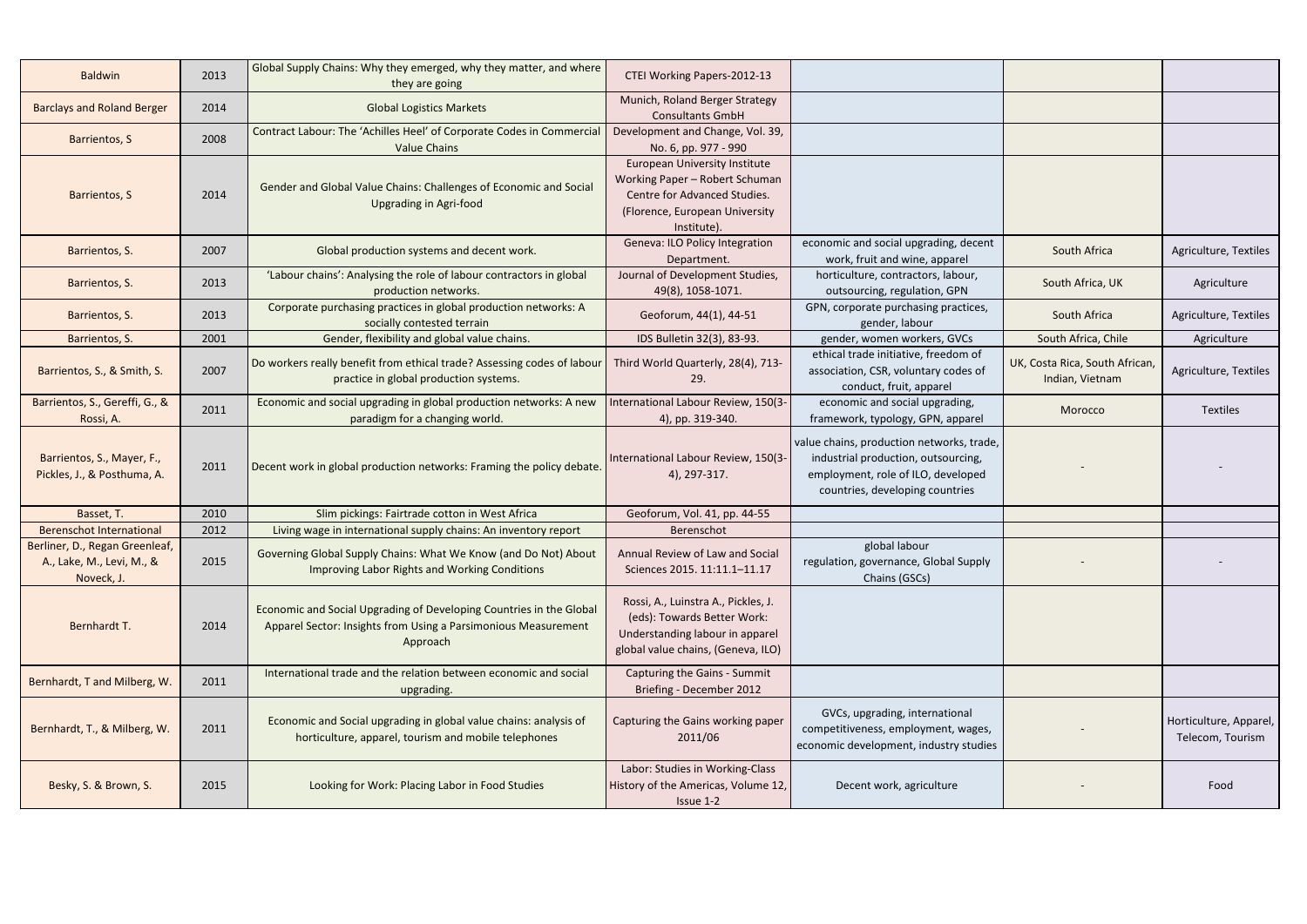| <b>Baldwin</b>                                                            | 2013 | Global Supply Chains: Why they emerged, why they matter, and where<br>they are going                                                              | CTEI Working Papers-2012-13                                                                                                                             |                                                                                                                                                           |                                                   |                                            |
|---------------------------------------------------------------------------|------|---------------------------------------------------------------------------------------------------------------------------------------------------|---------------------------------------------------------------------------------------------------------------------------------------------------------|-----------------------------------------------------------------------------------------------------------------------------------------------------------|---------------------------------------------------|--------------------------------------------|
| <b>Barclays and Roland Berger</b>                                         | 2014 | <b>Global Logistics Markets</b>                                                                                                                   | Munich, Roland Berger Strategy<br><b>Consultants GmbH</b>                                                                                               |                                                                                                                                                           |                                                   |                                            |
| <b>Barrientos, S</b>                                                      | 2008 | Contract Labour: The 'Achilles Heel' of Corporate Codes in Commercial<br><b>Value Chains</b>                                                      | Development and Change, Vol. 39,<br>No. 6, pp. 977 - 990                                                                                                |                                                                                                                                                           |                                                   |                                            |
| <b>Barrientos, S</b>                                                      | 2014 | Gender and Global Value Chains: Challenges of Economic and Social<br><b>Upgrading in Agri-food</b>                                                | <b>European University Institute</b><br>Working Paper - Robert Schuman<br>Centre for Advanced Studies.<br>(Florence, European University<br>Institute). |                                                                                                                                                           |                                                   |                                            |
| Barrientos, S.                                                            | 2007 | Global production systems and decent work.                                                                                                        | Geneva: ILO Policy Integration<br>Department.                                                                                                           | economic and social upgrading, decent<br>work, fruit and wine, apparel                                                                                    | South Africa                                      | Agriculture, Textiles                      |
| Barrientos, S.                                                            | 2013 | 'Labour chains': Analysing the role of labour contractors in global<br>production networks.                                                       | Journal of Development Studies,<br>49(8), 1058-1071.                                                                                                    | horticulture, contractors, labour,<br>outsourcing, regulation, GPN                                                                                        | South Africa, UK                                  | Agriculture                                |
| Barrientos, S.                                                            | 2013 | Corporate purchasing practices in global production networks: A<br>socially contested terrain                                                     | Geoforum, 44(1), 44-51                                                                                                                                  | GPN, corporate purchasing practices,<br>gender, labour                                                                                                    | South Africa                                      | Agriculture, Textiles                      |
| Barrientos, S.                                                            | 2001 | Gender, flexibility and global value chains.                                                                                                      | IDS Bulletin 32(3), 83-93.                                                                                                                              | gender, women workers, GVCs                                                                                                                               | South Africa, Chile                               | Agriculture                                |
| Barrientos, S., & Smith, S.                                               | 2007 | Do workers really benefit from ethical trade? Assessing codes of labour<br>practice in global production systems.                                 | Third World Quarterly, 28(4), 713-<br>29.                                                                                                               | ethical trade initiative, freedom of<br>association, CSR, voluntary codes of<br>conduct, fruit, apparel                                                   | UK, Costa Rica, South African,<br>Indian, Vietnam | Agriculture, Textiles                      |
| Barrientos, S., Gereffi, G., &<br>Rossi, A.                               | 2011 | Economic and social upgrading in global production networks: A new<br>paradigm for a changing world.                                              | International Labour Review, 150(3-<br>4), pp. 319-340.                                                                                                 | economic and social upgrading,<br>framework, typology, GPN, apparel                                                                                       | Morocco                                           | <b>Textiles</b>                            |
| Barrientos, S., Mayer, F.,<br>Pickles, J., & Posthuma, A.                 | 2011 | Decent work in global production networks: Framing the policy debate.                                                                             | International Labour Review, 150(3-<br>4), 297-317.                                                                                                     | value chains, production networks, trade,<br>industrial production, outsourcing,<br>employment, role of ILO, developed<br>countries, developing countries |                                                   |                                            |
| Basset, T.                                                                | 2010 | Slim pickings: Fairtrade cotton in West Africa                                                                                                    | Geoforum, Vol. 41, pp. 44-55                                                                                                                            |                                                                                                                                                           |                                                   |                                            |
| <b>Berenschot International</b>                                           | 2012 | Living wage in international supply chains: An inventory report                                                                                   | Berenschot                                                                                                                                              |                                                                                                                                                           |                                                   |                                            |
| Berliner, D., Regan Greenleaf,<br>A., Lake, M., Levi, M., &<br>Noveck, J. | 2015 | Governing Global Supply Chains: What We Know (and Do Not) About<br>Improving Labor Rights and Working Conditions                                  | Annual Review of Law and Social<br>Sciences 2015. 11:11.1-11.17                                                                                         | global labour<br>regulation, governance, Global Supply<br>Chains (GSCs)                                                                                   |                                                   |                                            |
| Bernhardt T.                                                              | 2014 | Economic and Social Upgrading of Developing Countries in the Global<br>Apparel Sector: Insights from Using a Parsimonious Measurement<br>Approach | Rossi, A., Luinstra A., Pickles, J.<br>(eds): Towards Better Work:<br>Understanding labour in apparel<br>global value chains, (Geneva, ILO)             |                                                                                                                                                           |                                                   |                                            |
| Bernhardt, T and Milberg, W.                                              | 2011 | International trade and the relation between economic and social<br>upgrading.                                                                    | Capturing the Gains - Summit<br>Briefing - December 2012                                                                                                |                                                                                                                                                           |                                                   |                                            |
| Bernhardt, T., & Milberg, W.                                              | 2011 | Economic and Social upgrading in global value chains: analysis of<br>horticulture, apparel, tourism and mobile telephones                         | Capturing the Gains working paper<br>2011/06                                                                                                            | GVCs, upgrading, international<br>competitiveness, employment, wages,<br>economic development, industry studies                                           |                                                   | Horticulture, Apparel,<br>Telecom, Tourism |
| Besky, S. & Brown, S.                                                     | 2015 | Looking for Work: Placing Labor in Food Studies                                                                                                   | Labor: Studies in Working-Class<br>History of the Americas, Volume 12,<br>Issue 1-2                                                                     | Decent work, agriculture                                                                                                                                  |                                                   | Food                                       |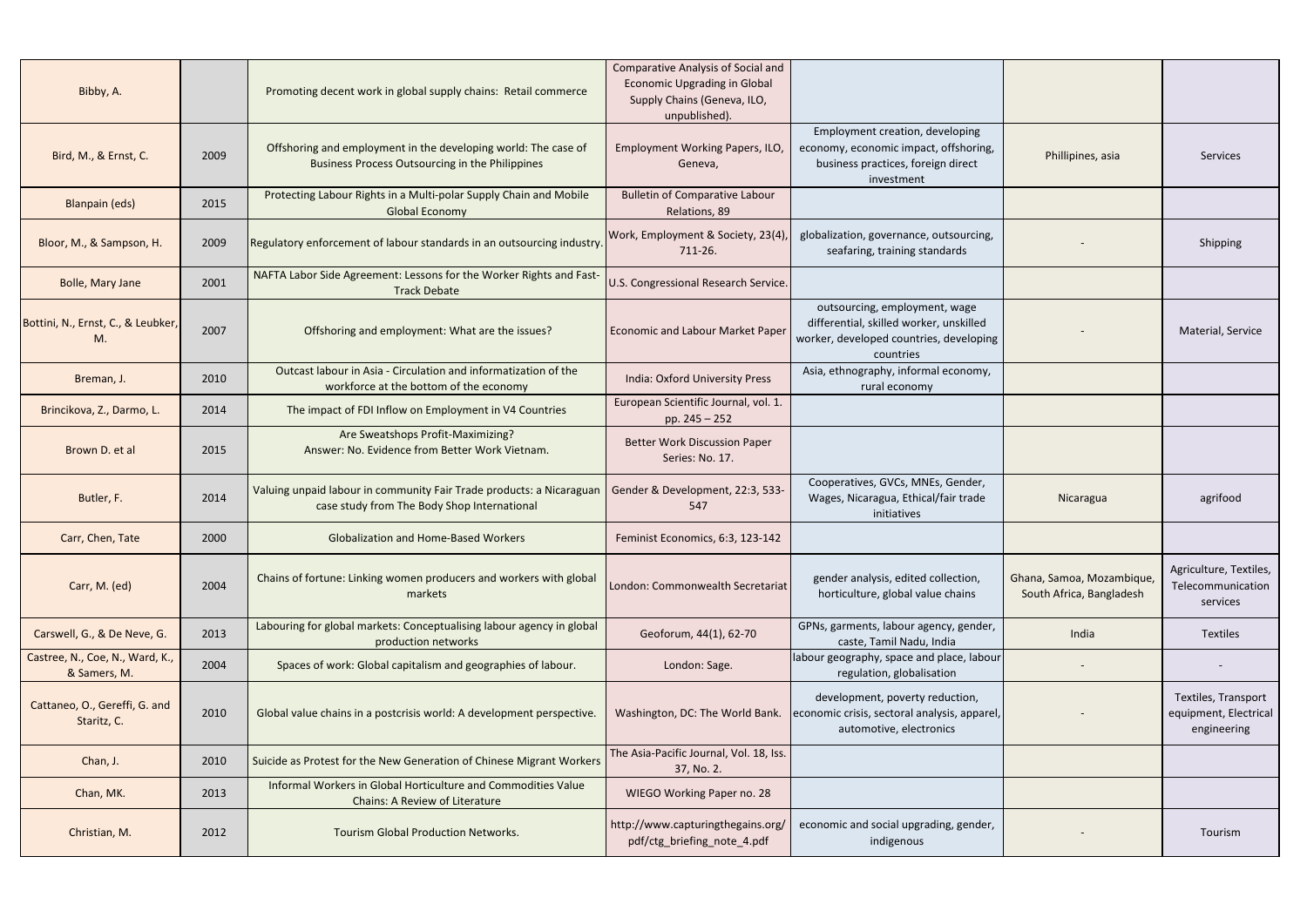| Bibby, A.                                       |      | Promoting decent work in global supply chains: Retail commerce                                                           | <b>Comparative Analysis of Social and</b><br><b>Economic Upgrading in Global</b><br>Supply Chains (Geneva, ILO,<br>unpublished). |                                                                                                                                  |                                                       |                                                             |
|-------------------------------------------------|------|--------------------------------------------------------------------------------------------------------------------------|----------------------------------------------------------------------------------------------------------------------------------|----------------------------------------------------------------------------------------------------------------------------------|-------------------------------------------------------|-------------------------------------------------------------|
| Bird, M., & Ernst, C.                           | 2009 | Offshoring and employment in the developing world: The case of<br><b>Business Process Outsourcing in the Philippines</b> | Employment Working Papers, ILO,<br>Geneva,                                                                                       | Employment creation, developing<br>economy, economic impact, offshoring,<br>business practices, foreign direct<br>investment     | Phillipines, asia                                     | Services                                                    |
| <b>Blanpain (eds)</b>                           | 2015 | Protecting Labour Rights in a Multi-polar Supply Chain and Mobile<br><b>Global Economy</b>                               | <b>Bulletin of Comparative Labour</b><br>Relations, 89                                                                           |                                                                                                                                  |                                                       |                                                             |
| Bloor, M., & Sampson, H.                        | 2009 | Regulatory enforcement of labour standards in an outsourcing industry                                                    | Work, Employment & Society, 23(4)<br>711-26.                                                                                     | globalization, governance, outsourcing,<br>seafaring, training standards                                                         |                                                       | Shipping                                                    |
| Bolle, Mary Jane                                | 2001 | NAFTA Labor Side Agreement: Lessons for the Worker Rights and Fast-<br><b>Track Debate</b>                               | U.S. Congressional Research Service.                                                                                             |                                                                                                                                  |                                                       |                                                             |
| Bottini, N., Ernst, C., & Leubker,<br>Μ.        | 2007 | Offshoring and employment: What are the issues?                                                                          | <b>Economic and Labour Market Paper</b>                                                                                          | outsourcing, employment, wage<br>differential, skilled worker, unskilled<br>worker, developed countries, developing<br>countries |                                                       | Material, Service                                           |
| Breman, J.                                      | 2010 | Outcast labour in Asia - Circulation and informatization of the<br>workforce at the bottom of the economy                | <b>India: Oxford University Press</b>                                                                                            | Asia, ethnography, informal economy,<br>rural economy                                                                            |                                                       |                                                             |
| Brincikova, Z., Darmo, L.                       | 2014 | The impact of FDI Inflow on Employment in V4 Countries                                                                   | European Scientific Journal, vol. 1.<br>pp. $245 - 252$                                                                          |                                                                                                                                  |                                                       |                                                             |
| Brown D. et al                                  | 2015 | Are Sweatshops Profit-Maximizing?<br>Answer: No. Evidence from Better Work Vietnam.                                      | <b>Better Work Discussion Paper</b><br>Series: No. 17.                                                                           |                                                                                                                                  |                                                       |                                                             |
| Butler, F.                                      | 2014 | Valuing unpaid labour in community Fair Trade products: a Nicaraguar<br>case study from The Body Shop International      | Gender & Development, 22:3, 533-<br>547                                                                                          | Cooperatives, GVCs, MNEs, Gender,<br>Wages, Nicaragua, Ethical/fair trade<br>initiatives                                         | Nicaragua                                             | agrifood                                                    |
| Carr, Chen, Tate                                | 2000 | <b>Globalization and Home-Based Workers</b>                                                                              | Feminist Economics, 6:3, 123-142                                                                                                 |                                                                                                                                  |                                                       |                                                             |
| Carr, M. (ed)                                   | 2004 | Chains of fortune: Linking women producers and workers with global<br>markets                                            | London: Commonwealth Secretariat                                                                                                 | gender analysis, edited collection,<br>horticulture, global value chains                                                         | Ghana, Samoa, Mozambique,<br>South Africa, Bangladesh | Agriculture, Textiles,<br>Telecommunication<br>services     |
| Carswell, G., & De Neve, G.                     | 2013 | Labouring for global markets: Conceptualising labour agency in global<br>production networks                             | Geoforum, 44(1), 62-70                                                                                                           | GPNs, garments, labour agency, gender,<br>caste, Tamil Nadu, India                                                               | India                                                 | Textiles                                                    |
| Castree, N., Coe, N., Ward, K.,<br>& Samers, M. | 2004 | Spaces of work: Global capitalism and geographies of labour.                                                             | London: Sage.                                                                                                                    | labour geography, space and place, labour<br>regulation, globalisation                                                           |                                                       |                                                             |
| Cattaneo, O., Gereffi, G. and<br>Staritz, C.    | 2010 | Global value chains in a postcrisis world: A development perspective.                                                    | Washington, DC: The World Bank.                                                                                                  | development, poverty reduction,<br>economic crisis, sectoral analysis, apparel,<br>automotive, electronics                       |                                                       | Textiles, Transport<br>equipment, Electrical<br>engineering |
| Chan, J.                                        | 2010 | Suicide as Protest for the New Generation of Chinese Migrant Workers                                                     | The Asia-Pacific Journal, Vol. 18, Iss.<br>37, No. 2.                                                                            |                                                                                                                                  |                                                       |                                                             |
| Chan, MK.                                       | 2013 | Informal Workers in Global Horticulture and Commodities Value<br>Chains: A Review of Literature                          | WIEGO Working Paper no. 28                                                                                                       |                                                                                                                                  |                                                       |                                                             |
| Christian, M.                                   | 2012 | <b>Tourism Global Production Networks.</b>                                                                               | http://www.capturingthegains.org/<br>pdf/ctg_briefing_note_4.pdf                                                                 | economic and social upgrading, gender,<br>indigenous                                                                             |                                                       | Tourism                                                     |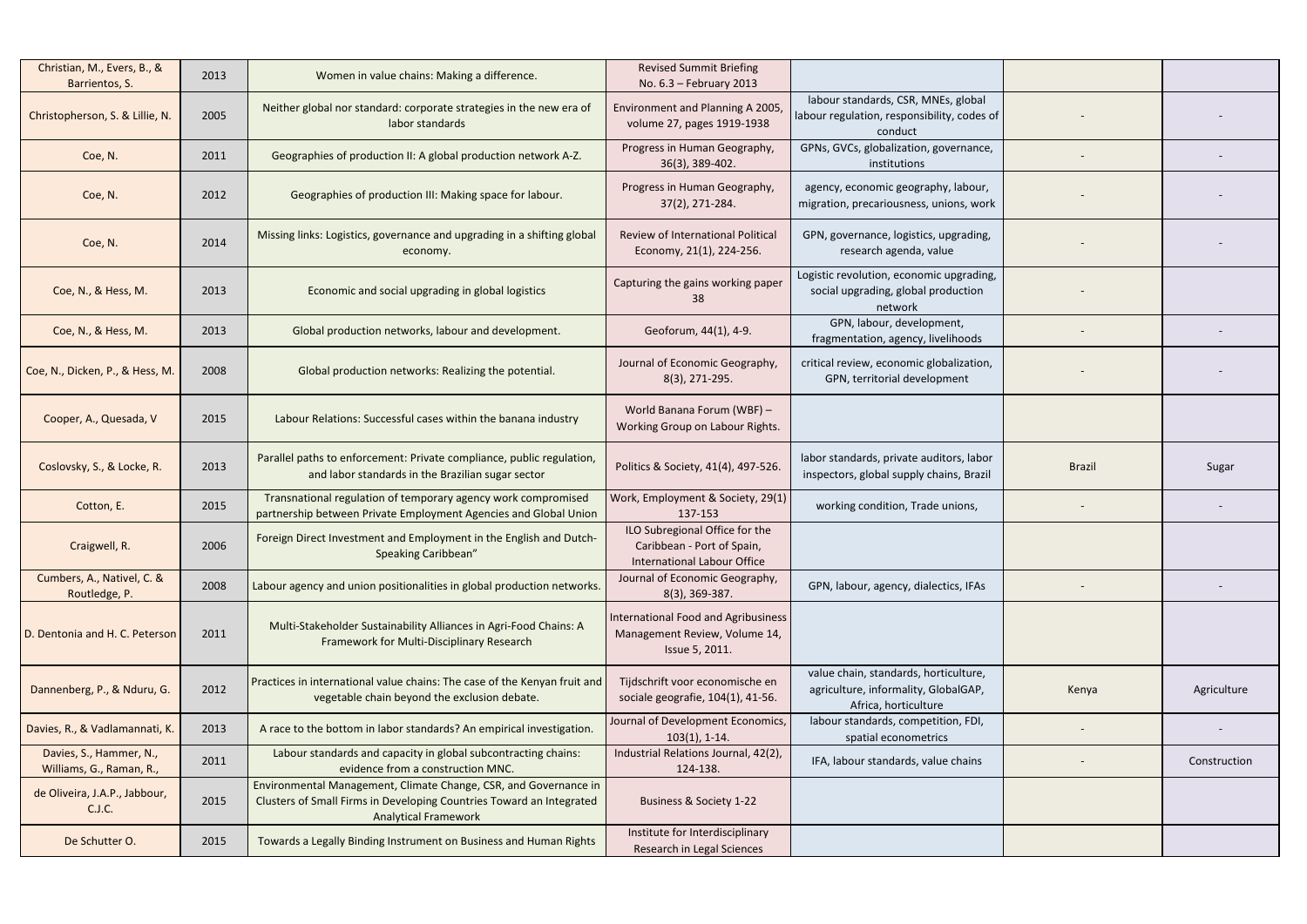| Christian, M., Evers, B., &<br>Barrientos, S.       | 2013 | Women in value chains: Making a difference.                                                                                                                             | <b>Revised Summit Briefing</b><br>No. 6.3 - February 2013                                          |                                                                                                       |               |              |
|-----------------------------------------------------|------|-------------------------------------------------------------------------------------------------------------------------------------------------------------------------|----------------------------------------------------------------------------------------------------|-------------------------------------------------------------------------------------------------------|---------------|--------------|
| Christopherson, S. & Lillie, N.                     | 2005 | Neither global nor standard: corporate strategies in the new era of<br>labor standards                                                                                  | Environment and Planning A 2005,<br>volume 27, pages 1919-1938                                     | labour standards, CSR, MNEs, global<br>labour regulation, responsibility, codes of<br>conduct         |               |              |
| Coe, N.                                             | 2011 | Geographies of production II: A global production network A-Z.                                                                                                          | Progress in Human Geography,<br>36(3), 389-402.                                                    | GPNs, GVCs, globalization, governance,<br>institutions                                                |               |              |
| Coe, N.                                             | 2012 | Geographies of production III: Making space for labour.                                                                                                                 | Progress in Human Geography,<br>37(2), 271-284.                                                    | agency, economic geography, labour,<br>migration, precariousness, unions, work                        |               |              |
| Coe, N.                                             | 2014 | Missing links: Logistics, governance and upgrading in a shifting global<br>economy.                                                                                     | Review of International Political<br>Economy, 21(1), 224-256.                                      | GPN, governance, logistics, upgrading,<br>research agenda, value                                      |               |              |
| Coe, N., & Hess, M.                                 | 2013 | Economic and social upgrading in global logistics                                                                                                                       | Capturing the gains working paper<br>38                                                            | Logistic revolution, economic upgrading,<br>social upgrading, global production<br>network            |               |              |
| Coe, N., & Hess, M.                                 | 2013 | Global production networks, labour and development.                                                                                                                     | Geoforum, 44(1), 4-9.                                                                              | GPN, labour, development,<br>fragmentation, agency, livelihoods                                       |               |              |
| Coe, N., Dicken, P., & Hess, M.                     | 2008 | Global production networks: Realizing the potential.                                                                                                                    | Journal of Economic Geography,<br>8(3), 271-295.                                                   | critical review, economic globalization,<br>GPN, territorial development                              |               |              |
| Cooper, A., Quesada, V                              | 2015 | Labour Relations: Successful cases within the banana industry                                                                                                           | World Banana Forum (WBF) -<br>Working Group on Labour Rights.                                      |                                                                                                       |               |              |
| Coslovsky, S., & Locke, R.                          | 2013 | Parallel paths to enforcement: Private compliance, public regulation,<br>and labor standards in the Brazilian sugar sector                                              | Politics & Society, 41(4), 497-526.                                                                | labor standards, private auditors, labor<br>inspectors, global supply chains, Brazil                  | <b>Brazil</b> | Sugar        |
| Cotton, E.                                          | 2015 | Transnational regulation of temporary agency work compromised<br>partnership between Private Employment Agencies and Global Union                                       | Work, Employment & Society, 29(1)<br>137-153                                                       | working condition, Trade unions,                                                                      |               |              |
| Craigwell, R.                                       | 2006 | Foreign Direct Investment and Employment in the English and Dutch-<br>Speaking Caribbean"                                                                               | ILO Subregional Office for the<br>Caribbean - Port of Spain,<br><b>International Labour Office</b> |                                                                                                       |               |              |
| Cumbers, A., Nativel, C. &<br>Routledge, P.         | 2008 | Labour agency and union positionalities in global production networks.                                                                                                  | Journal of Economic Geography,<br>8(3), 369-387.                                                   | GPN, labour, agency, dialectics, IFAs                                                                 |               |              |
| D. Dentonia and H. C. Peterson                      | 2011 | Multi-Stakeholder Sustainability Alliances in Agri-Food Chains: A<br>Framework for Multi-Disciplinary Research                                                          | International Food and Agribusiness<br>Management Review, Volume 14,<br>Issue 5, 2011.             |                                                                                                       |               |              |
| Dannenberg, P., & Nduru, G.                         | 2012 | Practices in international value chains: The case of the Kenyan fruit and<br>vegetable chain beyond the exclusion debate.                                               | Tijdschrift voor economische en<br>sociale geografie, 104(1), 41-56.                               | value chain, standards, horticulture,<br>agriculture, informality, GlobalGAP,<br>Africa, horticulture | Kenya         | Agriculture  |
| Davies, R., & Vadlamannati, K.                      | 2013 | A race to the bottom in labor standards? An empirical investigation.                                                                                                    | Journal of Development Economics,<br>$103(1), 1-14.$                                               | labour standards, competition, FDI,<br>spatial econometrics                                           |               |              |
| Davies, S., Hammer, N.,<br>Williams, G., Raman, R., | 2011 | Labour standards and capacity in global subcontracting chains:<br>evidence from a construction MNC.                                                                     | Industrial Relations Journal, 42(2),<br>124-138.                                                   | IFA, labour standards, value chains                                                                   |               | Construction |
| de Oliveira, J.A.P., Jabbour,<br>C.J.C.             | 2015 | Environmental Management, Climate Change, CSR, and Governance in<br>Clusters of Small Firms in Developing Countries Toward an Integrated<br><b>Analytical Framework</b> | Business & Society 1-22                                                                            |                                                                                                       |               |              |
| De Schutter O.                                      | 2015 | Towards a Legally Binding Instrument on Business and Human Rights                                                                                                       | Institute for Interdisciplinary<br>Research in Legal Sciences                                      |                                                                                                       |               |              |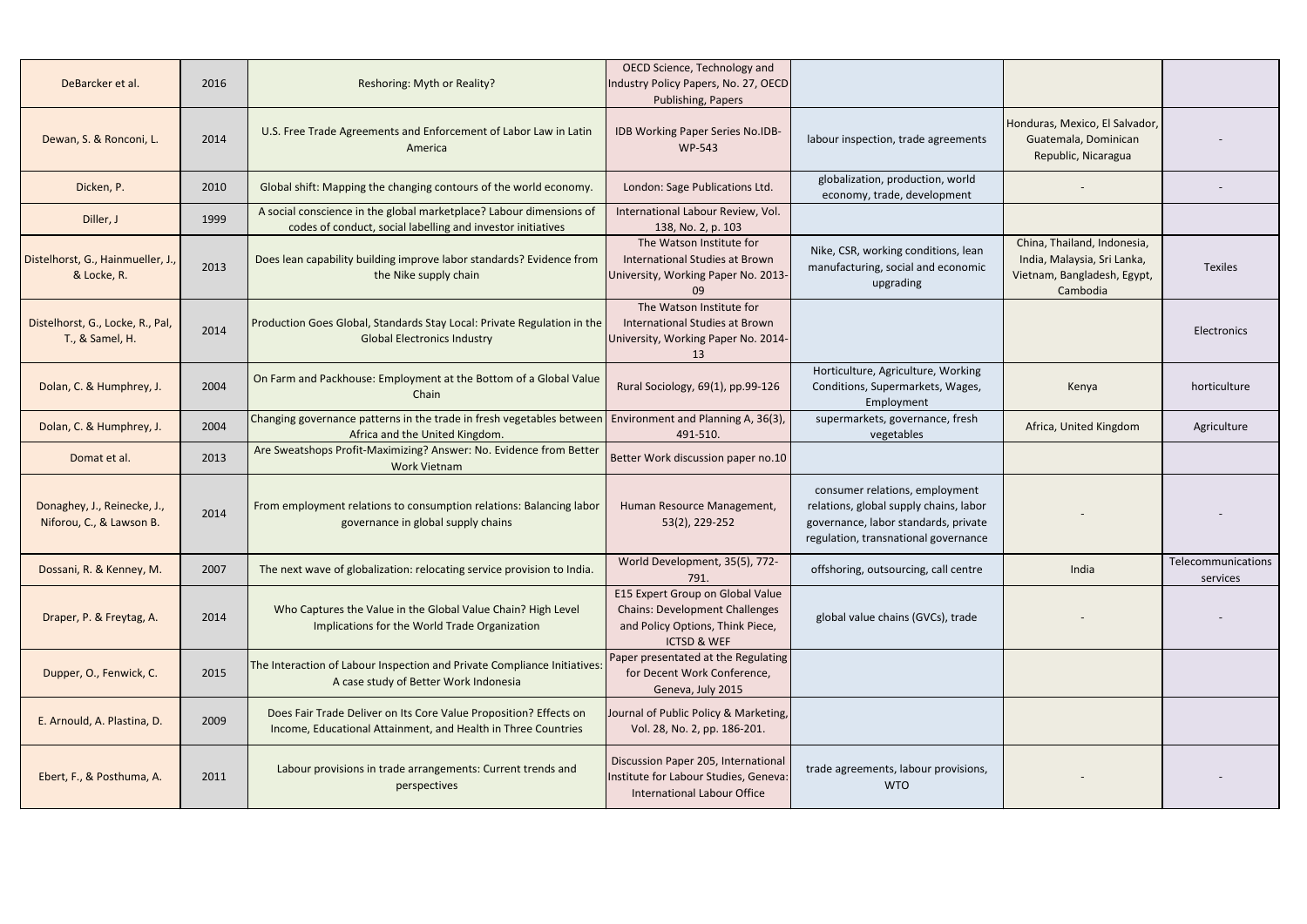| DeBarcker et al.                                        | 2016 | Reshoring: Myth or Reality?                                                                                                                  | OECD Science, Technology and<br>Industry Policy Papers, No. 27, OECD<br>Publishing, Papers                                              |                                                                                                                                                          |                                                                                                       |                                |
|---------------------------------------------------------|------|----------------------------------------------------------------------------------------------------------------------------------------------|-----------------------------------------------------------------------------------------------------------------------------------------|----------------------------------------------------------------------------------------------------------------------------------------------------------|-------------------------------------------------------------------------------------------------------|--------------------------------|
| Dewan, S. & Ronconi, L.                                 | 2014 | U.S. Free Trade Agreements and Enforcement of Labor Law in Latin<br>America                                                                  | IDB Working Paper Series No.IDB-<br>WP-543                                                                                              | labour inspection, trade agreements                                                                                                                      | Honduras, Mexico, El Salvador,<br>Guatemala, Dominican<br>Republic, Nicaragua                         |                                |
| Dicken, P.                                              | 2010 | Global shift: Mapping the changing contours of the world economy.                                                                            | London: Sage Publications Ltd.                                                                                                          | globalization, production, world<br>economy, trade, development                                                                                          |                                                                                                       |                                |
| Diller, J                                               | 1999 | A social conscience in the global marketplace? Labour dimensions of<br>codes of conduct, social labelling and investor initiatives           | International Labour Review, Vol.<br>138, No. 2, p. 103                                                                                 |                                                                                                                                                          |                                                                                                       |                                |
| Distelhorst, G., Hainmueller, J.,<br>& Locke, R.        | 2013 | Does lean capability building improve labor standards? Evidence from<br>the Nike supply chain                                                | The Watson Institute for<br>International Studies at Brown<br>University, Working Paper No. 2013-<br>09                                 | Nike, CSR, working conditions, lean<br>manufacturing, social and economic<br>upgrading                                                                   | China, Thailand, Indonesia,<br>India, Malaysia, Sri Lanka,<br>Vietnam, Bangladesh, Egypt,<br>Cambodia | <b>Texiles</b>                 |
| Distelhorst, G., Locke, R., Pal,<br>T., & Samel, H.     | 2014 | Production Goes Global, Standards Stay Local: Private Regulation in the<br><b>Global Electronics Industry</b>                                | The Watson Institute for<br>International Studies at Brown<br>University, Working Paper No. 2014-<br>13                                 |                                                                                                                                                          |                                                                                                       | Electronics                    |
| Dolan, C. & Humphrey, J.                                | 2004 | On Farm and Packhouse: Employment at the Bottom of a Global Value<br>Chain                                                                   | Rural Sociology, 69(1), pp.99-126                                                                                                       | Horticulture, Agriculture, Working<br>Conditions, Supermarkets, Wages,<br>Employment                                                                     | Kenya                                                                                                 | horticulture                   |
| Dolan, C. & Humphrey, J.                                | 2004 | Changing governance patterns in the trade in fresh vegetables between   Environment and Planning A, 36(3),<br>Africa and the United Kingdom. | 491-510.                                                                                                                                | supermarkets, governance, fresh<br>vegetables                                                                                                            | Africa, United Kingdom                                                                                | Agriculture                    |
| Domat et al.                                            | 2013 | Are Sweatshops Profit-Maximizing? Answer: No. Evidence from Better<br><b>Work Vietnam</b>                                                    | Better Work discussion paper no.10                                                                                                      |                                                                                                                                                          |                                                                                                       |                                |
| Donaghey, J., Reinecke, J.,<br>Niforou, C., & Lawson B. | 2014 | From employment relations to consumption relations: Balancing labor<br>governance in global supply chains                                    | Human Resource Management,<br>53(2), 229-252                                                                                            | consumer relations, employment<br>relations, global supply chains, labor<br>governance, labor standards, private<br>regulation, transnational governance |                                                                                                       |                                |
| Dossani, R. & Kenney, M.                                | 2007 | The next wave of globalization: relocating service provision to India.                                                                       | World Development, 35(5), 772-<br>791.                                                                                                  | offshoring, outsourcing, call centre                                                                                                                     | India                                                                                                 | Telecommunications<br>services |
| Draper, P. & Freytag, A.                                | 2014 | Who Captures the Value in the Global Value Chain? High Level<br>Implications for the World Trade Organization                                | E15 Expert Group on Global Value<br><b>Chains: Development Challenges</b><br>and Policy Options, Think Piece,<br><b>ICTSD &amp; WEF</b> | global value chains (GVCs), trade                                                                                                                        |                                                                                                       |                                |
| Dupper, O., Fenwick, C.                                 | 2015 | The Interaction of Labour Inspection and Private Compliance Initiatives:<br>A case study of Better Work Indonesia                            | Paper presentated at the Regulating<br>for Decent Work Conference,<br>Geneva, July 2015                                                 |                                                                                                                                                          |                                                                                                       |                                |
| E. Arnould, A. Plastina, D.                             | 2009 | Does Fair Trade Deliver on Its Core Value Proposition? Effects on<br>Income, Educational Attainment, and Health in Three Countries           | Journal of Public Policy & Marketing,<br>Vol. 28, No. 2, pp. 186-201.                                                                   |                                                                                                                                                          |                                                                                                       |                                |
| Ebert, F., & Posthuma, A.                               | 2011 | Labour provisions in trade arrangements: Current trends and<br>perspectives                                                                  | Discussion Paper 205, International<br>Institute for Labour Studies, Geneva:<br><b>International Labour Office</b>                      | trade agreements, labour provisions,<br><b>WTO</b>                                                                                                       |                                                                                                       |                                |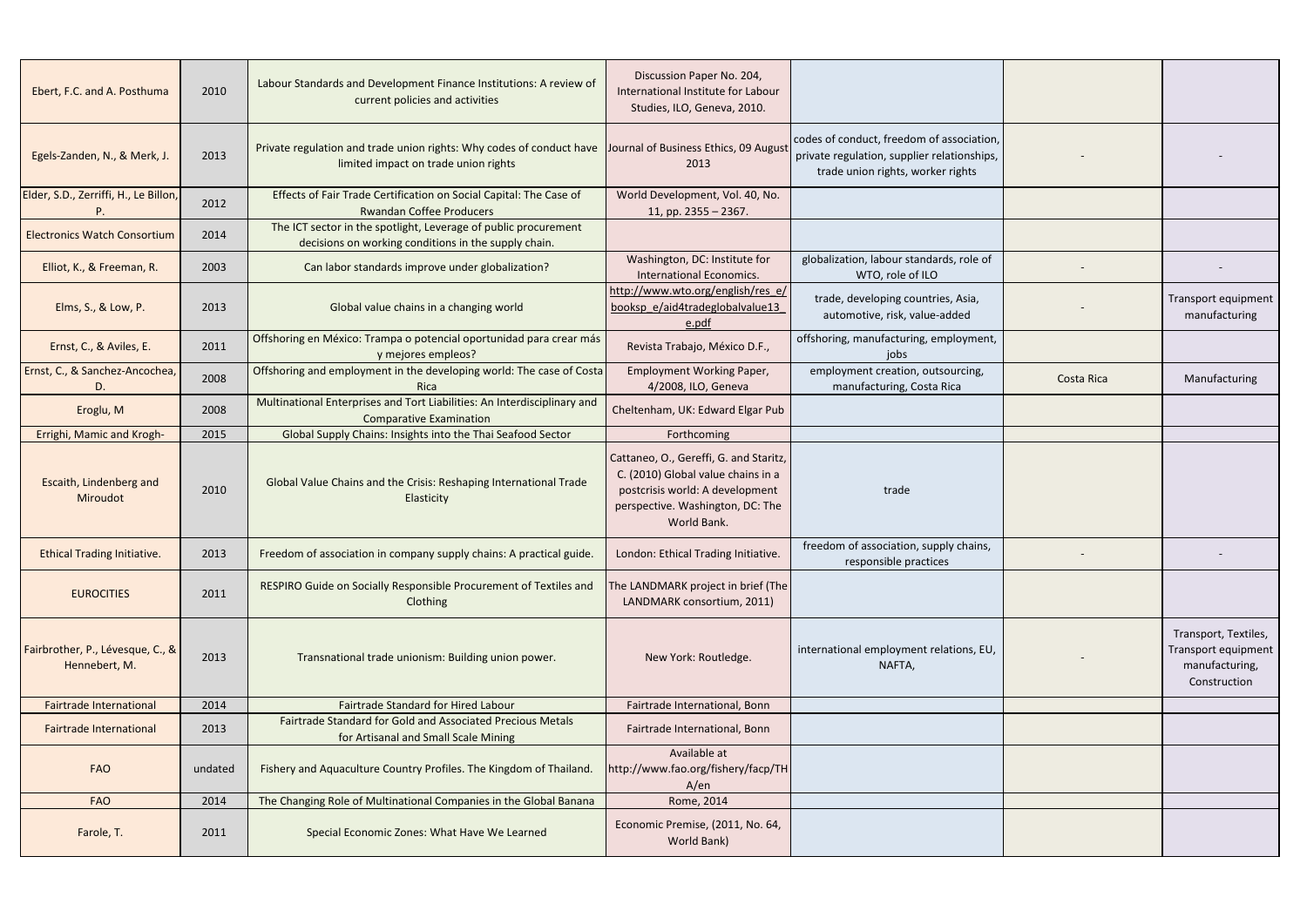| Ebert, F.C. and A. Posthuma                       | 2010    | Labour Standards and Development Finance Institutions: A review of<br>current policies and activities                                              | Discussion Paper No. 204,<br>International Institute for Labour<br>Studies, ILO, Geneva, 2010.                                                                     |                                                                                                                               |            |                                                                               |
|---------------------------------------------------|---------|----------------------------------------------------------------------------------------------------------------------------------------------------|--------------------------------------------------------------------------------------------------------------------------------------------------------------------|-------------------------------------------------------------------------------------------------------------------------------|------------|-------------------------------------------------------------------------------|
| Egels-Zanden, N., & Merk, J.                      | 2013    | Private regulation and trade union rights: Why codes of conduct have Journal of Business Ethics, 09 August<br>limited impact on trade union rights | 2013                                                                                                                                                               | codes of conduct, freedom of association,<br>private regulation, supplier relationships,<br>trade union rights, worker rights |            |                                                                               |
| Elder, S.D., Zerriffi, H., Le Billon,             | 2012    | Effects of Fair Trade Certification on Social Capital: The Case of<br><b>Rwandan Coffee Producers</b>                                              | World Development, Vol. 40, No.<br>11, pp. $2355 - 2367$ .                                                                                                         |                                                                                                                               |            |                                                                               |
| <b>Electronics Watch Consortium</b>               | 2014    | The ICT sector in the spotlight, Leverage of public procurement<br>decisions on working conditions in the supply chain.                            |                                                                                                                                                                    |                                                                                                                               |            |                                                                               |
| Elliot, K., & Freeman, R.                         | 2003    | Can labor standards improve under globalization?                                                                                                   | Washington, DC: Institute for<br><b>International Economics.</b>                                                                                                   | globalization, labour standards, role of<br>WTO, role of ILO                                                                  |            |                                                                               |
| Elms, S., & Low, P.                               | 2013    | Global value chains in a changing world                                                                                                            | http://www.wto.org/english/res_e/<br>booksp e/aid4tradeglobalvalue13<br>e.pdf                                                                                      | trade, developing countries, Asia,<br>automotive, risk, value-added                                                           |            | Transport equipment<br>manufacturing                                          |
| Ernst, C., & Aviles, E.                           | 2011    | Offshoring en México: Trampa o potencial oportunidad para crear más<br>y mejores empleos?                                                          | Revista Trabajo, México D.F.,                                                                                                                                      | offshoring, manufacturing, employment,<br>jobs                                                                                |            |                                                                               |
| Ernst, C., & Sanchez-Ancochea,<br>D               | 2008    | Offshoring and employment in the developing world: The case of Costa<br>Rica                                                                       | <b>Employment Working Paper,</b><br>4/2008, ILO, Geneva                                                                                                            | employment creation, outsourcing,<br>manufacturing, Costa Rica                                                                | Costa Rica | Manufacturing                                                                 |
| Eroglu, M                                         | 2008    | Multinational Enterprises and Tort Liabilities: An Interdisciplinary and<br><b>Comparative Examination</b>                                         | Cheltenham, UK: Edward Elgar Pub                                                                                                                                   |                                                                                                                               |            |                                                                               |
| Errighi, Mamic and Krogh-                         | 2015    | Global Supply Chains: Insights into the Thai Seafood Sector                                                                                        | Forthcoming                                                                                                                                                        |                                                                                                                               |            |                                                                               |
| Escaith, Lindenberg and<br>Miroudot               | 2010    | Global Value Chains and the Crisis: Reshaping International Trade<br>Elasticity                                                                    | Cattaneo, O., Gereffi, G. and Staritz,<br>C. (2010) Global value chains in a<br>postcrisis world: A development<br>perspective. Washington, DC: The<br>World Bank. | trade                                                                                                                         |            |                                                                               |
| <b>Ethical Trading Initiative.</b>                | 2013    | Freedom of association in company supply chains: A practical guide.                                                                                | London: Ethical Trading Initiative.                                                                                                                                | freedom of association, supply chains,<br>responsible practices                                                               |            |                                                                               |
| <b>EUROCITIES</b>                                 | 2011    | RESPIRO Guide on Socially Responsible Procurement of Textiles and<br>Clothing                                                                      | The LANDMARK project in brief (The<br>LANDMARK consortium, 2011)                                                                                                   |                                                                                                                               |            |                                                                               |
| Fairbrother, P., Lévesque, C., &<br>Hennebert, M. | 2013    | Transnational trade unionism: Building union power.                                                                                                | New York: Routledge.                                                                                                                                               | international employment relations, EU,<br>NAFTA,                                                                             |            | Transport, Textiles,<br>Transport equipment<br>manufacturing,<br>Construction |
| <b>Fairtrade International</b>                    | 2014    | Fairtrade Standard for Hired Labour                                                                                                                | Fairtrade International, Bonn                                                                                                                                      |                                                                                                                               |            |                                                                               |
| <b>Fairtrade International</b>                    | 2013    | Fairtrade Standard for Gold and Associated Precious Metals<br>for Artisanal and Small Scale Mining                                                 | Fairtrade International, Bonn                                                                                                                                      |                                                                                                                               |            |                                                                               |
| <b>FAO</b>                                        | undated | Fishery and Aquaculture Country Profiles. The Kingdom of Thailand.                                                                                 | Available at<br>http://www.fao.org/fishery/facp/TH<br>A/en                                                                                                         |                                                                                                                               |            |                                                                               |
| <b>FAO</b>                                        | 2014    | The Changing Role of Multinational Companies in the Global Banana                                                                                  | Rome, 2014                                                                                                                                                         |                                                                                                                               |            |                                                                               |
| Farole, T.                                        | 2011    | Special Economic Zones: What Have We Learned                                                                                                       | Economic Premise, (2011, No. 64,<br>World Bank)                                                                                                                    |                                                                                                                               |            |                                                                               |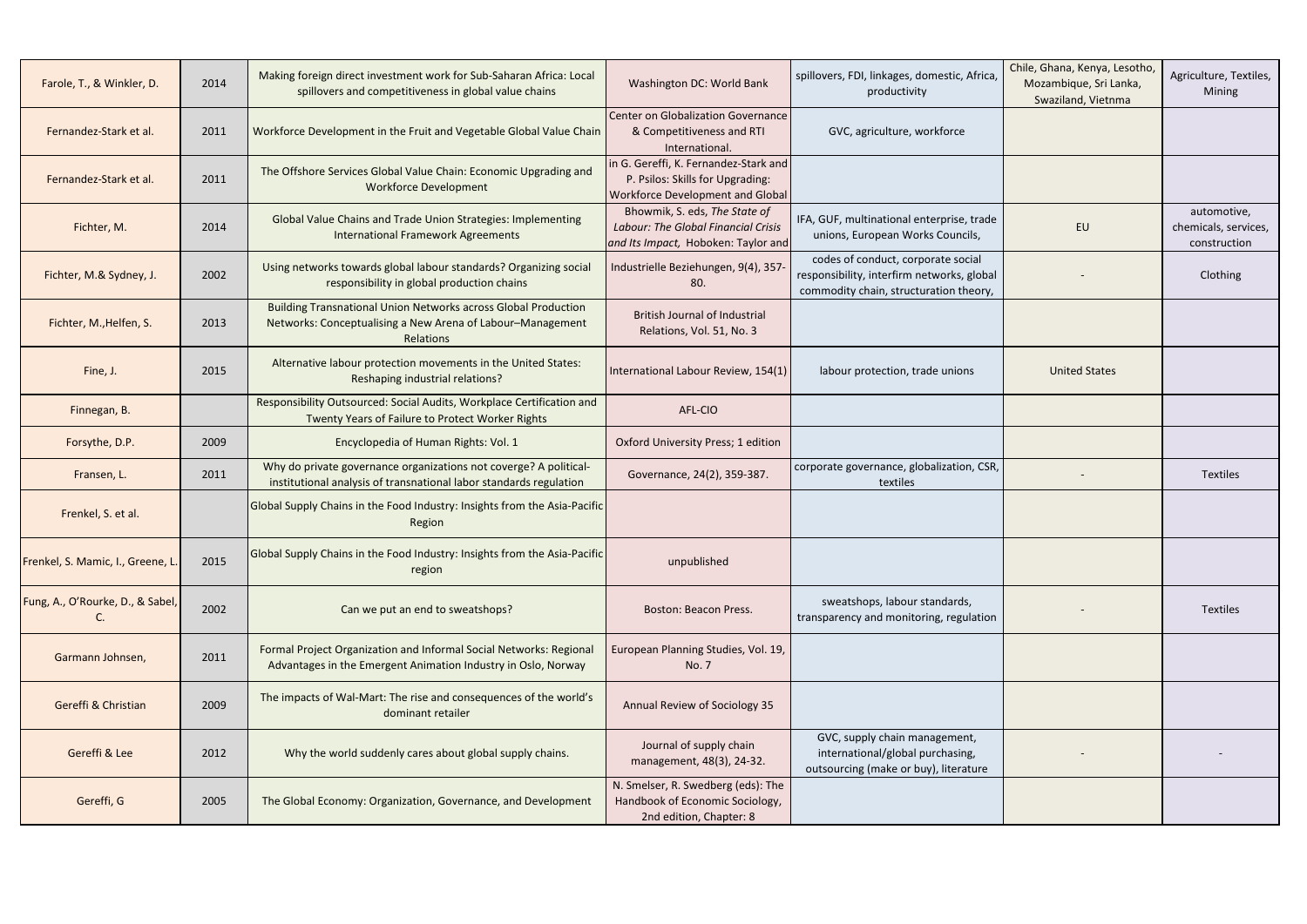| Farole, T., & Winkler, D.         | 2014 | Making foreign direct investment work for Sub-Saharan Africa: Local<br>spillovers and competitiveness in global value chains                            | Washington DC: World Bank                                                                                          | spillovers, FDI, linkages, domestic, Africa,<br>productivity                                                               | Chile, Ghana, Kenya, Lesotho,<br>Mozambique, Sri Lanka,<br>Swaziland, Vietnma | Agriculture, Textiles,<br>Mining                    |
|-----------------------------------|------|---------------------------------------------------------------------------------------------------------------------------------------------------------|--------------------------------------------------------------------------------------------------------------------|----------------------------------------------------------------------------------------------------------------------------|-------------------------------------------------------------------------------|-----------------------------------------------------|
| Fernandez-Stark et al.            | 2011 | Workforce Development in the Fruit and Vegetable Global Value Chain                                                                                     | Center on Globalization Governance<br>& Competitiveness and RTI<br>International.                                  | GVC, agriculture, workforce                                                                                                |                                                                               |                                                     |
| Fernandez-Stark et al.            | 2011 | The Offshore Services Global Value Chain: Economic Upgrading and<br><b>Workforce Development</b>                                                        | in G. Gereffi, K. Fernandez-Stark and<br>P. Psilos: Skills for Upgrading:<br>Workforce Development and Global      |                                                                                                                            |                                                                               |                                                     |
| Fichter, M.                       | 2014 | <b>Global Value Chains and Trade Union Strategies: Implementing</b><br><b>International Framework Agreements</b>                                        | Bhowmik, S. eds, The State of<br><b>Labour: The Global Financial Crisis</b><br>and Its Impact, Hoboken: Taylor and | IFA, GUF, multinational enterprise, trade<br>unions, European Works Councils,                                              | EU                                                                            | automotive,<br>chemicals, services,<br>construction |
| Fichter, M.& Sydney, J.           | 2002 | Using networks towards global labour standards? Organizing social<br>responsibility in global production chains                                         | Industrielle Beziehungen, 9(4), 357<br>80.                                                                         | codes of conduct, corporate social<br>responsibility, interfirm networks, global<br>commodity chain, structuration theory, |                                                                               | Clothing                                            |
| Fichter, M., Helfen, S.           | 2013 | <b>Building Transnational Union Networks across Global Production</b><br>Networks: Conceptualising a New Arena of Labour-Management<br><b>Relations</b> | <b>British Journal of Industrial</b><br>Relations, Vol. 51, No. 3                                                  |                                                                                                                            |                                                                               |                                                     |
| Fine, J.                          | 2015 | Alternative labour protection movements in the United States:<br>Reshaping industrial relations?                                                        | International Labour Review, 154(1)                                                                                | labour protection, trade unions                                                                                            | <b>United States</b>                                                          |                                                     |
| Finnegan, B.                      |      | Responsibility Outsourced: Social Audits, Workplace Certification and<br>Twenty Years of Failure to Protect Worker Rights                               | AFL-CIO                                                                                                            |                                                                                                                            |                                                                               |                                                     |
| Forsythe, D.P.                    | 2009 | Encyclopedia of Human Rights: Vol. 1                                                                                                                    | Oxford University Press; 1 edition                                                                                 |                                                                                                                            |                                                                               |                                                     |
| Fransen, L.                       | 2011 | Why do private governance organizations not coverge? A political-<br>institutional analysis of transnational labor standards regulation                 | Governance, 24(2), 359-387.                                                                                        | corporate governance, globalization, CSR,<br>textiles                                                                      |                                                                               | <b>Textiles</b>                                     |
| Frenkel, S. et al.                |      | Global Supply Chains in the Food Industry: Insights from the Asia-Pacific<br>Region                                                                     |                                                                                                                    |                                                                                                                            |                                                                               |                                                     |
| Frenkel, S. Mamic, I., Greene, L. | 2015 | Global Supply Chains in the Food Industry: Insights from the Asia-Pacific<br>region                                                                     | unpublished                                                                                                        |                                                                                                                            |                                                                               |                                                     |
| Fung, A., O'Rourke, D., & Sabel,  | 2002 | Can we put an end to sweatshops?                                                                                                                        | Boston: Beacon Press.                                                                                              | sweatshops, labour standards,<br>transparency and monitoring, regulation                                                   |                                                                               | <b>Textiles</b>                                     |
| Garmann Johnsen,                  | 2011 | Formal Project Organization and Informal Social Networks: Regional<br>Advantages in the Emergent Animation Industry in Oslo, Norway                     | European Planning Studies, Vol. 19,<br>No. 7                                                                       |                                                                                                                            |                                                                               |                                                     |
| Gereffi & Christian               | 2009 | The impacts of Wal-Mart: The rise and consequences of the world's<br>dominant retailer                                                                  | Annual Review of Sociology 35                                                                                      |                                                                                                                            |                                                                               |                                                     |
| Gereffi & Lee                     | 2012 | Why the world suddenly cares about global supply chains.                                                                                                | Journal of supply chain<br>management, 48(3), 24-32.                                                               | GVC, supply chain management,<br>international/global purchasing,<br>outsourcing (make or buy), literature                 |                                                                               |                                                     |
| Gereffi, G                        | 2005 | The Global Economy: Organization, Governance, and Development                                                                                           | N. Smelser, R. Swedberg (eds): The<br>Handbook of Economic Sociology,<br>2nd edition, Chapter: 8                   |                                                                                                                            |                                                                               |                                                     |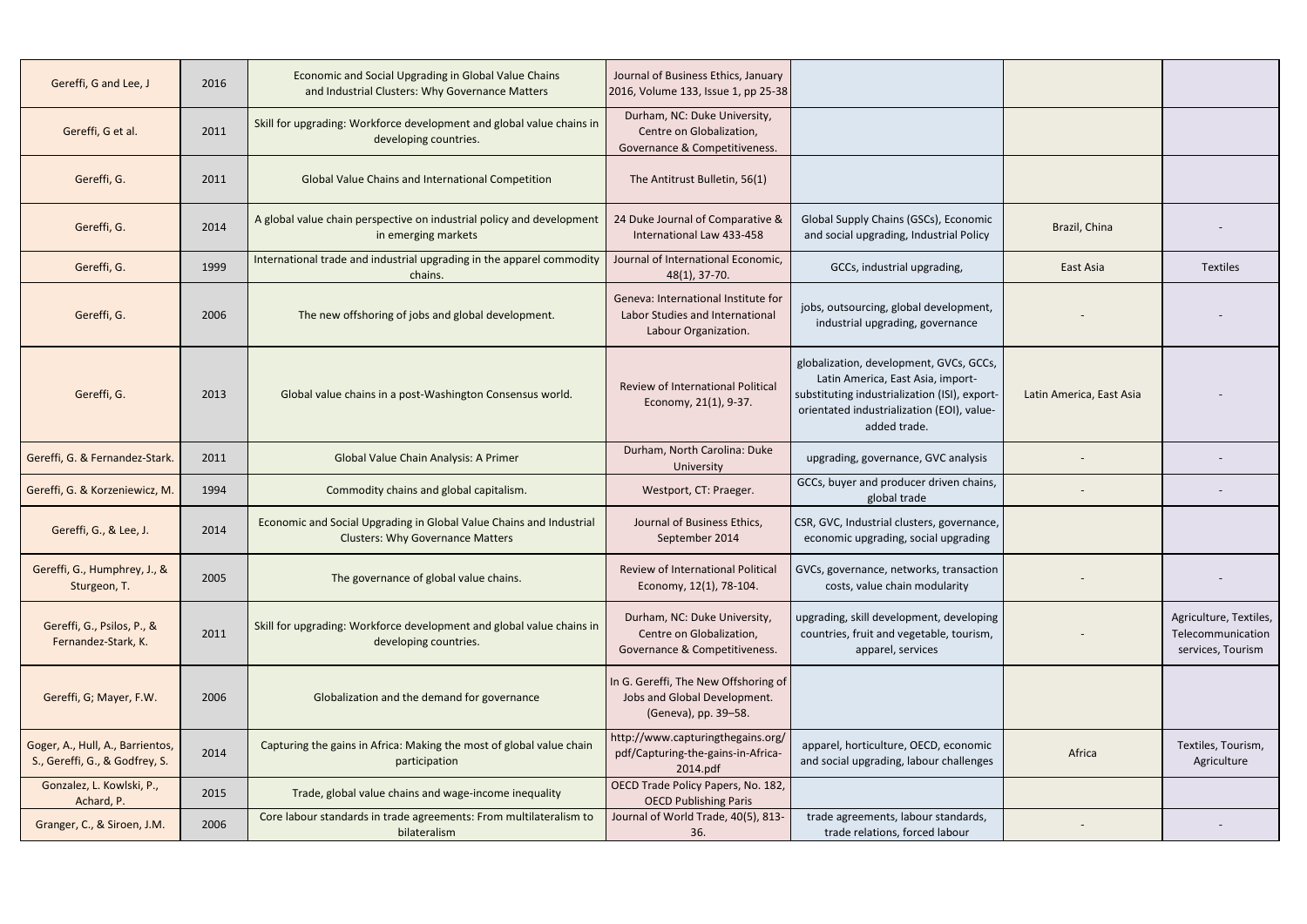| 2016 | Economic and Social Upgrading in Global Value Chains<br>and Industrial Clusters: Why Governance Matters        | Journal of Business Ethics, January                                                            |                                                                                                                                                                                             |                                     |                                                                  |
|------|----------------------------------------------------------------------------------------------------------------|------------------------------------------------------------------------------------------------|---------------------------------------------------------------------------------------------------------------------------------------------------------------------------------------------|-------------------------------------|------------------------------------------------------------------|
| 2011 | Skill for upgrading: Workforce development and global value chains in<br>developing countries.                 | Durham, NC: Duke University,<br>Centre on Globalization,<br>Governance & Competitiveness.      |                                                                                                                                                                                             |                                     |                                                                  |
| 2011 | <b>Global Value Chains and International Competition</b>                                                       | The Antitrust Bulletin, 56(1)                                                                  |                                                                                                                                                                                             |                                     |                                                                  |
| 2014 | A global value chain perspective on industrial policy and development<br>in emerging markets                   | 24 Duke Journal of Comparative &<br>International Law 433-458                                  | Global Supply Chains (GSCs), Economic<br>and social upgrading, Industrial Policy                                                                                                            | Brazil, China                       |                                                                  |
| 1999 | International trade and industrial upgrading in the apparel commodity<br>chains.                               | Journal of International Economic,<br>$48(1)$ , 37-70.                                         | GCCs, industrial upgrading,                                                                                                                                                                 | East Asia                           | <b>Textiles</b>                                                  |
| 2006 | The new offshoring of jobs and global development.                                                             | Geneva: International Institute for<br>Labor Studies and International<br>Labour Organization. | jobs, outsourcing, global development,<br>industrial upgrading, governance                                                                                                                  |                                     |                                                                  |
| 2013 | Global value chains in a post-Washington Consensus world.                                                      | Review of International Political<br>Economy, 21(1), 9-37.                                     | globalization, development, GVCs, GCCs,<br>Latin America, East Asia, import-<br>substituting industrialization (ISI), export-<br>orientated industrialization (EOI), value-<br>added trade. | Latin America, East Asia            |                                                                  |
| 2011 | Global Value Chain Analysis: A Primer                                                                          | Durham, North Carolina: Duke<br>University                                                     | upgrading, governance, GVC analysis                                                                                                                                                         |                                     |                                                                  |
| 1994 | Commodity chains and global capitalism.                                                                        | Westport, CT: Praeger.                                                                         | GCCs, buyer and producer driven chains,<br>global trade                                                                                                                                     |                                     |                                                                  |
| 2014 | Economic and Social Upgrading in Global Value Chains and Industrial<br><b>Clusters: Why Governance Matters</b> | Journal of Business Ethics,<br>September 2014                                                  | CSR, GVC, Industrial clusters, governance,<br>economic upgrading, social upgrading                                                                                                          |                                     |                                                                  |
| 2005 | The governance of global value chains.                                                                         | Review of International Political<br>Economy, 12(1), 78-104.                                   | GVCs, governance, networks, transaction<br>costs, value chain modularity                                                                                                                    |                                     |                                                                  |
| 2011 | Skill for upgrading: Workforce development and global value chains in<br>developing countries.                 | Durham, NC: Duke University,<br>Centre on Globalization,<br>Governance & Competitiveness.      | upgrading, skill development, developing<br>countries, fruit and vegetable, tourism,<br>apparel, services                                                                                   |                                     | Agriculture, Textiles,<br>Telecommunication<br>services, Tourism |
| 2006 | Globalization and the demand for governance                                                                    | In G. Gereffi, The New Offshoring of<br>Jobs and Global Development.<br>(Geneva), pp. 39-58.   |                                                                                                                                                                                             |                                     |                                                                  |
| 2014 | Capturing the gains in Africa: Making the most of global value chain<br>participation                          | http://www.capturingthegains.org/<br>pdf/Capturing-the-gains-in-Africa-<br>2014.pdf            | apparel, horticulture, OECD, economic<br>and social upgrading, labour challenges                                                                                                            | Africa                              | Textiles, Tourism,<br>Agriculture                                |
| 2015 | Trade, global value chains and wage-income inequality                                                          | OECD Trade Policy Papers, No. 182,<br><b>OECD Publishing Paris</b>                             |                                                                                                                                                                                             |                                     |                                                                  |
| 2006 | Core labour standards in trade agreements: From multilateralism to<br>bilateralism                             | Journal of World Trade, 40(5), 813-<br>36.                                                     | trade agreements, labour standards,<br>trade relations, forced labour                                                                                                                       |                                     |                                                                  |
|      |                                                                                                                |                                                                                                |                                                                                                                                                                                             | 2016, Volume 133, Issue 1, pp 25-38 |                                                                  |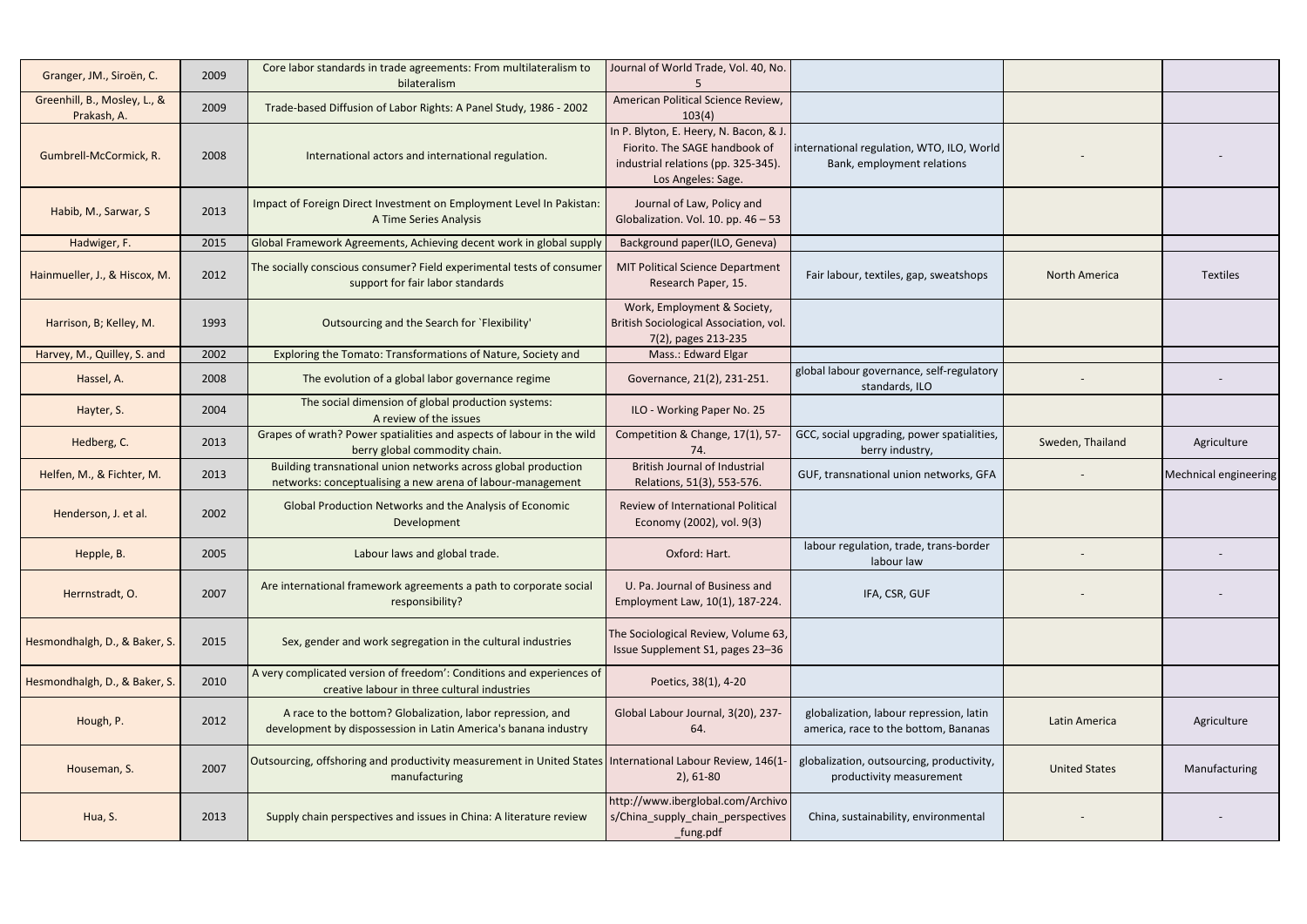| Granger, JM., Siroën, C.                    | 2009 | Core labor standards in trade agreements: From multilateralism to<br>bilateralism                                             | Journal of World Trade, Vol. 40, No.                                                                                                 |                                                                                 |                      |                              |
|---------------------------------------------|------|-------------------------------------------------------------------------------------------------------------------------------|--------------------------------------------------------------------------------------------------------------------------------------|---------------------------------------------------------------------------------|----------------------|------------------------------|
| Greenhill, B., Mosley, L., &<br>Prakash, A. | 2009 | Trade-based Diffusion of Labor Rights: A Panel Study, 1986 - 2002                                                             | American Political Science Review,<br>103(4)                                                                                         |                                                                                 |                      |                              |
| Gumbrell-McCormick, R.                      | 2008 | International actors and international regulation.                                                                            | In P. Blyton, E. Heery, N. Bacon, & J.<br>Fiorito. The SAGE handbook of<br>industrial relations (pp. 325-345).<br>Los Angeles: Sage. | international regulation, WTO, ILO, World<br>Bank, employment relations         |                      |                              |
| Habib, M., Sarwar, S                        | 2013 | Impact of Foreign Direct Investment on Employment Level In Pakistan:<br>A Time Series Analysis                                | Journal of Law, Policy and<br>Globalization. Vol. 10. pp. $46 - 53$                                                                  |                                                                                 |                      |                              |
| Hadwiger, F.                                | 2015 | Global Framework Agreements, Achieving decent work in global supply                                                           | Background paper(ILO, Geneva)                                                                                                        |                                                                                 |                      |                              |
| Hainmueller, J., & Hiscox, M.               | 2012 | The socially conscious consumer? Field experimental tests of consumer<br>support for fair labor standards                     | <b>MIT Political Science Department</b><br>Research Paper, 15.                                                                       | Fair labour, textiles, gap, sweatshops                                          | <b>North America</b> | <b>Textiles</b>              |
| Harrison, B; Kelley, M.                     | 1993 | Outsourcing and the Search for `Flexibility'                                                                                  | Work, Employment & Society,<br>British Sociological Association, vol.<br>7(2), pages 213-235                                         |                                                                                 |                      |                              |
| Harvey, M., Quilley, S. and                 | 2002 | Exploring the Tomato: Transformations of Nature, Society and                                                                  | Mass.: Edward Elgar                                                                                                                  |                                                                                 |                      |                              |
| Hassel, A.                                  | 2008 | The evolution of a global labor governance regime                                                                             | Governance, 21(2), 231-251.                                                                                                          | global labour governance, self-regulatory<br>standards, ILO                     |                      |                              |
| Hayter, S.                                  | 2004 | The social dimension of global production systems:<br>A review of the issues                                                  | ILO - Working Paper No. 25                                                                                                           |                                                                                 |                      |                              |
| Hedberg, C.                                 | 2013 | Grapes of wrath? Power spatialities and aspects of labour in the wild<br>berry global commodity chain.                        | Competition & Change, 17(1), 57<br>74.                                                                                               | GCC, social upgrading, power spatialities,<br>berry industry,                   | Sweden, Thailand     | Agriculture                  |
| Helfen, M., & Fichter, M.                   | 2013 | Building transnational union networks across global production<br>networks: conceptualising a new arena of labour-management  | <b>British Journal of Industrial</b><br>Relations, 51(3), 553-576.                                                                   | GUF, transnational union networks, GFA                                          |                      | <b>Mechnical engineering</b> |
| Henderson, J. et al.                        | 2002 | Global Production Networks and the Analysis of Economic<br>Development                                                        | Review of International Political<br>Economy (2002), vol. 9(3)                                                                       |                                                                                 |                      |                              |
| Hepple, B.                                  | 2005 | Labour laws and global trade.                                                                                                 | Oxford: Hart.                                                                                                                        | labour regulation, trade, trans-border<br>labour law                            |                      | $\sim$                       |
| Herrnstradt, O.                             | 2007 | Are international framework agreements a path to corporate social<br>responsibility?                                          | U. Pa. Journal of Business and<br>Employment Law, 10(1), 187-224.                                                                    | IFA, CSR, GUF                                                                   |                      |                              |
| Hesmondhalgh, D., & Baker, S.               | 2015 | Sex, gender and work segregation in the cultural industries                                                                   | The Sociological Review, Volume 63,<br>Issue Supplement S1, pages 23-36                                                              |                                                                                 |                      |                              |
| Hesmondhalgh, D., & Baker, S.               | 2010 | A very complicated version of freedom': Conditions and experiences of<br>creative labour in three cultural industries         | Poetics, 38(1), 4-20                                                                                                                 |                                                                                 |                      |                              |
| Hough, P.                                   | 2012 | A race to the bottom? Globalization, labor repression, and<br>development by dispossession in Latin America's banana industry | Global Labour Journal, 3(20), 237-<br>64.                                                                                            | globalization, labour repression, latin<br>america, race to the bottom, Bananas | Latin America        | Agriculture                  |
| Houseman, S.                                | 2007 | Outsourcing, offshoring and productivity measurement in United States   International Labour Review, 146(1-<br>manufacturing  | $2)$ , 61-80                                                                                                                         | globalization, outsourcing, productivity,<br>productivity measurement           | <b>United States</b> | Manufacturing                |
| Hua, S.                                     | 2013 | Supply chain perspectives and issues in China: A literature review                                                            | http://www.iberglobal.com/Archivo<br>s/China_supply_chain_perspectives<br>_fung.pdf                                                  | China, sustainability, environmental                                            |                      |                              |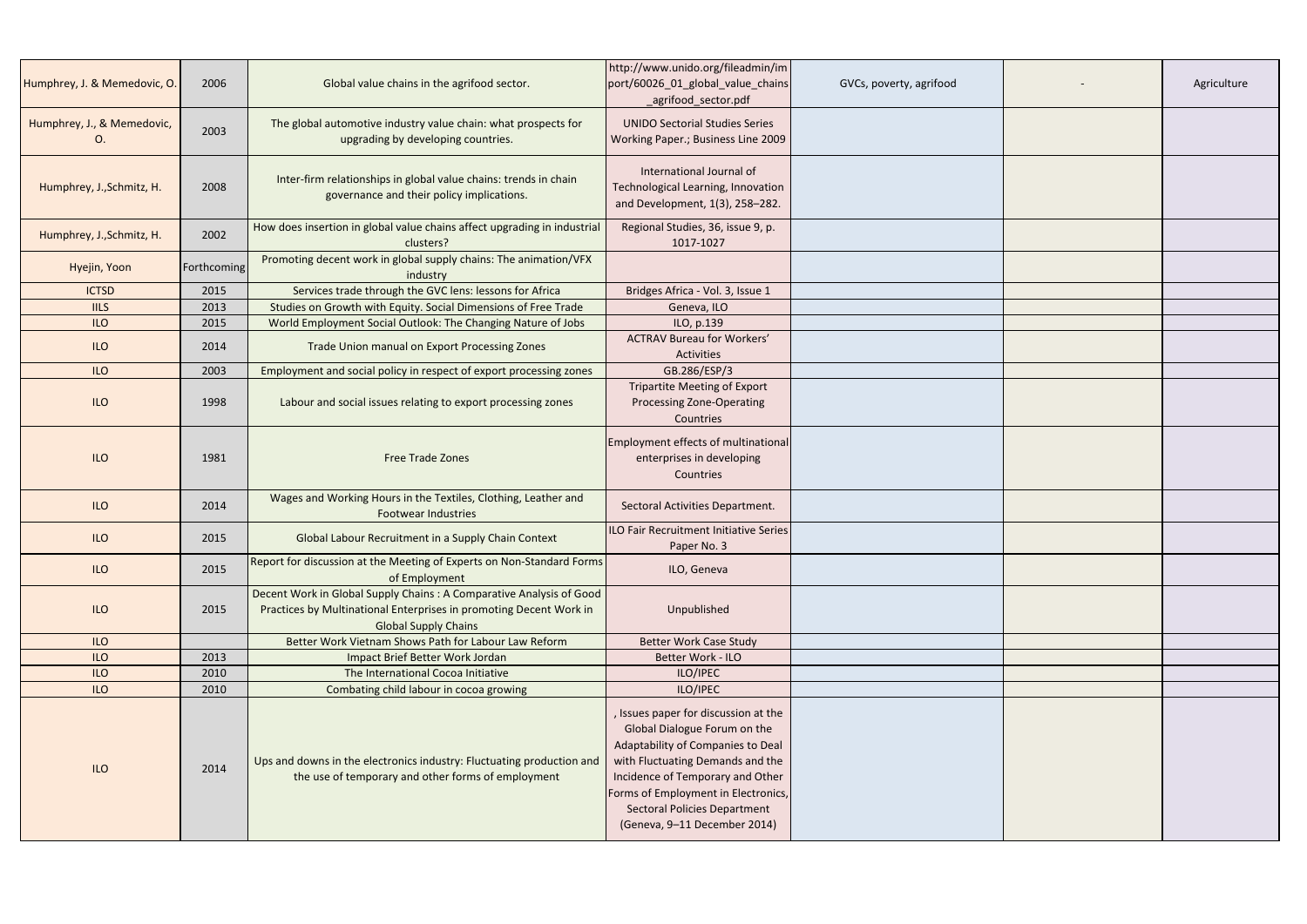| Humphrey, J. & Memedovic, O.     | 2006        | Global value chains in the agrifood sector.                                                                                                                               | http://www.unido.org/fileadmin/im<br>port/60026_01_global_value_chains<br>agrifood_sector.pdf                                                                                                                                                                                                   | GVCs, poverty, agrifood | Agriculture |
|----------------------------------|-------------|---------------------------------------------------------------------------------------------------------------------------------------------------------------------------|-------------------------------------------------------------------------------------------------------------------------------------------------------------------------------------------------------------------------------------------------------------------------------------------------|-------------------------|-------------|
| Humphrey, J., & Memedovic,<br>O. | 2003        | The global automotive industry value chain: what prospects for<br>upgrading by developing countries.                                                                      | <b>UNIDO Sectorial Studies Series</b><br>Working Paper.; Business Line 2009                                                                                                                                                                                                                     |                         |             |
| Humphrey, J., Schmitz, H.        | 2008        | Inter-firm relationships in global value chains: trends in chain<br>governance and their policy implications.                                                             | International Journal of<br>Technological Learning, Innovation<br>and Development, 1(3), 258-282.                                                                                                                                                                                               |                         |             |
| Humphrey, J., Schmitz, H.        | 2002        | How does insertion in global value chains affect upgrading in industrial<br>clusters?                                                                                     | Regional Studies, 36, issue 9, p.<br>1017-1027                                                                                                                                                                                                                                                  |                         |             |
| Hyejin, Yoon                     | Forthcoming | Promoting decent work in global supply chains: The animation/VFX<br>industry                                                                                              |                                                                                                                                                                                                                                                                                                 |                         |             |
| <b>ICTSD</b>                     | 2015        | Services trade through the GVC lens: lessons for Africa                                                                                                                   | Bridges Africa - Vol. 3, Issue 1                                                                                                                                                                                                                                                                |                         |             |
| <b>IILS</b>                      | 2013        | Studies on Growth with Equity. Social Dimensions of Free Trade                                                                                                            | Geneva, ILO                                                                                                                                                                                                                                                                                     |                         |             |
| <b>ILO</b>                       | 2015        | World Employment Social Outlook: The Changing Nature of Jobs                                                                                                              | ILO, p.139                                                                                                                                                                                                                                                                                      |                         |             |
| ILO                              | 2014        | Trade Union manual on Export Processing Zones                                                                                                                             | <b>ACTRAV Bureau for Workers'</b><br>Activities                                                                                                                                                                                                                                                 |                         |             |
| <b>ILO</b>                       | 2003        | Employment and social policy in respect of export processing zones                                                                                                        | GB.286/ESP/3                                                                                                                                                                                                                                                                                    |                         |             |
| ILO                              | 1998        | Labour and social issues relating to export processing zones                                                                                                              | <b>Tripartite Meeting of Export</b><br>Processing Zone-Operating<br>Countries                                                                                                                                                                                                                   |                         |             |
| <b>ILO</b>                       | 1981        | <b>Free Trade Zones</b>                                                                                                                                                   | <b>Employment effects of multinational</b><br>enterprises in developing<br>Countries                                                                                                                                                                                                            |                         |             |
| <b>ILO</b>                       | 2014        | Wages and Working Hours in the Textiles, Clothing, Leather and<br><b>Footwear Industries</b>                                                                              | Sectoral Activities Department.                                                                                                                                                                                                                                                                 |                         |             |
| <b>ILO</b>                       | 2015        | Global Labour Recruitment in a Supply Chain Context                                                                                                                       | ILO Fair Recruitment Initiative Series<br>Paper No. 3                                                                                                                                                                                                                                           |                         |             |
| <b>ILO</b>                       | 2015        | Report for discussion at the Meeting of Experts on Non-Standard Forms<br>of Employment                                                                                    | ILO, Geneva                                                                                                                                                                                                                                                                                     |                         |             |
| ILO                              | 2015        | Decent Work in Global Supply Chains : A Comparative Analysis of Good<br>Practices by Multinational Enterprises in promoting Decent Work in<br><b>Global Supply Chains</b> | Unpublished                                                                                                                                                                                                                                                                                     |                         |             |
| <b>ILO</b>                       |             | Better Work Vietnam Shows Path for Labour Law Reform                                                                                                                      | <b>Better Work Case Study</b>                                                                                                                                                                                                                                                                   |                         |             |
| <b>ILO</b>                       | 2013        | Impact Brief Better Work Jordan                                                                                                                                           | Better Work - ILO                                                                                                                                                                                                                                                                               |                         |             |
| <b>ILO</b>                       | 2010        | The International Cocoa Initiative                                                                                                                                        | ILO/IPEC                                                                                                                                                                                                                                                                                        |                         |             |
| <b>ILO</b>                       | 2010        | Combating child labour in cocoa growing                                                                                                                                   | ILO/IPEC                                                                                                                                                                                                                                                                                        |                         |             |
| <b>ILO</b>                       | 2014        | Ups and downs in the electronics industry: Fluctuating production and<br>the use of temporary and other forms of employment                                               | , Issues paper for discussion at the<br>Global Dialogue Forum on the<br>Adaptability of Companies to Deal<br>with Fluctuating Demands and the<br>Incidence of Temporary and Other<br>Forms of Employment in Electronics,<br><b>Sectoral Policies Department</b><br>(Geneva, 9-11 December 2014) |                         |             |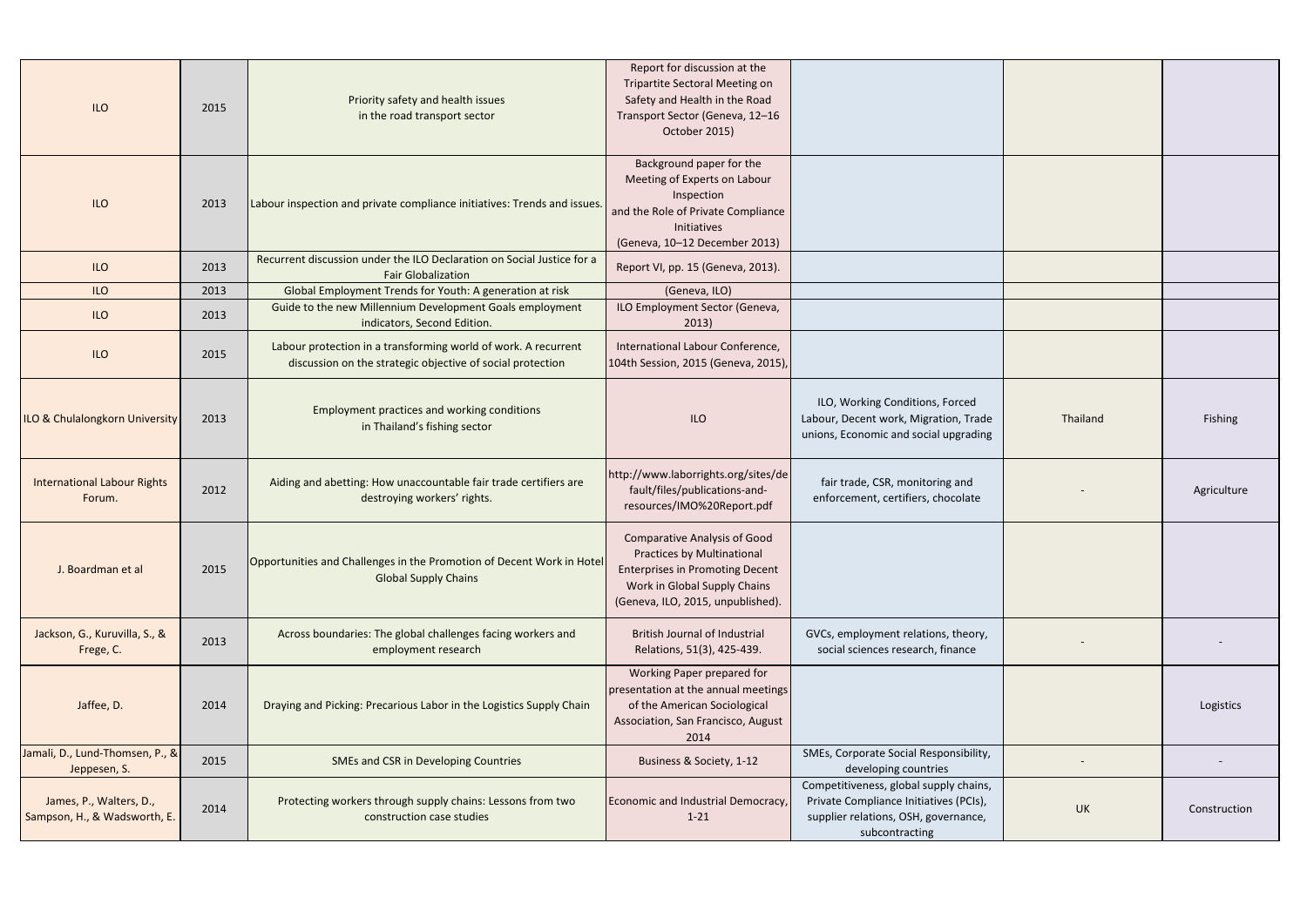|                                           |      | Priority safety and health issues                                                                   | Report for discussion at the<br><b>Tripartite Sectoral Meeting on</b><br>Safety and Health in the Road |                                        |           |              |
|-------------------------------------------|------|-----------------------------------------------------------------------------------------------------|--------------------------------------------------------------------------------------------------------|----------------------------------------|-----------|--------------|
| <b>ILO</b>                                | 2015 | in the road transport sector                                                                        | Transport Sector (Geneva, 12-16                                                                        |                                        |           |              |
|                                           |      |                                                                                                     | October 2015)                                                                                          |                                        |           |              |
|                                           |      |                                                                                                     |                                                                                                        |                                        |           |              |
|                                           |      |                                                                                                     | Background paper for the                                                                               |                                        |           |              |
|                                           |      |                                                                                                     | Meeting of Experts on Labour                                                                           |                                        |           |              |
| <b>ILO</b>                                | 2013 | Labour inspection and private compliance initiatives: Trends and issues.                            | Inspection                                                                                             |                                        |           |              |
|                                           |      |                                                                                                     | and the Role of Private Compliance<br>Initiatives                                                      |                                        |           |              |
|                                           |      |                                                                                                     | (Geneva, 10-12 December 2013)                                                                          |                                        |           |              |
| <b>ILO</b>                                | 2013 | Recurrent discussion under the ILO Declaration on Social Justice for a<br><b>Fair Globalization</b> | Report VI, pp. 15 (Geneva, 2013).                                                                      |                                        |           |              |
| <b>ILO</b>                                | 2013 | Global Employment Trends for Youth: A generation at risk                                            | (Geneva, ILO)                                                                                          |                                        |           |              |
| <b>ILO</b>                                | 2013 | Guide to the new Millennium Development Goals employment                                            | ILO Employment Sector (Geneva,                                                                         |                                        |           |              |
|                                           |      | indicators, Second Edition.                                                                         | 2013)                                                                                                  |                                        |           |              |
|                                           |      | Labour protection in a transforming world of work. A recurrent                                      | International Labour Conference,                                                                       |                                        |           |              |
| <b>ILO</b>                                | 2015 | discussion on the strategic objective of social protection                                          | 104th Session, 2015 (Geneva, 2015),                                                                    |                                        |           |              |
|                                           |      |                                                                                                     |                                                                                                        |                                        |           |              |
|                                           |      |                                                                                                     |                                                                                                        | ILO, Working Conditions, Forced        |           |              |
| <b>ILO &amp; Chulalongkorn University</b> | 2013 | Employment practices and working conditions                                                         | <b>ILO</b>                                                                                             | Labour, Decent work, Migration, Trade  | Thailand  | Fishing      |
|                                           |      | in Thailand's fishing sector                                                                        |                                                                                                        | unions, Economic and social upgrading  |           |              |
|                                           |      |                                                                                                     |                                                                                                        |                                        |           |              |
|                                           |      |                                                                                                     | http://www.laborrights.org/sites/de                                                                    |                                        |           |              |
| <b>International Labour Rights</b>        | 2012 | Aiding and abetting: How unaccountable fair trade certifiers are                                    | fault/files/publications-and-                                                                          | fair trade, CSR, monitoring and        |           | Agriculture  |
| Forum.                                    |      | destroying workers' rights.                                                                         | resources/IMO%20Report.pdf                                                                             | enforcement, certifiers, chocolate     |           |              |
|                                           |      |                                                                                                     |                                                                                                        |                                        |           |              |
|                                           |      |                                                                                                     | <b>Comparative Analysis of Good</b>                                                                    |                                        |           |              |
|                                           |      | Opportunities and Challenges in the Promotion of Decent Work in Hotel                               | <b>Practices by Multinational</b>                                                                      |                                        |           |              |
| J. Boardman et al                         | 2015 | <b>Global Supply Chains</b>                                                                         | <b>Enterprises in Promoting Decent</b>                                                                 |                                        |           |              |
|                                           |      |                                                                                                     | Work in Global Supply Chains                                                                           |                                        |           |              |
|                                           |      |                                                                                                     | (Geneva, ILO, 2015, unpublished).                                                                      |                                        |           |              |
| Jackson, G., Kuruvilla, S., &             |      | Across boundaries: The global challenges facing workers and                                         | <b>British Journal of Industrial</b>                                                                   | GVCs, employment relations, theory,    |           |              |
| Frege, C.                                 | 2013 | employment research                                                                                 | Relations, 51(3), 425-439.                                                                             | social sciences research, finance      |           |              |
|                                           |      |                                                                                                     | Working Paper prepared for                                                                             |                                        |           |              |
|                                           |      |                                                                                                     | presentation at the annual meetings                                                                    |                                        |           |              |
| Jaffee, D.                                | 2014 | Draying and Picking: Precarious Labor in the Logistics Supply Chain                                 | of the American Sociological                                                                           |                                        |           | Logistics    |
|                                           |      |                                                                                                     | Association, San Francisco, August                                                                     |                                        |           |              |
|                                           |      |                                                                                                     | 2014                                                                                                   |                                        |           |              |
| Jamali, D., Lund-Thomsen, P., &           | 2015 | <b>SMEs and CSR in Developing Countries</b>                                                         | Business & Society, 1-12                                                                               | SMEs, Corporate Social Responsibility, |           |              |
| Jeppesen, S.                              |      |                                                                                                     |                                                                                                        | developing countries                   |           |              |
|                                           |      |                                                                                                     |                                                                                                        | Competitiveness, global supply chains, |           |              |
| James, P., Walters, D.,                   | 2014 | Protecting workers through supply chains: Lessons from two                                          | Economic and Industrial Democracy,                                                                     | Private Compliance Initiatives (PCIs), | <b>UK</b> | Construction |
| Sampson, H., & Wadsworth, E.              |      | construction case studies                                                                           | $1 - 21$                                                                                               | supplier relations, OSH, governance,   |           |              |
|                                           |      |                                                                                                     |                                                                                                        | subcontracting                         |           |              |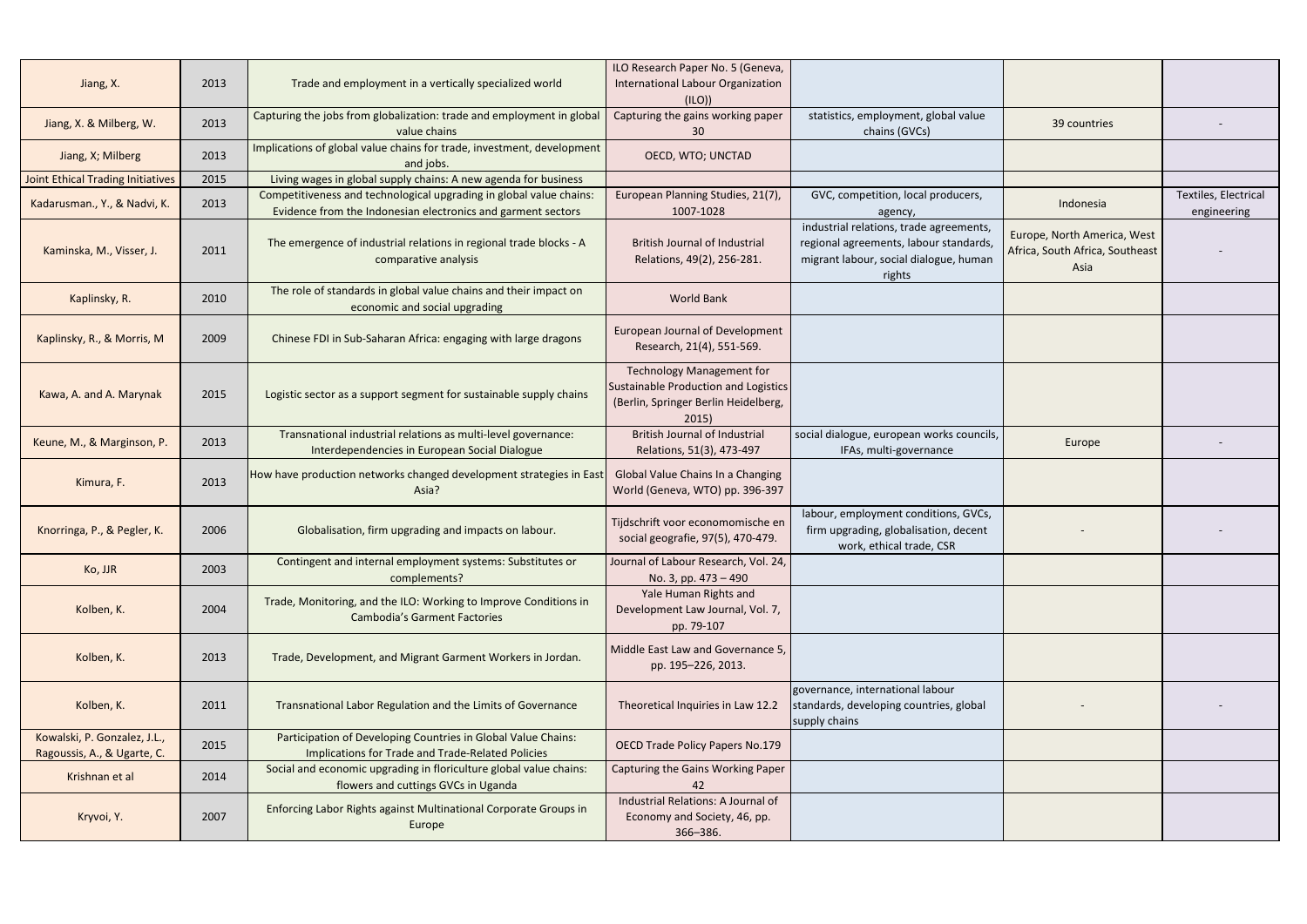| Jiang, X.                                                   | 2013 | Trade and employment in a vertically specialized world                                                                              | ILO Research Paper No. 5 (Geneva,<br>International Labour Organization<br>(ILO)                                           |                                                                                                                                       |                                                                        |                                     |
|-------------------------------------------------------------|------|-------------------------------------------------------------------------------------------------------------------------------------|---------------------------------------------------------------------------------------------------------------------------|---------------------------------------------------------------------------------------------------------------------------------------|------------------------------------------------------------------------|-------------------------------------|
| Jiang, X. & Milberg, W.                                     | 2013 | Capturing the jobs from globalization: trade and employment in global<br>value chains                                               | Capturing the gains working paper<br>30                                                                                   | statistics, employment, global value<br>chains (GVCs)                                                                                 | 39 countries                                                           |                                     |
| Jiang, X; Milberg                                           | 2013 | Implications of global value chains for trade, investment, development<br>and jobs.                                                 | OECD, WTO; UNCTAD                                                                                                         |                                                                                                                                       |                                                                        |                                     |
| <b>Joint Ethical Trading Initiatives</b>                    | 2015 | Living wages in global supply chains: A new agenda for business                                                                     |                                                                                                                           |                                                                                                                                       |                                                                        |                                     |
| Kadarusman., Y., & Nadvi, K.                                | 2013 | Competitiveness and technological upgrading in global value chains:<br>Evidence from the Indonesian electronics and garment sectors | European Planning Studies, 21(7),<br>1007-1028                                                                            | GVC, competition, local producers,<br>agency,                                                                                         | Indonesia                                                              | Textiles, Electrical<br>engineering |
| Kaminska, M., Visser, J.                                    | 2011 | The emergence of industrial relations in regional trade blocks - A<br>comparative analysis                                          | <b>British Journal of Industrial</b><br>Relations, 49(2), 256-281.                                                        | industrial relations, trade agreements,<br>regional agreements, labour standards,<br>migrant labour, social dialogue, human<br>rights | Europe, North America, West<br>Africa, South Africa, Southeast<br>Asia |                                     |
| Kaplinsky, R.                                               | 2010 | The role of standards in global value chains and their impact on<br>economic and social upgrading                                   | <b>World Bank</b>                                                                                                         |                                                                                                                                       |                                                                        |                                     |
| Kaplinsky, R., & Morris, M                                  | 2009 | Chinese FDI in Sub-Saharan Africa: engaging with large dragons                                                                      | <b>European Journal of Development</b><br>Research, 21(4), 551-569.                                                       |                                                                                                                                       |                                                                        |                                     |
| Kawa, A. and A. Marynak                                     | 2015 | Logistic sector as a support segment for sustainable supply chains                                                                  | <b>Technology Management for</b><br>Sustainable Production and Logistics<br>(Berlin, Springer Berlin Heidelberg,<br>2015) |                                                                                                                                       |                                                                        |                                     |
| Keune, M., & Marginson, P.                                  | 2013 | Transnational industrial relations as multi-level governance:<br>Interdependencies in European Social Dialogue                      | <b>British Journal of Industrial</b><br>Relations, 51(3), 473-497                                                         | social dialogue, european works councils,<br>IFAs, multi-governance                                                                   | Europe                                                                 |                                     |
| Kimura, F.                                                  | 2013 | How have production networks changed development strategies in East<br>Asia?                                                        | Global Value Chains In a Changing<br>World (Geneva, WTO) pp. 396-397                                                      |                                                                                                                                       |                                                                        |                                     |
| Knorringa, P., & Pegler, K.                                 | 2006 | Globalisation, firm upgrading and impacts on labour.                                                                                | Tijdschrift voor economomische en<br>social geografie, 97(5), 470-479.                                                    | labour, employment conditions, GVCs,<br>firm upgrading, globalisation, decent<br>work, ethical trade, CSR                             |                                                                        |                                     |
| Ko, JJR                                                     | 2003 | Contingent and internal employment systems: Substitutes or<br>complements?                                                          | Journal of Labour Research, Vol. 24,<br>No. 3, pp. 473 – 490                                                              |                                                                                                                                       |                                                                        |                                     |
| Kolben, K.                                                  | 2004 | Trade, Monitoring, and the ILO: Working to Improve Conditions in<br><b>Cambodia's Garment Factories</b>                             | Yale Human Rights and<br>Development Law Journal, Vol. 7,<br>pp. 79-107                                                   |                                                                                                                                       |                                                                        |                                     |
| Kolben, K.                                                  | 2013 | Trade, Development, and Migrant Garment Workers in Jordan.                                                                          | Middle East Law and Governance 5,<br>pp. 195-226, 2013.                                                                   |                                                                                                                                       |                                                                        |                                     |
| Kolben, K.                                                  | 2011 | Transnational Labor Regulation and the Limits of Governance                                                                         | Theoretical Inquiries in Law 12.2                                                                                         | governance, international labour<br>standards, developing countries, global<br>supply chains                                          |                                                                        |                                     |
| Kowalski, P. Gonzalez, J.L.,<br>Ragoussis, A., & Ugarte, C. | 2015 | Participation of Developing Countries in Global Value Chains:<br>Implications for Trade and Trade-Related Policies                  | <b>OECD Trade Policy Papers No.179</b>                                                                                    |                                                                                                                                       |                                                                        |                                     |
| Krishnan et al                                              | 2014 | Social and economic upgrading in floriculture global value chains:<br>flowers and cuttings GVCs in Uganda                           | Capturing the Gains Working Paper<br>42                                                                                   |                                                                                                                                       |                                                                        |                                     |
| Kryvoi, Y.                                                  | 2007 | Enforcing Labor Rights against Multinational Corporate Groups in<br>Europe                                                          | Industrial Relations: A Journal of<br>Economy and Society, 46, pp.<br>366-386.                                            |                                                                                                                                       |                                                                        |                                     |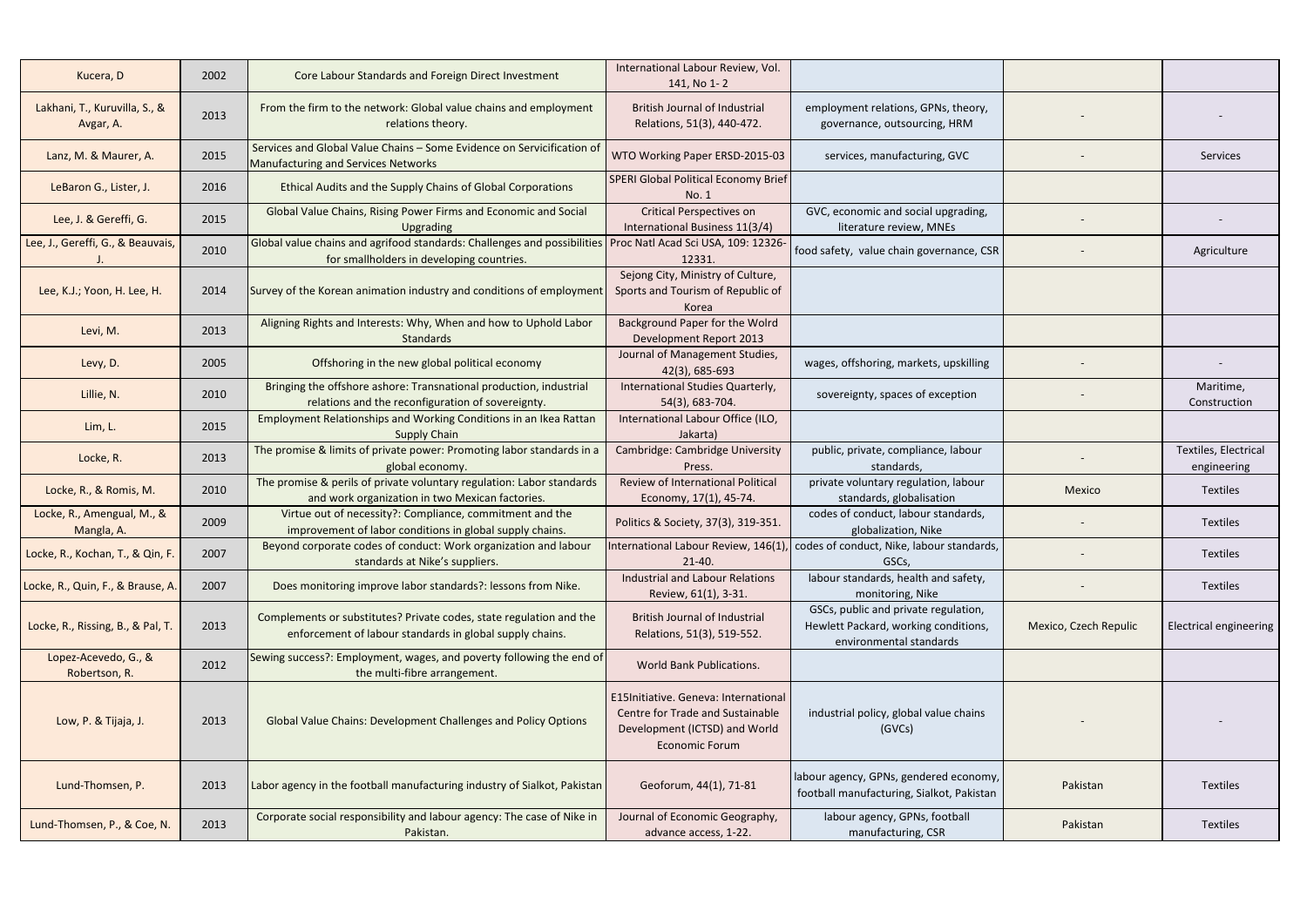| Kucera, D                                  | 2002 | Core Labour Standards and Foreign Direct Investment                                                                             | International Labour Review, Vol.<br>141, No 1-2                                                                                   |                                                                                                         |                       |                                     |
|--------------------------------------------|------|---------------------------------------------------------------------------------------------------------------------------------|------------------------------------------------------------------------------------------------------------------------------------|---------------------------------------------------------------------------------------------------------|-----------------------|-------------------------------------|
| Lakhani, T., Kuruvilla, S., &<br>Avgar, A. | 2013 | From the firm to the network: Global value chains and employment<br>relations theory.                                           | <b>British Journal of Industrial</b><br>Relations, 51(3), 440-472.                                                                 | employment relations, GPNs, theory,<br>governance, outsourcing, HRM                                     |                       |                                     |
| Lanz, M. & Maurer, A.                      | 2015 | Services and Global Value Chains - Some Evidence on Servicification of<br>Manufacturing and Services Networks                   | WTO Working Paper ERSD-2015-03                                                                                                     | services, manufacturing, GVC                                                                            |                       | Services                            |
| LeBaron G., Lister, J.                     | 2016 | Ethical Audits and the Supply Chains of Global Corporations                                                                     | SPERI Global Political Economy Brief<br>No. 1                                                                                      |                                                                                                         |                       |                                     |
| Lee, J. & Gereffi, G.                      | 2015 | Global Value Chains, Rising Power Firms and Economic and Social<br><b>Upgrading</b>                                             | <b>Critical Perspectives on</b><br>International Business 11(3/4)                                                                  | GVC, economic and social upgrading,<br>literature review, MNEs                                          |                       |                                     |
| Lee, J., Gereffi, G., & Beauvais,          | 2010 | Global value chains and agrifood standards: Challenges and possibilities<br>for smallholders in developing countries.           | Proc Natl Acad Sci USA, 109: 12326-<br>12331.                                                                                      | food safety, value chain governance, CSR                                                                |                       | Agriculture                         |
| Lee, K.J.; Yoon, H. Lee, H.                | 2014 | Survey of the Korean animation industry and conditions of employment                                                            | Sejong City, Ministry of Culture,<br>Sports and Tourism of Republic of<br>Korea                                                    |                                                                                                         |                       |                                     |
| Levi, M.                                   | 2013 | Aligning Rights and Interests: Why, When and how to Uphold Labor<br>Standards                                                   | Background Paper for the Wolrd<br>Development Report 2013                                                                          |                                                                                                         |                       |                                     |
| Levy, D.                                   | 2005 | Offshoring in the new global political economy                                                                                  | Journal of Management Studies,<br>42(3), 685-693                                                                                   | wages, offshoring, markets, upskilling                                                                  |                       |                                     |
| Lillie, N.                                 | 2010 | Bringing the offshore ashore: Transnational production, industrial<br>relations and the reconfiguration of sovereignty.         | International Studies Quarterly,<br>54(3), 683-704.                                                                                | sovereignty, spaces of exception                                                                        |                       | Maritime,<br>Construction           |
| Lim, L.                                    | 2015 | Employment Relationships and Working Conditions in an Ikea Rattan<br><b>Supply Chain</b>                                        | International Labour Office (ILO,<br>Jakarta)                                                                                      |                                                                                                         |                       |                                     |
| Locke, R.                                  | 2013 | The promise & limits of private power: Promoting labor standards in a<br>global economy.                                        | Cambridge: Cambridge University<br>Press.                                                                                          | public, private, compliance, labour<br>standards,                                                       |                       | Textiles, Electrical<br>engineering |
| Locke, R., & Romis, M.                     | 2010 | The promise & perils of private voluntary regulation: Labor standards<br>and work organization in two Mexican factories.        | <b>Review of International Political</b><br>Economy, 17(1), 45-74.                                                                 | private voluntary regulation, labour<br>standards, globalisation                                        | Mexico                | Textiles                            |
| Locke, R., Amengual, M., &<br>Mangla, A.   | 2009 | Virtue out of necessity?: Compliance, commitment and the<br>improvement of labor conditions in global supply chains.            | Politics & Society, 37(3), 319-351.                                                                                                | codes of conduct, labour standards,<br>globalization, Nike                                              |                       | Textiles                            |
| Locke, R., Kochan, T., & Qin, F.           | 2007 | Beyond corporate codes of conduct: Work organization and labour<br>standards at Nike's suppliers.                               | International Labour Review, 146(1),<br>$21-40.$                                                                                   | codes of conduct, Nike, labour standards,<br>GSCs,                                                      |                       | <b>Textiles</b>                     |
| Locke, R., Quin, F., & Brause, A.          | 2007 | Does monitoring improve labor standards?: lessons from Nike.                                                                    | <b>Industrial and Labour Relations</b><br>Review, 61(1), 3-31.                                                                     | labour standards, health and safety,<br>monitoring, Nike                                                |                       | Textiles                            |
| Locke, R., Rissing, B., & Pal, T.          | 2013 | Complements or substitutes? Private codes, state regulation and the<br>enforcement of labour standards in global supply chains. | <b>British Journal of Industrial</b><br>Relations, 51(3), 519-552.                                                                 | GSCs, public and private regulation,<br>Hewlett Packard, working conditions,<br>environmental standards | Mexico, Czech Repulic | <b>Electrical engineering</b>       |
| Lopez-Acevedo, G., &<br>Robertson, R.      | 2012 | Sewing success?: Employment, wages, and poverty following the end of<br>the multi-fibre arrangement.                            | <b>World Bank Publications.</b>                                                                                                    |                                                                                                         |                       |                                     |
| Low, P. & Tijaja, J.                       | 2013 | <b>Global Value Chains: Development Challenges and Policy Options</b>                                                           | E15Initiative. Geneva: International<br>Centre for Trade and Sustainable<br>Development (ICTSD) and World<br><b>Economic Forum</b> | industrial policy, global value chains<br>(GVCs)                                                        |                       |                                     |
| Lund-Thomsen, P.                           | 2013 | Labor agency in the football manufacturing industry of Sialkot, Pakistan                                                        | Geoforum, 44(1), 71-81                                                                                                             | labour agency, GPNs, gendered economy,<br>football manufacturing, Sialkot, Pakistan                     | Pakistan              | Textiles                            |
| Lund-Thomsen, P., & Coe, N.                | 2013 | Corporate social responsibility and labour agency: The case of Nike in<br>Pakistan.                                             | Journal of Economic Geography,<br>advance access, 1-22.                                                                            | labour agency, GPNs, football<br>manufacturing, CSR                                                     | Pakistan              | <b>Textiles</b>                     |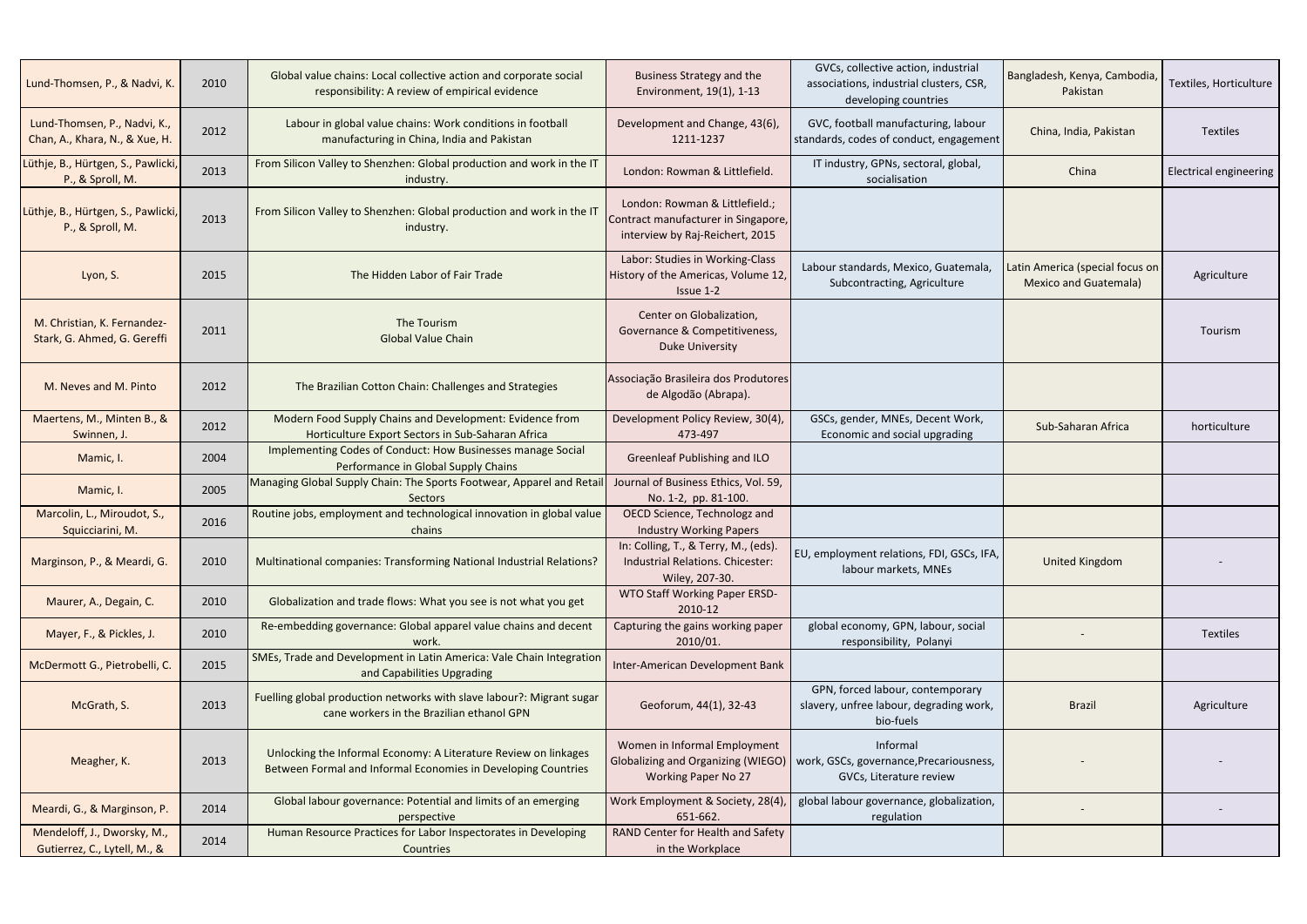| Lund-Thomsen, P., & Nadvi, K.                                  | 2010 | Global value chains: Local collective action and corporate social<br>responsibility: A review of empirical evidence              | <b>Business Strategy and the</b><br>Environment, 19(1), 1-13                                             | GVCs, collective action, industrial<br>associations, industrial clusters, CSR,<br>developing countries | Bangladesh, Kenya, Cambodia,<br>Pakistan                        | Textiles, Horticulture        |
|----------------------------------------------------------------|------|----------------------------------------------------------------------------------------------------------------------------------|----------------------------------------------------------------------------------------------------------|--------------------------------------------------------------------------------------------------------|-----------------------------------------------------------------|-------------------------------|
| Lund-Thomsen, P., Nadvi, K.,<br>Chan, A., Khara, N., & Xue, H. | 2012 | Labour in global value chains: Work conditions in football<br>manufacturing in China, India and Pakistan                         | Development and Change, 43(6),<br>1211-1237                                                              | GVC, football manufacturing, labour<br>standards, codes of conduct, engagement                         | China, India, Pakistan                                          | <b>Textiles</b>               |
| Lüthje, B., Hürtgen, S., Pawlicki,<br>P., & Sproll, M.         | 2013 | From Silicon Valley to Shenzhen: Global production and work in the IT<br>industry.                                               | London: Rowman & Littlefield.                                                                            | IT industry, GPNs, sectoral, global,<br>socialisation                                                  | China                                                           | <b>Electrical engineering</b> |
| Lüthje, B., Hürtgen, S., Pawlicki,<br>P., & Sproll, M.         | 2013 | From Silicon Valley to Shenzhen: Global production and work in the IT<br>industry.                                               | London: Rowman & Littlefield.;<br>Contract manufacturer in Singapore,<br>interview by Raj-Reichert, 2015 |                                                                                                        |                                                                 |                               |
| Lyon, S.                                                       | 2015 | The Hidden Labor of Fair Trade                                                                                                   | Labor: Studies in Working-Class<br>History of the Americas, Volume 12,<br>Issue 1-2                      | Labour standards, Mexico, Guatemala,<br>Subcontracting, Agriculture                                    | Latin America (special focus on<br><b>Mexico and Guatemala)</b> | Agriculture                   |
| M. Christian, K. Fernandez-<br>Stark, G. Ahmed, G. Gereffi     | 2011 | The Tourism<br><b>Global Value Chain</b>                                                                                         | Center on Globalization,<br>Governance & Competitiveness,<br><b>Duke University</b>                      |                                                                                                        |                                                                 | Tourism                       |
| M. Neves and M. Pinto                                          | 2012 | The Brazilian Cotton Chain: Challenges and Strategies                                                                            | Associação Brasileira dos Produtores<br>de Algodão (Abrapa).                                             |                                                                                                        |                                                                 |                               |
| Maertens, M., Minten B., &<br>Swinnen, J.                      | 2012 | Modern Food Supply Chains and Development: Evidence from<br>Horticulture Export Sectors in Sub-Saharan Africa                    | Development Policy Review, 30(4),<br>473-497                                                             | GSCs, gender, MNEs, Decent Work,<br>Economic and social upgrading                                      | Sub-Saharan Africa                                              | horticulture                  |
| Mamic, I.                                                      | 2004 | Implementing Codes of Conduct: How Businesses manage Social<br>Performance in Global Supply Chains                               | <b>Greenleaf Publishing and ILO</b>                                                                      |                                                                                                        |                                                                 |                               |
| Mamic, I.                                                      | 2005 | Managing Global Supply Chain: The Sports Footwear, Apparel and Retai<br><b>Sectors</b>                                           | Journal of Business Ethics, Vol. 59,<br>No. 1-2, pp. 81-100.                                             |                                                                                                        |                                                                 |                               |
| Marcolin, L., Miroudot, S.,<br>Squicciarini, M.                | 2016 | Routine jobs, employment and technological innovation in global value<br>chains                                                  | OECD Science, Technologz and<br><b>Industry Working Papers</b>                                           |                                                                                                        |                                                                 |                               |
| Marginson, P., & Meardi, G.                                    | 2010 | Multinational companies: Transforming National Industrial Relations?                                                             | In: Colling, T., & Terry, M., (eds).<br>Industrial Relations. Chicester:<br>Wiley, 207-30.               | EU, employment relations, FDI, GSCs, IFA,<br>labour markets, MNEs                                      | United Kingdom                                                  |                               |
| Maurer, A., Degain, C.                                         | 2010 | Globalization and trade flows: What you see is not what you get                                                                  | WTO Staff Working Paper ERSD-<br>2010-12                                                                 |                                                                                                        |                                                                 |                               |
| Mayer, F., & Pickles, J.                                       | 2010 | Re-embedding governance: Global apparel value chains and decent<br>work.                                                         | Capturing the gains working paper<br>2010/01.                                                            | global economy, GPN, labour, social<br>responsibility, Polanyi                                         |                                                                 | Textiles                      |
| McDermott G., Pietrobelli, C.                                  | 2015 | SMEs, Trade and Development in Latin America: Vale Chain Integration<br>and Capabilities Upgrading                               | Inter-American Development Bank                                                                          |                                                                                                        |                                                                 |                               |
| McGrath, S.                                                    | 2013 | Fuelling global production networks with slave labour?: Migrant sugar<br>cane workers in the Brazilian ethanol GPN               | Geoforum, 44(1), 32-43                                                                                   | GPN, forced labour, contemporary<br>slavery, unfree labour, degrading work,<br>bio-fuels               | <b>Brazil</b>                                                   | Agriculture                   |
| Meagher, K.                                                    | 2013 | Unlocking the Informal Economy: A Literature Review on linkages<br>Between Formal and Informal Economies in Developing Countries | Women in Informal Employment<br><b>Globalizing and Organizing (WIEGO)</b><br><b>Working Paper No 27</b>  | Informal<br>  work, GSCs, governance, Precariousness,<br>GVCs, Literature review                       |                                                                 |                               |
| Meardi, G., & Marginson, P.                                    | 2014 | Global labour governance: Potential and limits of an emerging<br>perspective                                                     | Work Employment & Society, 28(4)<br>651-662.                                                             | global labour governance, globalization,<br>regulation                                                 |                                                                 |                               |
| Mendeloff, J., Dworsky, M.,<br>Gutierrez, C., Lytell, M., &    | 2014 | Human Resource Practices for Labor Inspectorates in Developing<br>Countries                                                      | RAND Center for Health and Safety<br>in the Workplace                                                    |                                                                                                        |                                                                 |                               |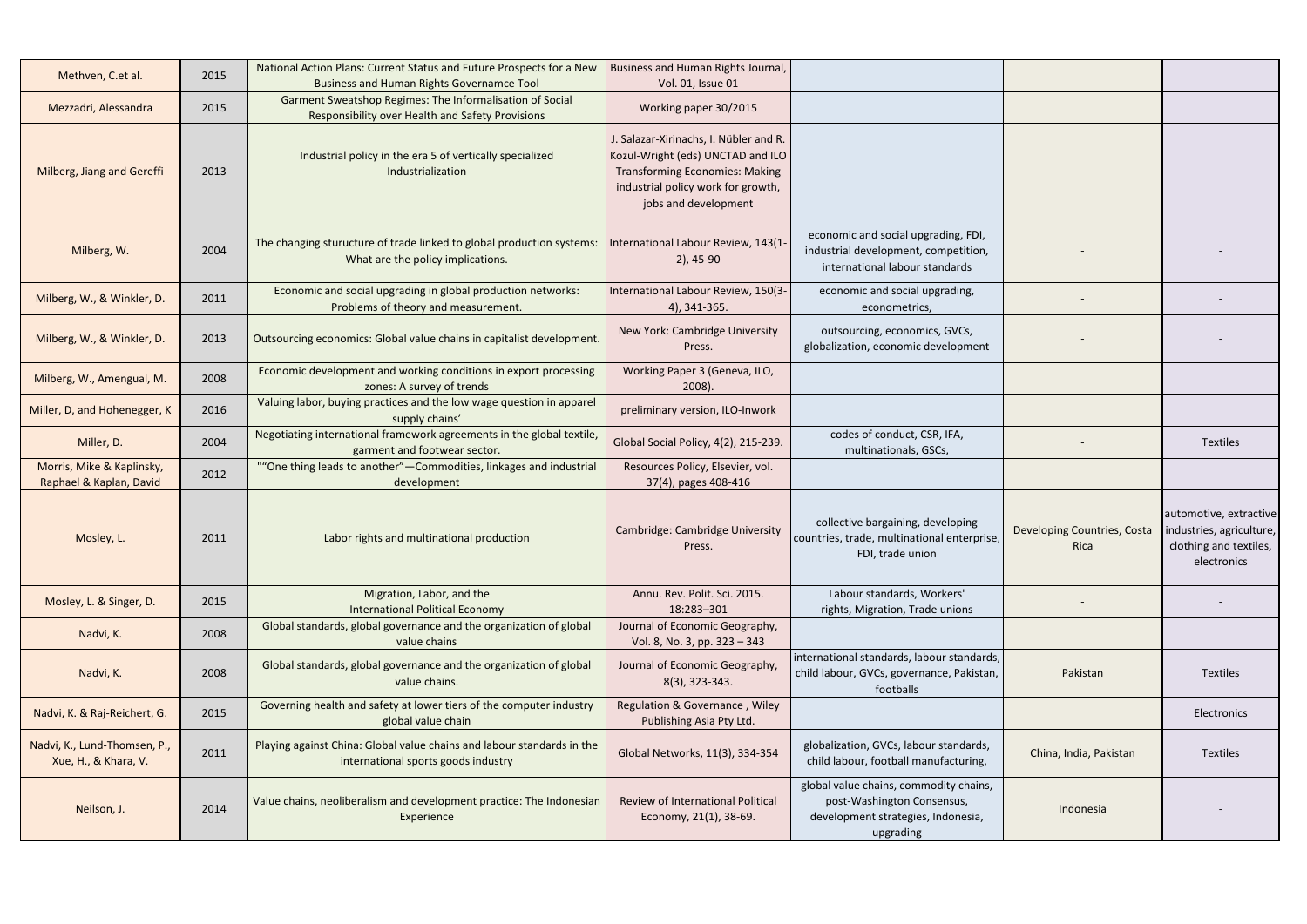| Methven, C.et al.                                    | 2015 | National Action Plans: Current Status and Future Prospects for a New<br><b>Business and Human Rights Governamce Tool</b> | Business and Human Rights Journal,<br>Vol. 01, Issue 01                                                                                                                            |                                                                                                                         |                                     |                                                                                             |
|------------------------------------------------------|------|--------------------------------------------------------------------------------------------------------------------------|------------------------------------------------------------------------------------------------------------------------------------------------------------------------------------|-------------------------------------------------------------------------------------------------------------------------|-------------------------------------|---------------------------------------------------------------------------------------------|
| Mezzadri, Alessandra                                 | 2015 | Garment Sweatshop Regimes: The Informalisation of Social<br>Responsibility over Health and Safety Provisions             | Working paper 30/2015                                                                                                                                                              |                                                                                                                         |                                     |                                                                                             |
| Milberg, Jiang and Gereffi                           | 2013 | Industrial policy in the era 5 of vertically specialized<br>Industrialization                                            | J. Salazar-Xirinachs, I. Nübler and R.<br>Kozul-Wright (eds) UNCTAD and ILO<br><b>Transforming Economies: Making</b><br>industrial policy work for growth,<br>jobs and development |                                                                                                                         |                                     |                                                                                             |
| Milberg, W.                                          | 2004 | The changing sturucture of trade linked to global production systems:<br>What are the policy implications.               | International Labour Review, 143(1-<br>$2)$ , 45-90                                                                                                                                | economic and social upgrading, FDI,<br>industrial development, competition,<br>international labour standards           |                                     |                                                                                             |
| Milberg, W., & Winkler, D.                           | 2011 | Economic and social upgrading in global production networks:<br>Problems of theory and measurement.                      | International Labour Review, 150(3-<br>4), 341-365.                                                                                                                                | economic and social upgrading,<br>econometrics,                                                                         |                                     |                                                                                             |
| Milberg, W., & Winkler, D.                           | 2013 | Outsourcing economics: Global value chains in capitalist development.                                                    | New York: Cambridge University<br>Press.                                                                                                                                           | outsourcing, economics, GVCs,<br>globalization, economic development                                                    |                                     |                                                                                             |
| Milberg, W., Amengual, M.                            | 2008 | Economic development and working conditions in export processing<br>zones: A survey of trends                            | Working Paper 3 (Geneva, ILO,<br>2008).                                                                                                                                            |                                                                                                                         |                                     |                                                                                             |
| Miller, D, and Hohenegger, K                         | 2016 | Valuing labor, buying practices and the low wage question in apparel<br>supply chains'                                   | preliminary version, ILO-Inwork                                                                                                                                                    |                                                                                                                         |                                     |                                                                                             |
| Miller, D.                                           | 2004 | Negotiating international framework agreements in the global textile<br>garment and footwear sector.                     | Global Social Policy, 4(2), 215-239.                                                                                                                                               | codes of conduct, CSR, IFA,<br>multinationals, GSCs,                                                                    |                                     | <b>Textiles</b>                                                                             |
| Morris, Mike & Kaplinsky,<br>Raphael & Kaplan, David | 2012 | ""One thing leads to another" - Commodities, linkages and industrial<br>development                                      | Resources Policy, Elsevier, vol.<br>37(4), pages 408-416                                                                                                                           |                                                                                                                         |                                     |                                                                                             |
| Mosley, L.                                           | 2011 | Labor rights and multinational production                                                                                | Cambridge: Cambridge University<br>Press.                                                                                                                                          | collective bargaining, developing<br>countries, trade, multinational enterprise,<br>FDI, trade union                    | Developing Countries, Costa<br>Rica | automotive, extractive<br>industries, agriculture,<br>clothing and textiles,<br>electronics |
| Mosley, L. & Singer, D.                              | 2015 | Migration, Labor, and the<br><b>International Political Economy</b>                                                      | Annu. Rev. Polit. Sci. 2015.<br>18:283-301                                                                                                                                         | Labour standards, Workers'<br>rights, Migration, Trade unions                                                           |                                     |                                                                                             |
| Nadvi, K.                                            | 2008 | Global standards, global governance and the organization of global<br>value chains                                       | Journal of Economic Geography,<br>Vol. 8, No. 3, pp. 323 - 343                                                                                                                     |                                                                                                                         |                                     |                                                                                             |
| Nadvi, K.                                            | 2008 | Global standards, global governance and the organization of global<br>value chains.                                      | Journal of Economic Geography,<br>8(3), 323-343.                                                                                                                                   | international standards, labour standards,<br>child labour, GVCs, governance, Pakistan,<br>footballs                    | Pakistan                            | <b>Textiles</b>                                                                             |
| Nadvi, K. & Raj-Reichert, G.                         | 2015 | Governing health and safety at lower tiers of the computer industry<br>global value chain                                | Regulation & Governance, Wiley<br>Publishing Asia Pty Ltd.                                                                                                                         |                                                                                                                         |                                     | Electronics                                                                                 |
| Nadvi, K., Lund-Thomsen, P.,<br>Xue, H., & Khara, V. | 2011 | Playing against China: Global value chains and labour standards in the<br>international sports goods industry            | Global Networks, 11(3), 334-354                                                                                                                                                    | globalization, GVCs, labour standards,<br>child labour, football manufacturing,                                         | China, India, Pakistan              | <b>Textiles</b>                                                                             |
| Neilson, J.                                          | 2014 | Value chains, neoliberalism and development practice: The Indonesian<br>Experience                                       | Review of International Political<br>Economy, 21(1), 38-69.                                                                                                                        | global value chains, commodity chains,<br>post-Washington Consensus,<br>development strategies, Indonesia,<br>upgrading | Indonesia                           |                                                                                             |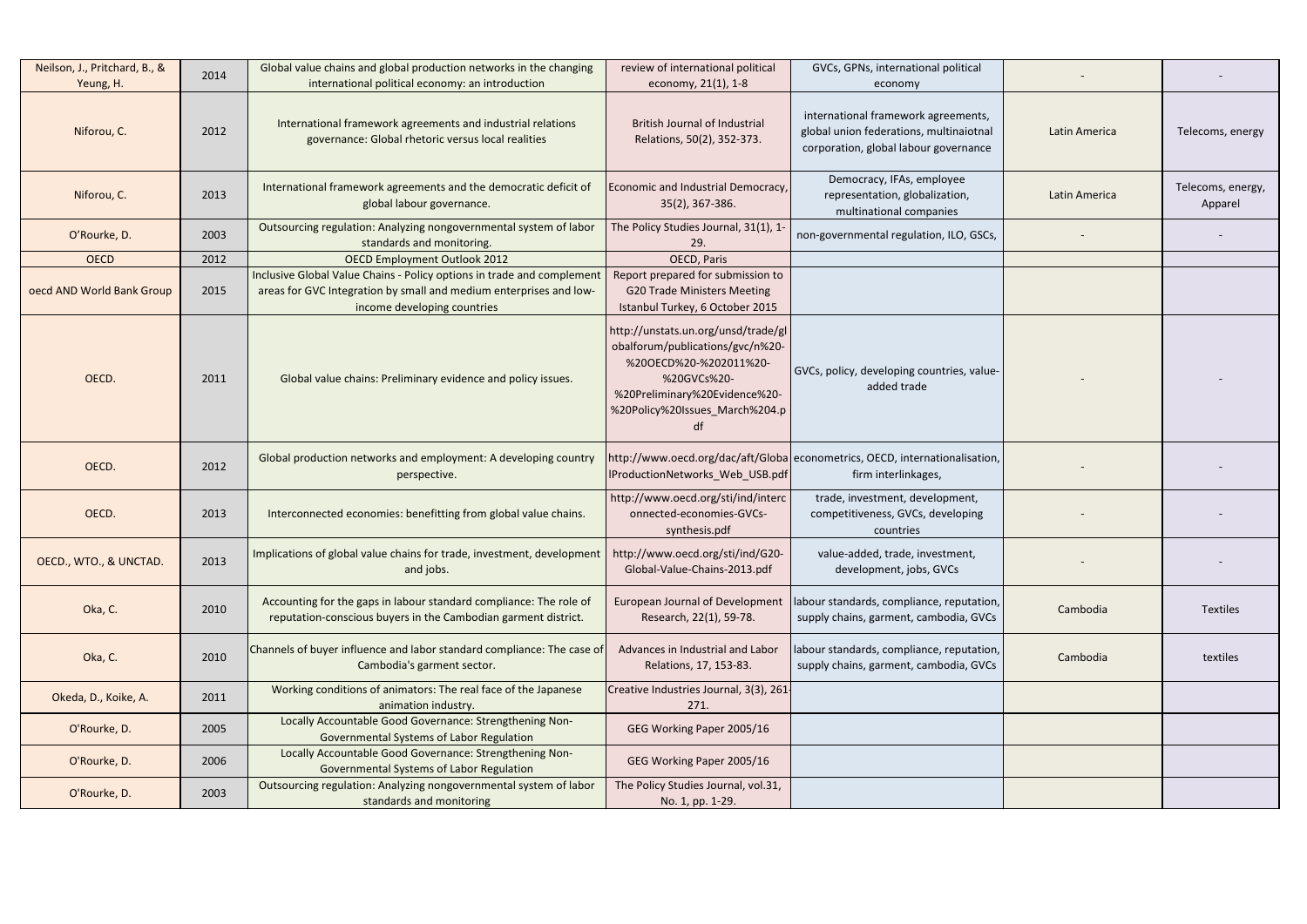| Neilson, J., Pritchard, B., &<br>Yeung, H. | 2014 | Global value chains and global production networks in the changing<br>international political economy: an introduction                                                     | review of international political<br>economy, 21(1), 1-8                                                                                                                                  | GVCs, GPNs, international political<br>economy                                                                          |               |                              |
|--------------------------------------------|------|----------------------------------------------------------------------------------------------------------------------------------------------------------------------------|-------------------------------------------------------------------------------------------------------------------------------------------------------------------------------------------|-------------------------------------------------------------------------------------------------------------------------|---------------|------------------------------|
| Niforou, C.                                | 2012 | International framework agreements and industrial relations<br>governance: Global rhetoric versus local realities                                                          | <b>British Journal of Industrial</b><br>Relations, 50(2), 352-373.                                                                                                                        | international framework agreements,<br>global union federations, multinaiotnal<br>corporation, global labour governance | Latin America | Telecoms, energy             |
| Niforou, C.                                | 2013 | International framework agreements and the democratic deficit of<br>global labour governance.                                                                              | Economic and Industrial Democracy,<br>35(2), 367-386.                                                                                                                                     | Democracy, IFAs, employee<br>representation, globalization,<br>multinational companies                                  | Latin America | Telecoms, energy,<br>Apparel |
| O'Rourke, D.                               | 2003 | Outsourcing regulation: Analyzing nongovernmental system of labor<br>standards and monitoring.                                                                             | The Policy Studies Journal, 31(1), 1<br>29.                                                                                                                                               | non-governmental regulation, ILO, GSCs,                                                                                 |               |                              |
| <b>OECD</b>                                | 2012 | <b>OECD Employment Outlook 2012</b>                                                                                                                                        | OECD, Paris                                                                                                                                                                               |                                                                                                                         |               |                              |
| oecd AND World Bank Group                  | 2015 | Inclusive Global Value Chains - Policy options in trade and complemen<br>areas for GVC Integration by small and medium enterprises and low-<br>income developing countries | Report prepared for submission to<br><b>G20 Trade Ministers Meeting</b><br>Istanbul Turkey, 6 October 2015                                                                                |                                                                                                                         |               |                              |
| OECD.                                      | 2011 | Global value chains: Preliminary evidence and policy issues.                                                                                                               | http://unstats.un.org/unsd/trade/gl<br>obalforum/publications/gvc/n%20-<br>%20OECD%20-%202011%20-<br>%20GVCs%20-<br>%20Preliminary%20Evidence%20-<br>%20Policy%20Issues_March%204.p<br>df | GVCs, policy, developing countries, value-<br>added trade                                                               |               |                              |
| OECD.                                      | 2012 | Global production networks and employment: A developing country<br>perspective.                                                                                            | IProductionNetworks_Web_USB.pdf                                                                                                                                                           | http://www.oecd.org/dac/aft/Globaleconometrics, OECD, internationalisation,<br>firm interlinkages,                      |               |                              |
| OECD.                                      | 2013 | Interconnected economies: benefitting from global value chains.                                                                                                            | http://www.oecd.org/sti/ind/interc<br>onnected-economies-GVCs-<br>synthesis.pdf                                                                                                           | trade, investment, development,<br>competitiveness, GVCs, developing<br>countries                                       |               |                              |
| OECD., WTO., & UNCTAD.                     | 2013 | Implications of global value chains for trade, investment, development<br>and jobs.                                                                                        | http://www.oecd.org/sti/ind/G20-<br>Global-Value-Chains-2013.pdf                                                                                                                          | value-added, trade, investment,<br>development, jobs, GVCs                                                              |               |                              |
| Oka, C.                                    | 2010 | Accounting for the gaps in labour standard compliance: The role of<br>reputation-conscious buyers in the Cambodian garment district.                                       | <b>European Journal of Development</b><br>Research, 22(1), 59-78.                                                                                                                         | labour standards, compliance, reputation,<br>supply chains, garment, cambodia, GVCs                                     | Cambodia      | Textiles                     |
| Oka, C.                                    | 2010 | Channels of buyer influence and labor standard compliance: The case of<br>Cambodia's garment sector.                                                                       | Advances in Industrial and Labor<br>Relations, 17, 153-83.                                                                                                                                | labour standards, compliance, reputation,<br>supply chains, garment, cambodia, GVCs                                     | Cambodia      | textiles                     |
| Okeda, D., Koike, A.                       | 2011 | Working conditions of animators: The real face of the Japanese<br>animation industry.                                                                                      | Creative Industries Journal, 3(3), 261<br>271.                                                                                                                                            |                                                                                                                         |               |                              |
| O'Rourke, D.                               | 2005 | Locally Accountable Good Governance: Strengthening Non-<br>Governmental Systems of Labor Regulation                                                                        | GEG Working Paper 2005/16                                                                                                                                                                 |                                                                                                                         |               |                              |
| O'Rourke, D.                               | 2006 | Locally Accountable Good Governance: Strengthening Non-<br>Governmental Systems of Labor Regulation                                                                        | GEG Working Paper 2005/16                                                                                                                                                                 |                                                                                                                         |               |                              |
| O'Rourke, D.                               | 2003 | Outsourcing regulation: Analyzing nongovernmental system of labor<br>standards and monitoring                                                                              | The Policy Studies Journal, vol.31,<br>No. 1, pp. 1-29.                                                                                                                                   |                                                                                                                         |               |                              |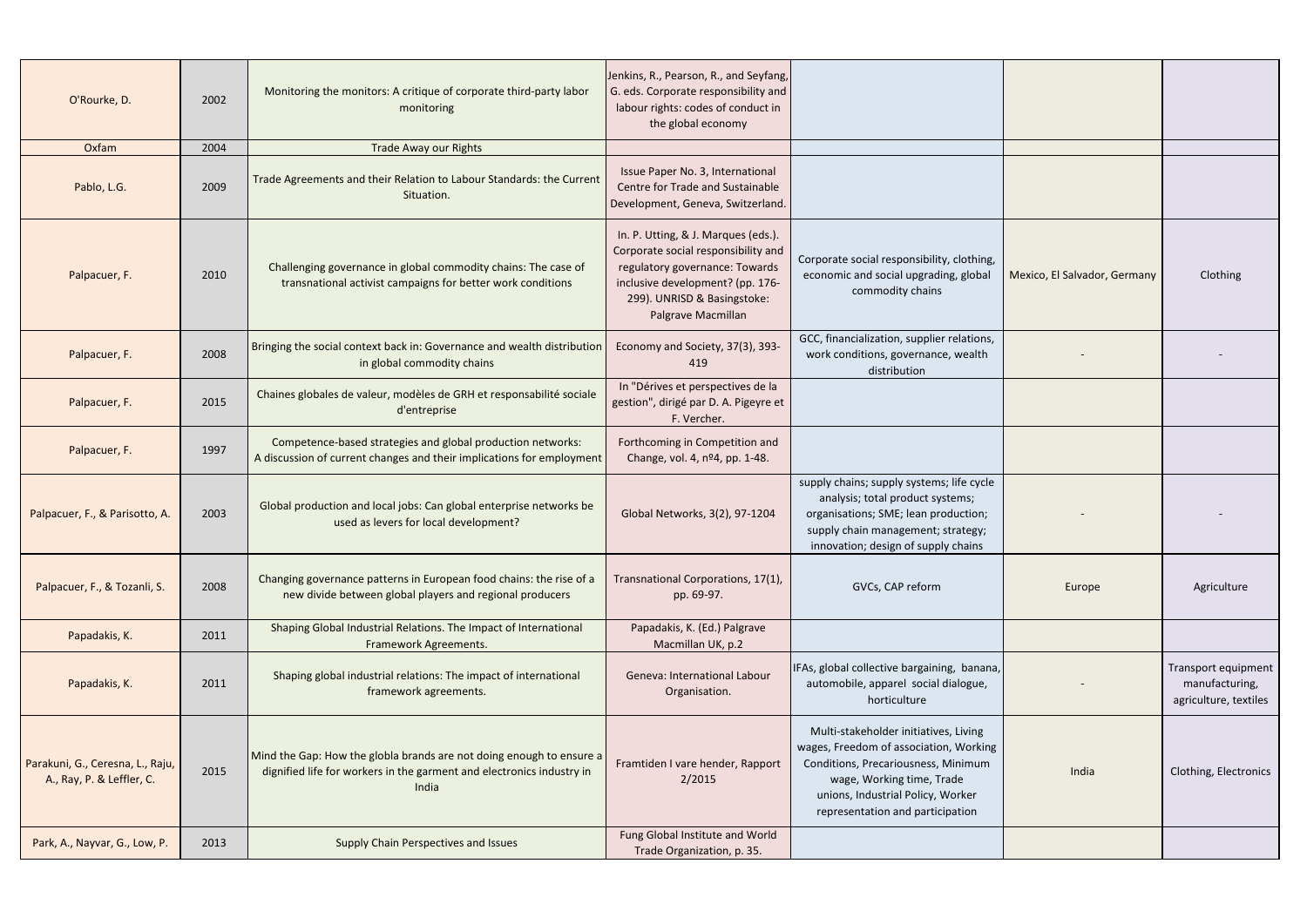| O'Rourke, D.                                                  | 2002 | Monitoring the monitors: A critique of corporate third-party labor<br>monitoring                                                                       | Jenkins, R., Pearson, R., and Seyfang,<br>G. eds. Corporate responsibility and<br>labour rights: codes of conduct in<br>the global economy                                                            |                                                                                                                                                                                                                              |                              |                                                                |
|---------------------------------------------------------------|------|--------------------------------------------------------------------------------------------------------------------------------------------------------|-------------------------------------------------------------------------------------------------------------------------------------------------------------------------------------------------------|------------------------------------------------------------------------------------------------------------------------------------------------------------------------------------------------------------------------------|------------------------------|----------------------------------------------------------------|
| Oxfam                                                         | 2004 | <b>Trade Away our Rights</b>                                                                                                                           |                                                                                                                                                                                                       |                                                                                                                                                                                                                              |                              |                                                                |
| Pablo, L.G.                                                   | 2009 | Trade Agreements and their Relation to Labour Standards: the Current<br>Situation.                                                                     | Issue Paper No. 3, International<br>Centre for Trade and Sustainable<br>Development, Geneva, Switzerland.                                                                                             |                                                                                                                                                                                                                              |                              |                                                                |
| Palpacuer, F.                                                 | 2010 | Challenging governance in global commodity chains: The case of<br>transnational activist campaigns for better work conditions                          | In. P. Utting, & J. Marques (eds.).<br>Corporate social responsibility and<br>regulatory governance: Towards<br>inclusive development? (pp. 176-<br>299). UNRISD & Basingstoke:<br>Palgrave Macmillan | Corporate social responsibility, clothing,<br>economic and social upgrading, global<br>commodity chains                                                                                                                      | Mexico, El Salvador, Germany | Clothing                                                       |
| Palpacuer, F.                                                 | 2008 | Bringing the social context back in: Governance and wealth distribution<br>in global commodity chains                                                  | Economy and Society, 37(3), 393-<br>419                                                                                                                                                               | GCC, financialization, supplier relations,<br>work conditions, governance, wealth<br>distribution                                                                                                                            |                              |                                                                |
| Palpacuer, F.                                                 | 2015 | Chaines globales de valeur, modèles de GRH et responsabilité sociale<br>d'entreprise                                                                   | In "Dérives et perspectives de la<br>gestion", dirigé par D. A. Pigeyre et<br>F. Vercher.                                                                                                             |                                                                                                                                                                                                                              |                              |                                                                |
| Palpacuer, F.                                                 | 1997 | Competence-based strategies and global production networks:<br>A discussion of current changes and their implications for employment                   | Forthcoming in Competition and<br>Change, vol. 4, nº4, pp. 1-48.                                                                                                                                      |                                                                                                                                                                                                                              |                              |                                                                |
| Palpacuer, F., & Parisotto, A.                                | 2003 | Global production and local jobs: Can global enterprise networks be<br>used as levers for local development?                                           | Global Networks, 3(2), 97-1204                                                                                                                                                                        | supply chains; supply systems; life cycle<br>analysis; total product systems;<br>organisations; SME; lean production;<br>supply chain management; strategy;<br>innovation; design of supply chains                           |                              |                                                                |
| Palpacuer, F., & Tozanli, S.                                  | 2008 | Changing governance patterns in European food chains: the rise of a<br>new divide between global players and regional producers                        | Transnational Corporations, 17(1),<br>pp. 69-97.                                                                                                                                                      | GVCs, CAP reform                                                                                                                                                                                                             | Europe                       | Agriculture                                                    |
| Papadakis, K.                                                 | 2011 | Shaping Global Industrial Relations. The Impact of International<br>Framework Agreements.                                                              | Papadakis, K. (Ed.) Palgrave<br>Macmillan UK, p.2                                                                                                                                                     |                                                                                                                                                                                                                              |                              |                                                                |
| Papadakis, K.                                                 | 2011 | Shaping global industrial relations: The impact of international<br>framework agreements.                                                              | <b>Geneva: International Labour</b><br>Organisation.                                                                                                                                                  | IFAs, global collective bargaining, banana,<br>automobile, apparel social dialogue,<br>horticulture                                                                                                                          |                              | Transport equipment<br>manufacturing,<br>agriculture, textiles |
| Parakuni, G., Ceresna, L., Raju,<br>A., Ray, P. & Leffler, C. | 2015 | Mind the Gap: How the globla brands are not doing enough to ensure a<br>dignified life for workers in the garment and electronics industry in<br>India | Framtiden I vare hender, Rapport<br>2/2015                                                                                                                                                            | Multi-stakeholder initiatives, Living<br>wages, Freedom of association, Working<br>Conditions, Precariousness, Minimum<br>wage, Working time, Trade<br>unions, Industrial Policy, Worker<br>representation and participation | India                        | Clothing, Electronics                                          |
| Park, A., Nayvar, G., Low, P.                                 | 2013 | <b>Supply Chain Perspectives and Issues</b>                                                                                                            | Fung Global Institute and World<br>Trade Organization, p. 35.                                                                                                                                         |                                                                                                                                                                                                                              |                              |                                                                |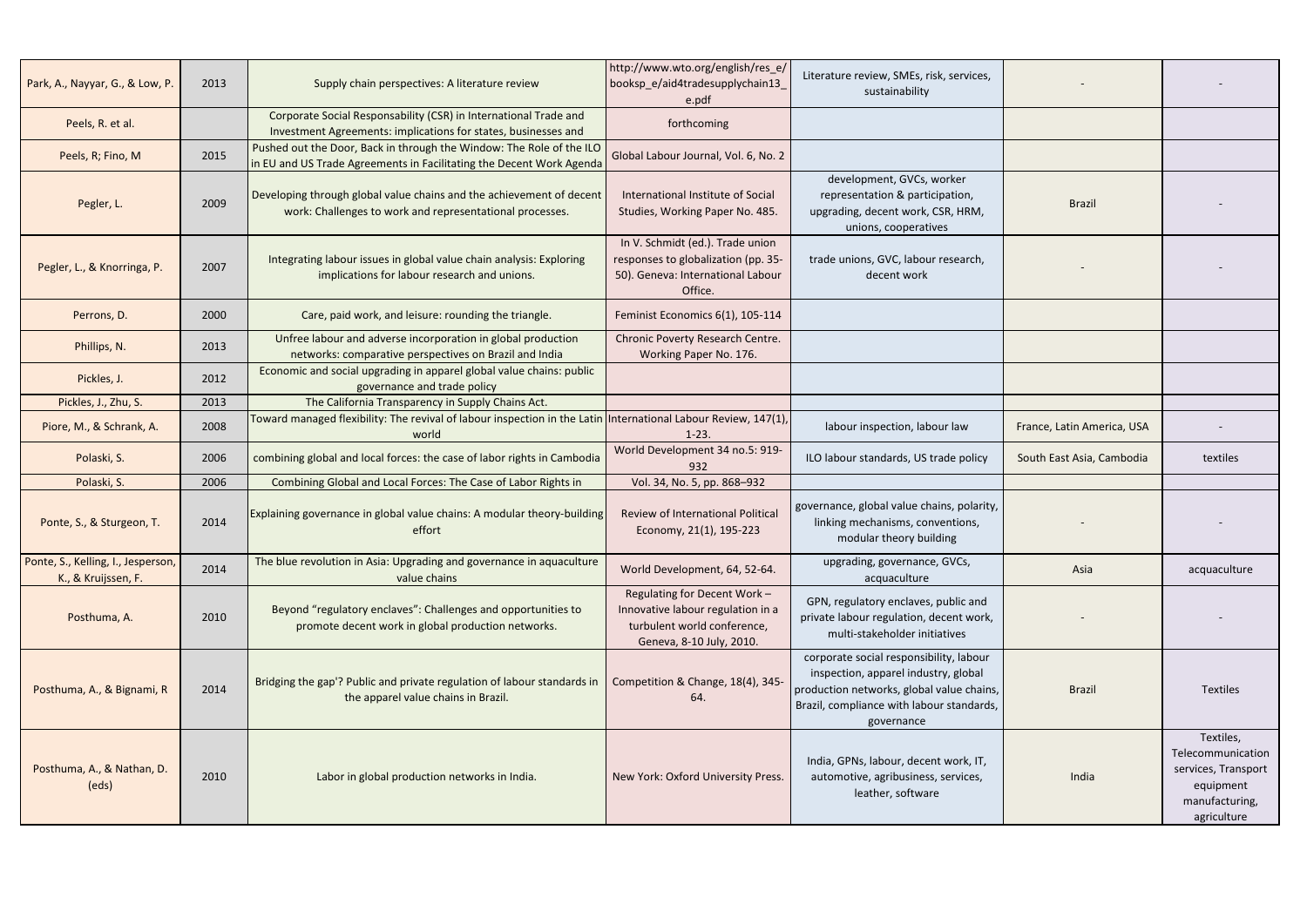| Park, A., Nayyar, G., & Low, P.                           | 2013 | Supply chain perspectives: A literature review                                                                                               | http://www.wto.org/english/res_e/<br>booksp_e/aid4tradesupplychain13<br>e.pdf                                                | Literature review, SMEs, risk, services,<br>sustainability                                                                                                                              |                            |                                                                                                     |
|-----------------------------------------------------------|------|----------------------------------------------------------------------------------------------------------------------------------------------|------------------------------------------------------------------------------------------------------------------------------|-----------------------------------------------------------------------------------------------------------------------------------------------------------------------------------------|----------------------------|-----------------------------------------------------------------------------------------------------|
| Peels, R. et al.                                          |      | Corporate Social Responsability (CSR) in International Trade and<br>Investment Agreements: implications for states, businesses and           | forthcoming                                                                                                                  |                                                                                                                                                                                         |                            |                                                                                                     |
| Peels, R; Fino, M                                         | 2015 | Pushed out the Door, Back in through the Window: The Role of the ILO<br>in EU and US Trade Agreements in Facilitating the Decent Work Agenda | Global Labour Journal, Vol. 6, No. 2                                                                                         |                                                                                                                                                                                         |                            |                                                                                                     |
| Pegler, L.                                                | 2009 | Developing through global value chains and the achievement of decent<br>work: Challenges to work and representational processes.             | International Institute of Social<br>Studies, Working Paper No. 485.                                                         | development, GVCs, worker<br>representation & participation,<br>upgrading, decent work, CSR, HRM,<br>unions, cooperatives                                                               | <b>Brazil</b>              |                                                                                                     |
| Pegler, L., & Knorringa, P.                               | 2007 | Integrating labour issues in global value chain analysis: Exploring<br>implications for labour research and unions.                          | In V. Schmidt (ed.). Trade union<br>responses to globalization (pp. 35-<br>50). Geneva: International Labour<br>Office.      | trade unions, GVC, labour research,<br>decent work                                                                                                                                      |                            |                                                                                                     |
| Perrons, D.                                               | 2000 | Care, paid work, and leisure: rounding the triangle.                                                                                         | Feminist Economics 6(1), 105-114                                                                                             |                                                                                                                                                                                         |                            |                                                                                                     |
| Phillips, N.                                              | 2013 | Unfree labour and adverse incorporation in global production<br>networks: comparative perspectives on Brazil and India                       | Chronic Poverty Research Centre.<br>Working Paper No. 176.                                                                   |                                                                                                                                                                                         |                            |                                                                                                     |
| Pickles, J.                                               | 2012 | Economic and social upgrading in apparel global value chains: public<br>governance and trade policy                                          |                                                                                                                              |                                                                                                                                                                                         |                            |                                                                                                     |
| Pickles, J., Zhu, S.                                      | 2013 | The California Transparency in Supply Chains Act.                                                                                            |                                                                                                                              |                                                                                                                                                                                         |                            |                                                                                                     |
| Piore, M., & Schrank, A.                                  | 2008 | Toward managed flexibility: The revival of labour inspection in the Latin International Labour Review, 147(1),<br>world                      | $1 - 23$ .                                                                                                                   | labour inspection, labour law                                                                                                                                                           | France, Latin America, USA |                                                                                                     |
| Polaski, S.                                               | 2006 | combining global and local forces: the case of labor rights in Cambodia                                                                      | World Development 34 no.5: 919-<br>932                                                                                       | ILO labour standards, US trade policy                                                                                                                                                   | South East Asia, Cambodia  | textiles                                                                                            |
| Polaski, S.                                               | 2006 | Combining Global and Local Forces: The Case of Labor Rights in                                                                               | Vol. 34, No. 5, pp. 868-932                                                                                                  |                                                                                                                                                                                         |                            |                                                                                                     |
| Ponte, S., & Sturgeon, T.                                 | 2014 | Explaining governance in global value chains: A modular theory-building<br>effort                                                            | Review of International Political<br>Economy, 21(1), 195-223                                                                 | governance, global value chains, polarity,<br>linking mechanisms, conventions,<br>modular theory building                                                                               |                            |                                                                                                     |
| Ponte, S., Kelling, I., Jesperson,<br>K., & Kruijssen, F. | 2014 | The blue revolution in Asia: Upgrading and governance in aquaculture<br>value chains                                                         | World Development, 64, 52-64.                                                                                                | upgrading, governance, GVCs,<br>acquaculture                                                                                                                                            | Asia                       | acquaculture                                                                                        |
| Posthuma, A.                                              | 2010 | Beyond "regulatory enclaves": Challenges and opportunities to<br>promote decent work in global production networks.                          | Regulating for Decent Work -<br>Innovative labour regulation in a<br>turbulent world conference,<br>Geneva, 8-10 July, 2010. | GPN, regulatory enclaves, public and<br>private labour regulation, decent work,<br>multi-stakeholder initiatives                                                                        |                            |                                                                                                     |
| Posthuma, A., & Bignami, R                                | 2014 | Bridging the gap'? Public and private regulation of labour standards in<br>the apparel value chains in Brazil.                               | Competition & Change, 18(4), 345-<br>64.                                                                                     | corporate social responsibility, labour<br>inspection, apparel industry, global<br>production networks, global value chains,<br>Brazil, compliance with labour standards,<br>governance | <b>Brazil</b>              | Textiles                                                                                            |
| Posthuma, A., & Nathan, D.<br>(eds)                       | 2010 | Labor in global production networks in India.                                                                                                | New York: Oxford University Press.                                                                                           | India, GPNs, labour, decent work, IT,<br>automotive, agribusiness, services,<br>leather, software                                                                                       | India                      | Textiles,<br>Telecommunication<br>services, Transport<br>equipment<br>manufacturing,<br>agriculture |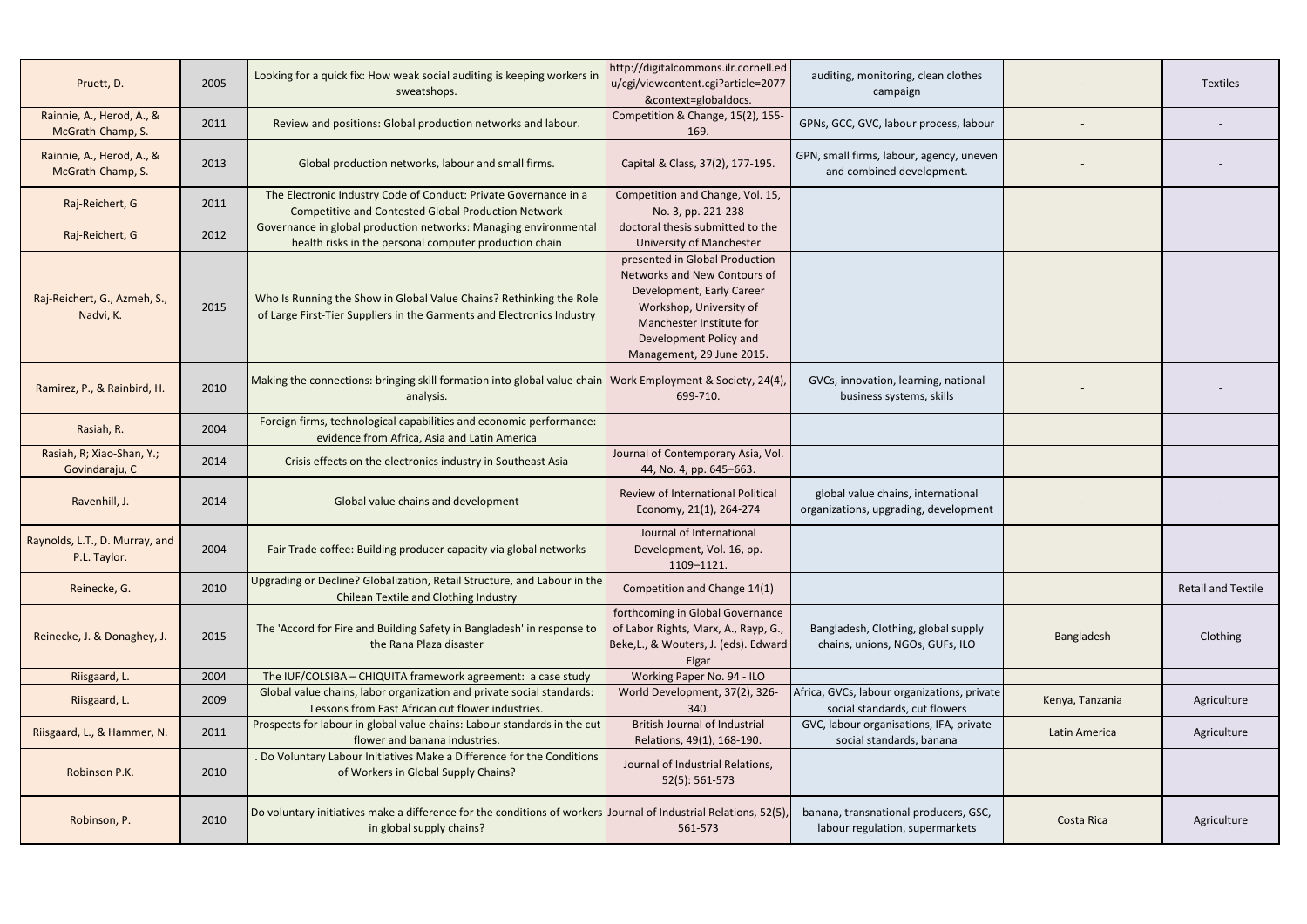| Pruett, D.                                     | 2005 | Looking for a quick fix: How weak social auditing is keeping workers in<br>sweatshops.                                                        | http://digitalcommons.ilr.cornell.ed<br>u/cgi/viewcontent.cgi?article=2077<br>&context=globaldocs.                                                                                                        | auditing, monitoring, clean clothes<br>campaign                              |                 | Textiles                  |
|------------------------------------------------|------|-----------------------------------------------------------------------------------------------------------------------------------------------|-----------------------------------------------------------------------------------------------------------------------------------------------------------------------------------------------------------|------------------------------------------------------------------------------|-----------------|---------------------------|
| Rainnie, A., Herod, A., &<br>McGrath-Champ, S. | 2011 | Review and positions: Global production networks and labour.                                                                                  | Competition & Change, 15(2), 155-<br>169.                                                                                                                                                                 | GPNs, GCC, GVC, labour process, labour                                       |                 |                           |
| Rainnie, A., Herod, A., &<br>McGrath-Champ, S. | 2013 | Global production networks, labour and small firms.                                                                                           | Capital & Class, 37(2), 177-195.                                                                                                                                                                          | GPN, small firms, labour, agency, uneven<br>and combined development.        |                 |                           |
| Raj-Reichert, G                                | 2011 | The Electronic Industry Code of Conduct: Private Governance in a                                                                              | Competition and Change, Vol. 15,                                                                                                                                                                          |                                                                              |                 |                           |
|                                                |      | <b>Competitive and Contested Global Production Network</b><br>Governance in global production networks: Managing environmental                | No. 3, pp. 221-238<br>doctoral thesis submitted to the                                                                                                                                                    |                                                                              |                 |                           |
| Raj-Reichert, G                                | 2012 | health risks in the personal computer production chain                                                                                        | <b>University of Manchester</b>                                                                                                                                                                           |                                                                              |                 |                           |
| Raj-Reichert, G., Azmeh, S.,<br>Nadvi, K.      | 2015 | Who Is Running the Show in Global Value Chains? Rethinking the Role<br>of Large First-Tier Suppliers in the Garments and Electronics Industry | presented in Global Production<br>Networks and New Contours of<br>Development, Early Career<br>Workshop, University of<br>Manchester Institute for<br>Development Policy and<br>Management, 29 June 2015. |                                                                              |                 |                           |
| Ramirez, P., & Rainbird, H.                    | 2010 | Making the connections: bringing skill formation into global value chain   Work Employment & Society, 24(4),<br>analysis.                     | 699-710.                                                                                                                                                                                                  | GVCs, innovation, learning, national<br>business systems, skills             |                 |                           |
| Rasiah, R.                                     | 2004 | Foreign firms, technological capabilities and economic performance:<br>evidence from Africa, Asia and Latin America                           |                                                                                                                                                                                                           |                                                                              |                 |                           |
| Rasiah, R; Xiao-Shan, Y.;<br>Govindaraju, C    | 2014 | Crisis effects on the electronics industry in Southeast Asia                                                                                  | Journal of Contemporary Asia, Vol.<br>44, No. 4, pp. 645-663.                                                                                                                                             |                                                                              |                 |                           |
| Ravenhill, J.                                  | 2014 | Global value chains and development                                                                                                           | <b>Review of International Political</b><br>Economy, 21(1), 264-274                                                                                                                                       | global value chains, international<br>organizations, upgrading, development  |                 |                           |
| Raynolds, L.T., D. Murray, and<br>P.L. Taylor. | 2004 | Fair Trade coffee: Building producer capacity via global networks                                                                             | Journal of International<br>Development, Vol. 16, pp.<br>1109-1121.                                                                                                                                       |                                                                              |                 |                           |
| Reinecke, G.                                   | 2010 | Upgrading or Decline? Globalization, Retail Structure, and Labour in the<br>Chilean Textile and Clothing Industry                             | Competition and Change 14(1)                                                                                                                                                                              |                                                                              |                 | <b>Retail and Textile</b> |
| Reinecke, J. & Donaghey, J.                    | 2015 | The 'Accord for Fire and Building Safety in Bangladesh' in response to<br>the Rana Plaza disaster                                             | forthcoming in Global Governance<br>of Labor Rights, Marx, A., Rayp, G.,<br>Beke, L., & Wouters, J. (eds). Edward<br>Elgar                                                                                | Bangladesh, Clothing, global supply<br>chains, unions, NGOs, GUFs, ILO       | Bangladesh      | Clothing                  |
| Riisgaard, L.                                  | 2004 | The IUF/COLSIBA - CHIQUITA framework agreement: a case study                                                                                  | Working Paper No. 94 - ILO                                                                                                                                                                                |                                                                              |                 |                           |
| Riisgaard, L.                                  | 2009 | Global value chains, labor organization and private social standards:<br>Lessons from East African cut flower industries.                     | World Development, 37(2), 326-<br>340.                                                                                                                                                                    | Africa, GVCs, labour organizations, private<br>social standards, cut flowers | Kenya, Tanzania | Agriculture               |
| Riisgaard, L., & Hammer, N.                    | 2011 | Prospects for labour in global value chains: Labour standards in the cut<br>flower and banana industries.                                     | <b>British Journal of Industrial</b><br>Relations, 49(1), 168-190.                                                                                                                                        | GVC, labour organisations, IFA, private<br>social standards, banana          | Latin America   | Agriculture               |
| Robinson P.K.                                  | 2010 | . Do Voluntary Labour Initiatives Make a Difference for the Conditions<br>of Workers in Global Supply Chains?                                 | Journal of Industrial Relations,<br>52(5): 561-573                                                                                                                                                        |                                                                              |                 |                           |
| Robinson, P.                                   | 2010 | Do voluntary initiatives make a difference for the conditions of workers Journal of Industrial Relations, 52(5),<br>in global supply chains?  | 561-573                                                                                                                                                                                                   | banana, transnational producers, GSC,<br>labour regulation, supermarkets     | Costa Rica      | Agriculture               |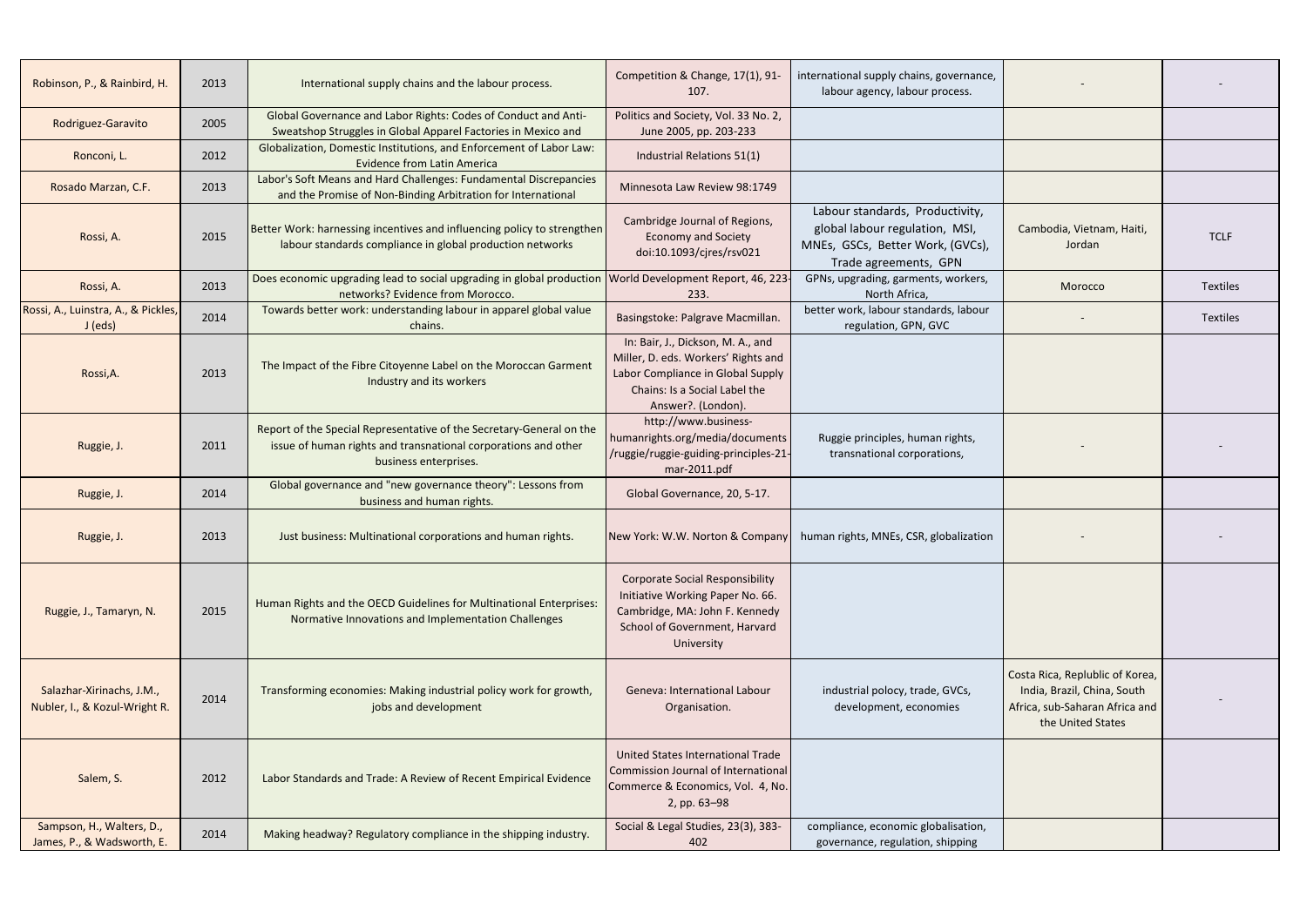| Robinson, P., & Rainbird, H.                               | 2013 | International supply chains and the labour process.                                                                                                             | Competition & Change, 17(1), 91-<br>107.                                                                                                                             | international supply chains, governance,<br>labour agency, labour process.                                                     |                                                                                                                       |             |
|------------------------------------------------------------|------|-----------------------------------------------------------------------------------------------------------------------------------------------------------------|----------------------------------------------------------------------------------------------------------------------------------------------------------------------|--------------------------------------------------------------------------------------------------------------------------------|-----------------------------------------------------------------------------------------------------------------------|-------------|
| Rodriguez-Garavito                                         | 2005 | Global Governance and Labor Rights: Codes of Conduct and Anti-<br>Sweatshop Struggles in Global Apparel Factories in Mexico and                                 | Politics and Society, Vol. 33 No. 2,<br>June 2005, pp. 203-233                                                                                                       |                                                                                                                                |                                                                                                                       |             |
| Ronconi, L.                                                | 2012 | Globalization, Domestic Institutions, and Enforcement of Labor Law:<br><b>Evidence from Latin America</b>                                                       | Industrial Relations 51(1)                                                                                                                                           |                                                                                                                                |                                                                                                                       |             |
| Rosado Marzan, C.F.                                        | 2013 | Labor's Soft Means and Hard Challenges: Fundamental Discrepancies<br>and the Promise of Non-Binding Arbitration for International                               | Minnesota Law Review 98:1749                                                                                                                                         |                                                                                                                                |                                                                                                                       |             |
| Rossi, A.                                                  | 2015 | Better Work: harnessing incentives and influencing policy to strengthen<br>labour standards compliance in global production networks                            | Cambridge Journal of Regions,<br><b>Economy and Society</b><br>doi:10.1093/cjres/rsv021                                                                              | Labour standards, Productivity,<br>global labour regulation, MSI,<br>MNEs, GSCs, Better Work, (GVCs),<br>Trade agreements, GPN | Cambodia, Vietnam, Haiti,<br>Jordan                                                                                   | <b>TCLF</b> |
| Rossi, A.                                                  | 2013 | Does economic upgrading lead to social upgrading in global production<br>networks? Evidence from Morocco.                                                       | World Development Report, 46, 223-<br>233.                                                                                                                           | GPNs, upgrading, garments, workers,<br>North Africa,                                                                           | Morocco                                                                                                               | Textiles    |
| Rossi, A., Luinstra, A., & Pickles,<br>J (eds)             | 2014 | Towards better work: understanding labour in apparel global value<br>chains.                                                                                    | Basingstoke: Palgrave Macmillan.                                                                                                                                     | better work, labour standards, labour<br>regulation, GPN, GVC                                                                  |                                                                                                                       | Textiles    |
| Rossi, A.                                                  | 2013 | The Impact of the Fibre Citoyenne Label on the Moroccan Garment<br>Industry and its workers                                                                     | In: Bair, J., Dickson, M. A., and<br>Miller, D. eds. Workers' Rights and<br>Labor Compliance in Global Supply<br>Chains: Is a Social Label the<br>Answer?. (London). |                                                                                                                                |                                                                                                                       |             |
| Ruggie, J.                                                 | 2011 | Report of the Special Representative of the Secretary-General on the<br>issue of human rights and transnational corporations and other<br>business enterprises. | http://www.business-<br>humanrights.org/media/documents<br>/ruggie/ruggie-guiding-principles-21-<br>mar-2011.pdf                                                     | Ruggie principles, human rights,<br>transnational corporations,                                                                |                                                                                                                       |             |
| Ruggie, J.                                                 | 2014 | Global governance and "new governance theory": Lessons from<br>business and human rights.                                                                       | Global Governance, 20, 5-17.                                                                                                                                         |                                                                                                                                |                                                                                                                       |             |
| Ruggie, J.                                                 | 2013 | Just business: Multinational corporations and human rights.                                                                                                     |                                                                                                                                                                      | New York: W.W. Norton & Company   human rights, MNEs, CSR, globalization                                                       |                                                                                                                       |             |
| Ruggie, J., Tamaryn, N.                                    | 2015 | Human Rights and the OECD Guidelines for Multinational Enterprises:<br>Normative Innovations and Implementation Challenges                                      | <b>Corporate Social Responsibility</b><br>Initiative Working Paper No. 66.<br>Cambridge, MA: John F. Kennedy<br>School of Government, Harvard<br>University          |                                                                                                                                |                                                                                                                       |             |
| Salazhar-Xirinachs, J.M.,<br>Nubler, I., & Kozul-Wright R. | 2014 | Transforming economies: Making industrial policy work for growth,<br>jobs and development                                                                       | <b>Geneva: International Labour</b><br>Organisation.                                                                                                                 | industrial polocy, trade, GVCs,<br>development, economies                                                                      | Costa Rica, Replublic of Korea,<br>India, Brazil, China, South<br>Africa, sub-Saharan Africa and<br>the United States |             |
| Salem, S.                                                  | 2012 | Labor Standards and Trade: A Review of Recent Empirical Evidence                                                                                                | United States International Trade<br>Commission Journal of International<br>Commerce & Economics, Vol. 4, No.<br>2, pp. 63-98                                        |                                                                                                                                |                                                                                                                       |             |
| Sampson, H., Walters, D.,<br>James, P., & Wadsworth, E.    | 2014 | Making headway? Regulatory compliance in the shipping industry.                                                                                                 | Social & Legal Studies, 23(3), 383-<br>402                                                                                                                           | compliance, economic globalisation,<br>governance, regulation, shipping                                                        |                                                                                                                       |             |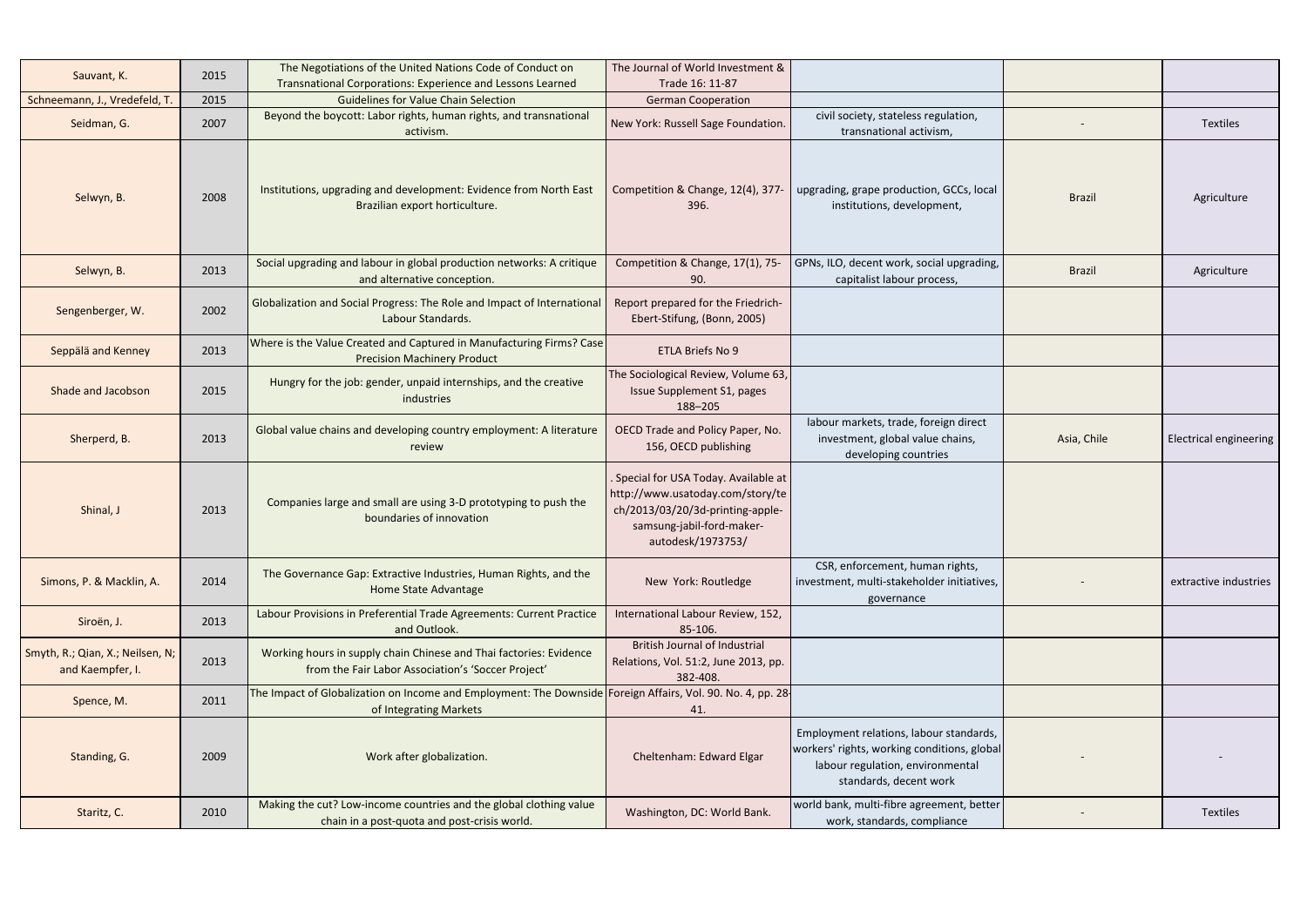| Sauvant, K.                                          | 2015 | The Negotiations of the United Nations Code of Conduct on                                                                            | The Journal of World Investment &                                                                                                                             |                                                                                                                                                      |               |                               |
|------------------------------------------------------|------|--------------------------------------------------------------------------------------------------------------------------------------|---------------------------------------------------------------------------------------------------------------------------------------------------------------|------------------------------------------------------------------------------------------------------------------------------------------------------|---------------|-------------------------------|
| Schneemann, J., Vredefeld, T.                        | 2015 | Transnational Corporations: Experience and Lessons Learned<br><b>Guidelines for Value Chain Selection</b>                            | Trade 16: 11-87<br><b>German Cooperation</b>                                                                                                                  |                                                                                                                                                      |               |                               |
| Seidman, G.                                          | 2007 | Beyond the boycott: Labor rights, human rights, and transnational<br>activism.                                                       | New York: Russell Sage Foundation.                                                                                                                            | civil society, stateless regulation,<br>transnational activism,                                                                                      |               | <b>Textiles</b>               |
| Selwyn, B.                                           | 2008 | Institutions, upgrading and development: Evidence from North East<br>Brazilian export horticulture.                                  | Competition & Change, 12(4), 377<br>396.                                                                                                                      | upgrading, grape production, GCCs, local<br>institutions, development,                                                                               | <b>Brazil</b> | Agriculture                   |
| Selwyn, B.                                           | 2013 | Social upgrading and labour in global production networks: A critique<br>and alternative conception.                                 | Competition & Change, 17(1), 75-<br>90.                                                                                                                       | GPNs, ILO, decent work, social upgrading,<br>capitalist labour process,                                                                              | <b>Brazil</b> | Agriculture                   |
| Sengenberger, W.                                     | 2002 | Globalization and Social Progress: The Role and Impact of International<br>Labour Standards.                                         | Report prepared for the Friedrich-<br>Ebert-Stifung, (Bonn, 2005)                                                                                             |                                                                                                                                                      |               |                               |
| Seppälä and Kenney                                   | 2013 | Where is the Value Created and Captured in Manufacturing Firms? Case<br><b>Precision Machinery Product</b>                           | ETLA Briefs No 9                                                                                                                                              |                                                                                                                                                      |               |                               |
| Shade and Jacobson                                   | 2015 | Hungry for the job: gender, unpaid internships, and the creative<br>industries                                                       | The Sociological Review, Volume 63,<br><b>Issue Supplement S1, pages</b><br>188-205                                                                           |                                                                                                                                                      |               |                               |
| Sherperd, B.                                         | 2013 | Global value chains and developing country employment: A literature<br>review                                                        | OECD Trade and Policy Paper, No.<br>156, OECD publishing                                                                                                      | labour markets, trade, foreign direct<br>investment, global value chains,<br>developing countries                                                    | Asia, Chile   | <b>Electrical engineering</b> |
| Shinal, J                                            | 2013 | Companies large and small are using 3-D prototyping to push the<br>boundaries of innovation                                          | Special for USA Today. Available at<br>http://www.usatoday.com/story/te<br>ch/2013/03/20/3d-printing-apple-<br>samsung-jabil-ford-maker-<br>autodesk/1973753/ |                                                                                                                                                      |               |                               |
| Simons, P. & Macklin, A.                             | 2014 | The Governance Gap: Extractive Industries, Human Rights, and the<br>Home State Advantage                                             | New York: Routledge                                                                                                                                           | CSR, enforcement, human rights,<br>investment, multi-stakeholder initiatives,<br>governance                                                          |               | extractive industries         |
| Siroën, J.                                           | 2013 | Labour Provisions in Preferential Trade Agreements: Current Practice<br>and Outlook.                                                 | International Labour Review, 152,<br>85-106.                                                                                                                  |                                                                                                                                                      |               |                               |
| Smyth, R.; Qian, X.; Neilsen, N;<br>and Kaempfer, I. | 2013 | Working hours in supply chain Chinese and Thai factories: Evidence<br>from the Fair Labor Association's 'Soccer Project'             | <b>British Journal of Industrial</b><br>Relations, Vol. 51:2, June 2013, pp.<br>382-408.                                                                      |                                                                                                                                                      |               |                               |
| Spence, M.                                           | 2011 | The Impact of Globalization on Income and Employment: The Downside Foreign Affairs, Vol. 90. No. 4, pp. 28<br>of Integrating Markets | 41.                                                                                                                                                           |                                                                                                                                                      |               |                               |
| Standing, G.                                         | 2009 | Work after globalization.                                                                                                            | Cheltenham: Edward Elgar                                                                                                                                      | Employment relations, labour standards,<br>workers' rights, working conditions, global<br>labour regulation, environmental<br>standards, decent work |               |                               |
| Staritz, C.                                          | 2010 | Making the cut? Low-income countries and the global clothing value<br>chain in a post-quota and post-crisis world.                   | Washington, DC: World Bank.                                                                                                                                   | world bank, multi-fibre agreement, better<br>work, standards, compliance                                                                             |               | <b>Textiles</b>               |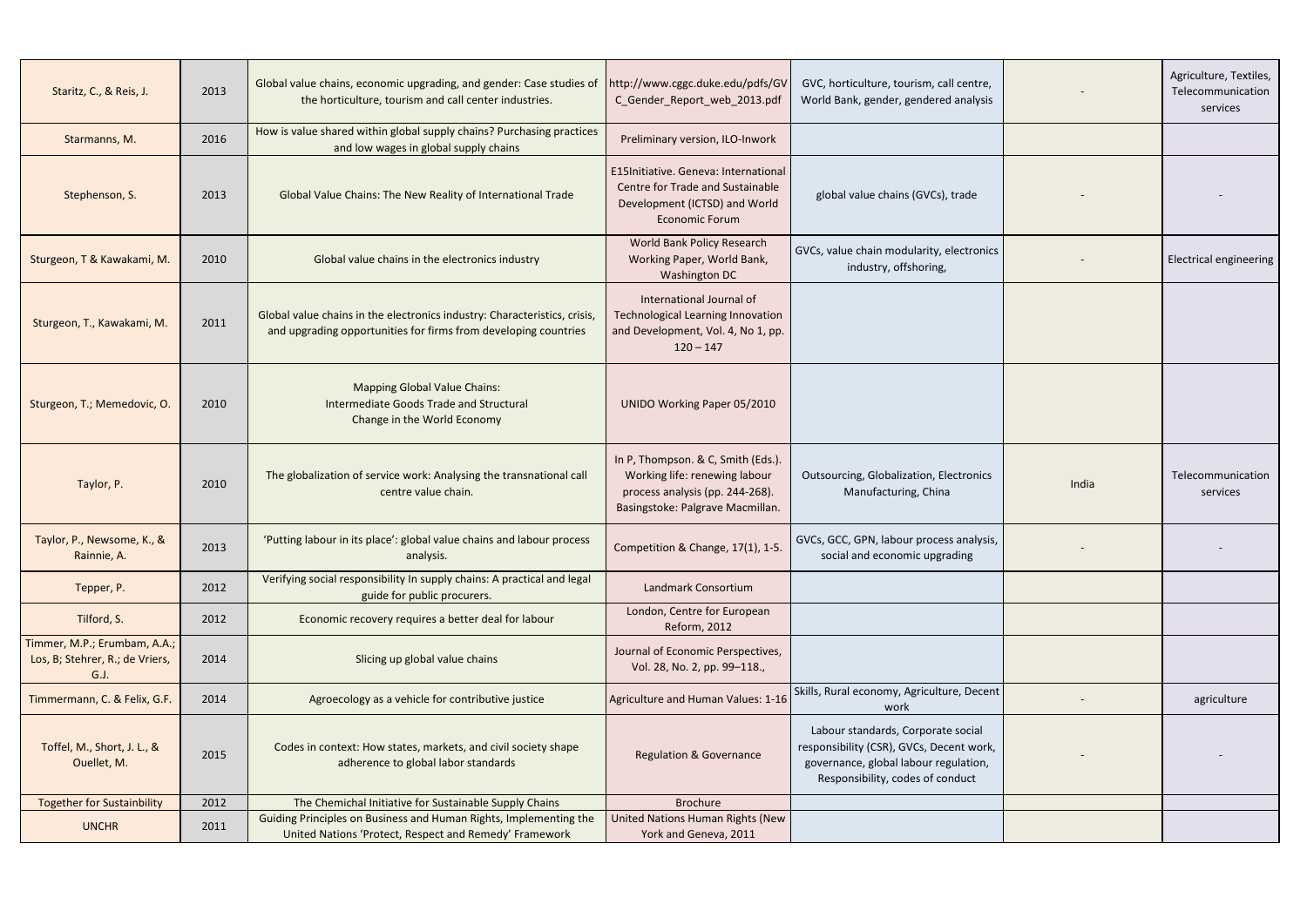| Staritz, C., & Reis, J.                                                | 2013 | Global value chains, economic upgrading, and gender: Case studies of<br>the horticulture, tourism and call center industries.                | http://www.cggc.duke.edu/pdfs/GV<br>C_Gender_Report_web_2013.pdf                                                                           | GVC, horticulture, tourism, call centre,<br>World Bank, gender, gendered analysis                                                                           |       | Agriculture, Textiles,<br>Telecommunication<br>services |
|------------------------------------------------------------------------|------|----------------------------------------------------------------------------------------------------------------------------------------------|--------------------------------------------------------------------------------------------------------------------------------------------|-------------------------------------------------------------------------------------------------------------------------------------------------------------|-------|---------------------------------------------------------|
| Starmanns, M.                                                          | 2016 | How is value shared within global supply chains? Purchasing practices<br>and low wages in global supply chains                               | Preliminary version, ILO-Inwork                                                                                                            |                                                                                                                                                             |       |                                                         |
| Stephenson, S.                                                         | 2013 | Global Value Chains: The New Reality of International Trade                                                                                  | E15Initiative. Geneva: International<br>Centre for Trade and Sustainable<br>Development (ICTSD) and World<br><b>Economic Forum</b>         | global value chains (GVCs), trade                                                                                                                           |       |                                                         |
| Sturgeon, T & Kawakami, M.                                             | 2010 | Global value chains in the electronics industry                                                                                              | World Bank Policy Research<br>Working Paper, World Bank,<br>Washington DC                                                                  | GVCs, value chain modularity, electronics<br>industry, offshoring,                                                                                          |       | <b>Electrical engineering</b>                           |
| Sturgeon, T., Kawakami, M.                                             | 2011 | Global value chains in the electronics industry: Characteristics, crisis,<br>and upgrading opportunities for firms from developing countries | International Journal of<br><b>Technological Learning Innovation</b><br>and Development, Vol. 4, No 1, pp.<br>$120 - 147$                  |                                                                                                                                                             |       |                                                         |
| Sturgeon, T.; Memedovic, O.                                            | 2010 | <b>Mapping Global Value Chains:</b><br>Intermediate Goods Trade and Structural<br>Change in the World Economy                                | <b>UNIDO Working Paper 05/2010</b>                                                                                                         |                                                                                                                                                             |       |                                                         |
| Taylor, P.                                                             | 2010 | The globalization of service work: Analysing the transnational call<br>centre value chain.                                                   | In P, Thompson. & C, Smith (Eds.).<br>Working life: renewing labour<br>process analysis (pp. 244-268).<br>Basingstoke: Palgrave Macmillan. | Outsourcing, Globalization, Electronics<br>Manufacturing, China                                                                                             | India | Telecommunication<br>services                           |
| Taylor, P., Newsome, K., &<br>Rainnie, A.                              | 2013 | 'Putting labour in its place': global value chains and labour process<br>analysis.                                                           | Competition & Change, 17(1), 1-5.                                                                                                          | GVCs, GCC, GPN, labour process analysis,<br>social and economic upgrading                                                                                   |       |                                                         |
| Tepper, P.                                                             | 2012 | Verifying social responsibility In supply chains: A practical and legal<br>guide for public procurers.                                       | Landmark Consortium                                                                                                                        |                                                                                                                                                             |       |                                                         |
| Tilford, S.                                                            | 2012 | Economic recovery requires a better deal for labour                                                                                          | London, Centre for European<br>Reform, 2012                                                                                                |                                                                                                                                                             |       |                                                         |
| Timmer, M.P.; Erumbam, A.A.;<br>Los, B; Stehrer, R.; de Vriers,<br>G.J | 2014 | Slicing up global value chains                                                                                                               | Journal of Economic Perspectives,<br>Vol. 28, No. 2, pp. 99-118.,                                                                          |                                                                                                                                                             |       |                                                         |
| Timmermann, C. & Felix, G.F.                                           | 2014 | Agroecology as a vehicle for contributive justice                                                                                            | Agriculture and Human Values: 1-16                                                                                                         | Skills, Rural economy, Agriculture, Decent<br>work                                                                                                          |       | agriculture                                             |
| Toffel, M., Short, J. L., &<br>Ouellet, M.                             | 2015 | Codes in context: How states, markets, and civil society shape<br>adherence to global labor standards                                        | <b>Regulation &amp; Governance</b>                                                                                                         | Labour standards, Corporate social<br>responsibility (CSR), GVCs, Decent work,<br>governance, global labour regulation,<br>Responsibility, codes of conduct |       |                                                         |
| <b>Together for Sustainbility</b>                                      | 2012 | The Chemichal Initiative for Sustainable Supply Chains                                                                                       | <b>Brochure</b>                                                                                                                            |                                                                                                                                                             |       |                                                         |
| <b>UNCHR</b>                                                           | 2011 | Guiding Principles on Business and Human Rights, Implementing the<br>United Nations 'Protect, Respect and Remedy' Framework                  | United Nations Human Rights (New<br>York and Geneva, 2011                                                                                  |                                                                                                                                                             |       |                                                         |
|                                                                        |      |                                                                                                                                              |                                                                                                                                            |                                                                                                                                                             |       |                                                         |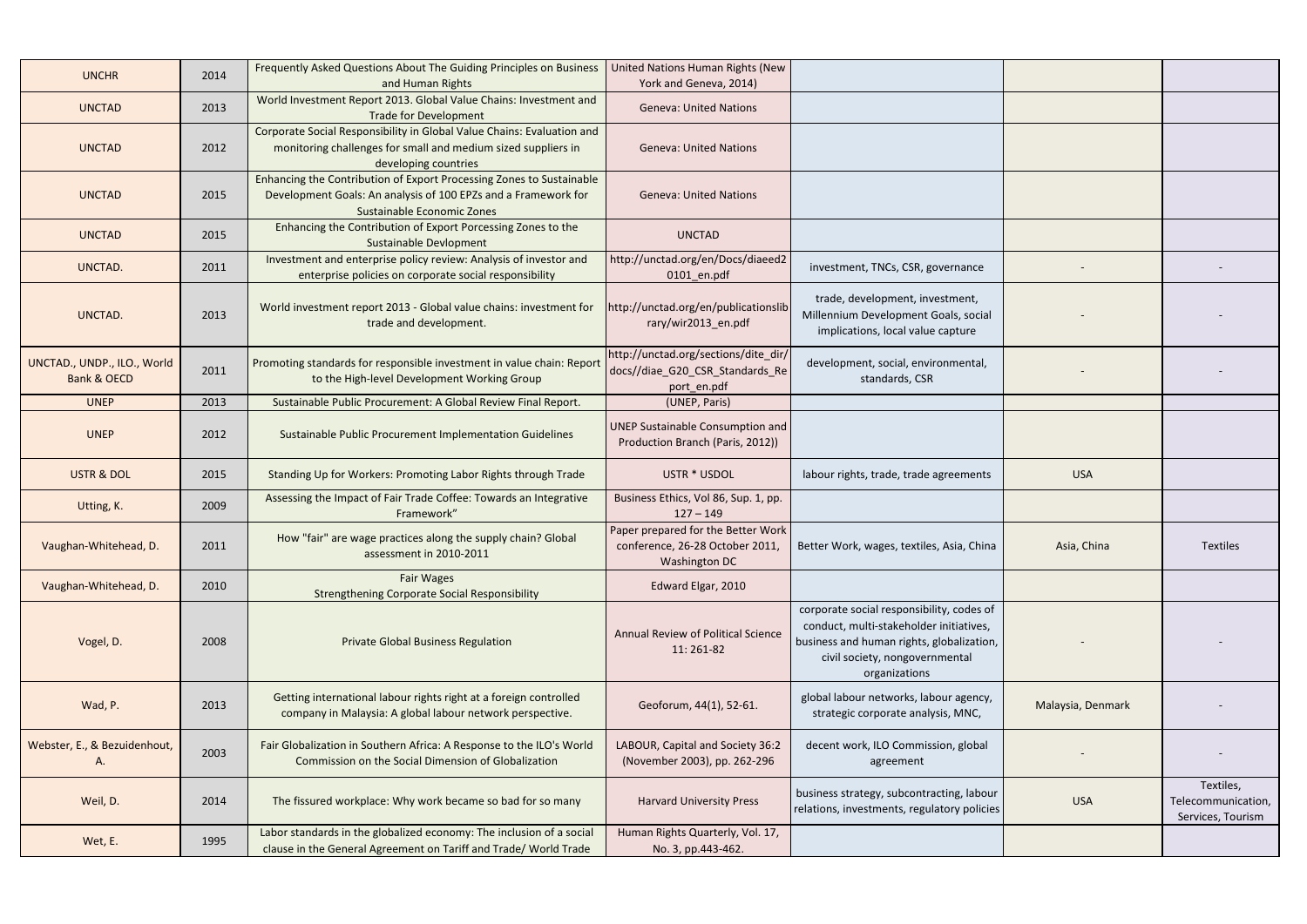| <b>UNCHR</b>                                          | 2014 | Frequently Asked Questions About The Guiding Principles on Business<br>and Human Rights                                                                                     | United Nations Human Rights (New<br>York and Geneva, 2014)                                    |                                                                                                                                                                                      |                   |                                                      |
|-------------------------------------------------------|------|-----------------------------------------------------------------------------------------------------------------------------------------------------------------------------|-----------------------------------------------------------------------------------------------|--------------------------------------------------------------------------------------------------------------------------------------------------------------------------------------|-------------------|------------------------------------------------------|
| <b>UNCTAD</b>                                         | 2013 | World Investment Report 2013. Global Value Chains: Investment and<br><b>Trade for Development</b>                                                                           | <b>Geneva: United Nations</b>                                                                 |                                                                                                                                                                                      |                   |                                                      |
| <b>UNCTAD</b>                                         | 2012 | Corporate Social Responsibility in Global Value Chains: Evaluation and<br>monitoring challenges for small and medium sized suppliers in<br>developing countries             | <b>Geneva: United Nations</b>                                                                 |                                                                                                                                                                                      |                   |                                                      |
| <b>UNCTAD</b>                                         | 2015 | Enhancing the Contribution of Export Processing Zones to Sustainable<br>Development Goals: An analysis of 100 EPZs and a Framework for<br><b>Sustainable Economic Zones</b> | <b>Geneva: United Nations</b>                                                                 |                                                                                                                                                                                      |                   |                                                      |
| <b>UNCTAD</b>                                         | 2015 | Enhancing the Contribution of Export Porcessing Zones to the<br>Sustainable Devlopment                                                                                      | <b>UNCTAD</b>                                                                                 |                                                                                                                                                                                      |                   |                                                      |
| UNCTAD.                                               | 2011 | Investment and enterprise policy review: Analysis of investor and<br>enterprise policies on corporate social responsibility                                                 | http://unctad.org/en/Docs/diaeed2<br>$0101$ _en.pdf                                           | investment, TNCs, CSR, governance                                                                                                                                                    |                   |                                                      |
| UNCTAD.                                               | 2013 | World investment report 2013 - Global value chains: investment for<br>trade and development.                                                                                | http://unctad.org/en/publicationslib<br>rary/wir2013_en.pdf                                   | trade, development, investment,<br>Millennium Development Goals, social<br>implications, local value capture                                                                         |                   |                                                      |
| UNCTAD., UNDP., ILO., World<br><b>Bank &amp; OECD</b> | 2011 | Promoting standards for responsible investment in value chain: Report<br>to the High-level Development Working Group                                                        | http://unctad.org/sections/dite_dir/<br>docs//diae_G20_CSR_Standards_Re<br>port_en.pdf        | development, social, environmental,<br>standards, CSR                                                                                                                                |                   |                                                      |
| <b>UNEP</b>                                           | 2013 | Sustainable Public Procurement: A Global Review Final Report.                                                                                                               | (UNEP, Paris)                                                                                 |                                                                                                                                                                                      |                   |                                                      |
| <b>UNEP</b>                                           | 2012 | <b>Sustainable Public Procurement Implementation Guidelines</b>                                                                                                             | UNEP Sustainable Consumption and<br>Production Branch (Paris, 2012))                          |                                                                                                                                                                                      |                   |                                                      |
| <b>USTR &amp; DOL</b>                                 | 2015 | Standing Up for Workers: Promoting Labor Rights through Trade                                                                                                               | USTR * USDOL                                                                                  | labour rights, trade, trade agreements                                                                                                                                               | <b>USA</b>        |                                                      |
| Utting, K.                                            | 2009 | Assessing the Impact of Fair Trade Coffee: Towards an Integrative<br>Framework"                                                                                             | Business Ethics, Vol 86, Sup. 1, pp.<br>$127 - 149$                                           |                                                                                                                                                                                      |                   |                                                      |
| Vaughan-Whitehead, D.                                 | 2011 | How "fair" are wage practices along the supply chain? Global<br>assessment in 2010-2011                                                                                     | Paper prepared for the Better Work<br>conference, 26-28 October 2011,<br><b>Washington DC</b> | Better Work, wages, textiles, Asia, China                                                                                                                                            | Asia, China       | <b>Textiles</b>                                      |
| Vaughan-Whitehead, D.                                 | 2010 | <b>Fair Wages</b><br><b>Strengthening Corporate Social Responsibility</b>                                                                                                   | Edward Elgar, 2010                                                                            |                                                                                                                                                                                      |                   |                                                      |
| Vogel, D.                                             | 2008 | <b>Private Global Business Regulation</b>                                                                                                                                   | Annual Review of Political Science<br>11:261-82                                               | corporate social responsibility, codes of<br>conduct, multi-stakeholder initiatives,<br>business and human rights, globalization,<br>civil society, nongovernmental<br>organizations |                   |                                                      |
| Wad, P.                                               | 2013 | Getting international labour rights right at a foreign controlled<br>company in Malaysia: A global labour network perspective.                                              | Geoforum, 44(1), 52-61.                                                                       | global labour networks, labour agency,<br>strategic corporate analysis, MNC,                                                                                                         | Malaysia, Denmark |                                                      |
| Webster, E., & Bezuidenhout,<br>Α.                    | 2003 | Fair Globalization in Southern Africa: A Response to the ILO's World<br>Commission on the Social Dimension of Globalization                                                 | LABOUR, Capital and Society 36:2<br>(November 2003), pp. 262-296                              | decent work, ILO Commission, global<br>agreement                                                                                                                                     |                   |                                                      |
| Weil, D.                                              | 2014 | The fissured workplace: Why work became so bad for so many                                                                                                                  | <b>Harvard University Press</b>                                                               | business strategy, subcontracting, labour<br>relations, investments, regulatory policies                                                                                             | <b>USA</b>        | Textiles,<br>Telecommunication,<br>Services, Tourism |
| Wet, E.                                               | 1995 | Labor standards in the globalized economy: The inclusion of a social<br>clause in the General Agreement on Tariff and Trade/ World Trade                                    | Human Rights Quarterly, Vol. 17,<br>No. 3, pp.443-462.                                        |                                                                                                                                                                                      |                   |                                                      |